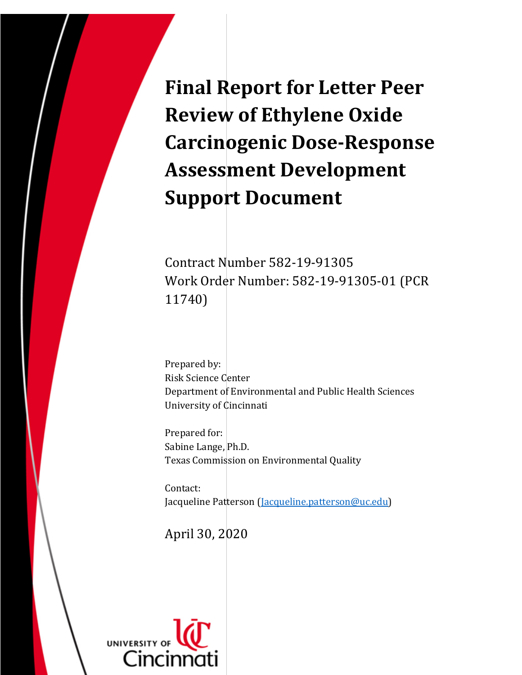**Final Report for Letter Peer Review of Ethylene Oxide Carcinogenic Dose-Response Assessment Development Support Document** 

Contract Number 582-19-91305 Work Order Number: 582-19-91305-01 (PCR 11740)

Prepared by: Risk Science Center Department of Environmental and Public Health Sciences University of Cincinnati

Prepared for: Sabine Lange, Ph.D. Texas Commission on Environmental Quality

Contact: Jacqueline Patterson [\(Jacqueline.patterson@uc.edu\)](mailto:Jacqueline.patterson@uc.edu)

April 30, 2020

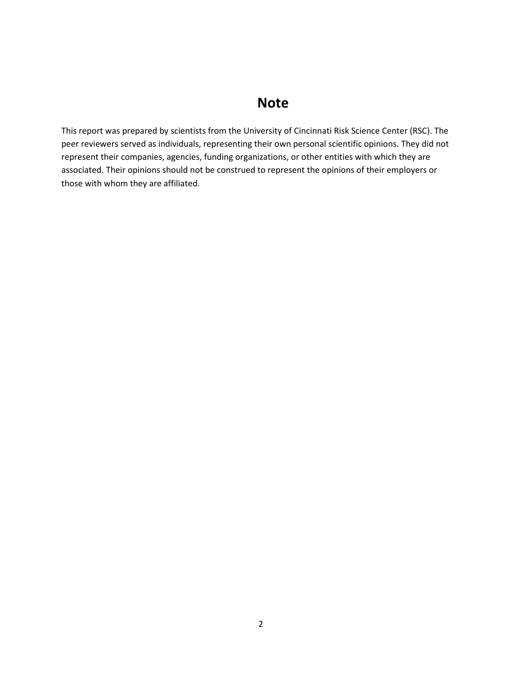## **Note**

This report was prepared by scientists from the University of Cincinnati Risk Science Center (RSC). The peer reviewers served as individuals, representing their own personal scientific opinions. They did not represent their companies, agencies, funding organizations, or other entities with which they are associated. Their opinions should not be construed to represent the opinions of their employers or those with whom they are affiliated.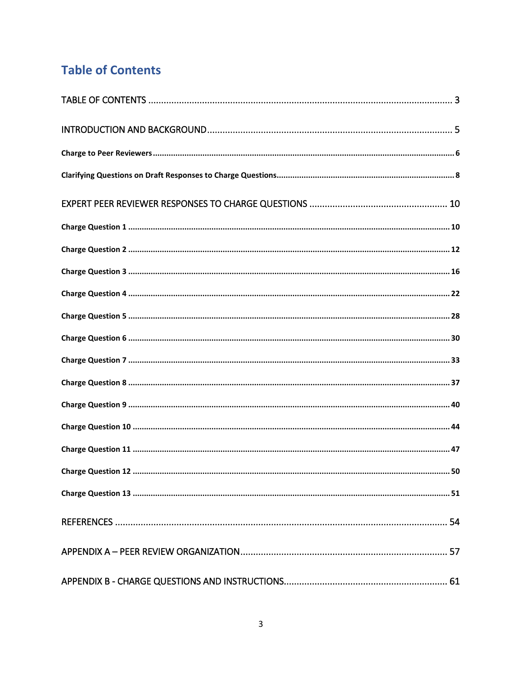# <span id="page-2-0"></span>**Table of Contents**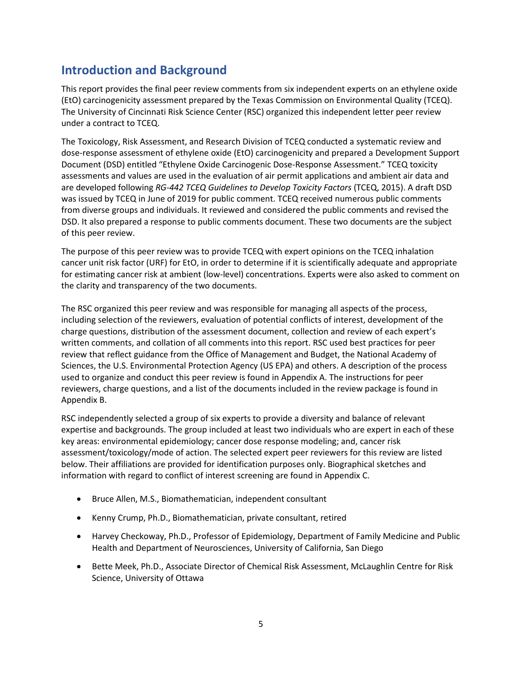## <span id="page-4-0"></span>**Introduction and Background**

This report provides the final peer review comments from six independent experts on an ethylene oxide (EtO) carcinogenicity assessment prepared by the Texas Commission on Environmental Quality (TCEQ). The University of Cincinnati Risk Science Center (RSC) organized this independent letter peer review under a contract to TCEQ.

The Toxicology, Risk Assessment, and Research Division of TCEQ conducted a systematic review and dose-response assessment of ethylene oxide (EtO) carcinogenicity and prepared a Development Support Document (DSD) entitled "Ethylene Oxide Carcinogenic Dose-Response Assessment." TCEQ toxicity assessments and values are used in the evaluation of air permit applications and ambient air data and are developed following *RG-442 TCEQ Guidelines to Develop Toxicity Factors* (TCEQ, 2015). A draft DSD was issued by TCEQ in June of 2019 for public comment. TCEQ received numerous public comments from diverse groups and individuals. It reviewed and considered the public comments and revised the DSD. It also prepared a response to public comments document. These two documents are the subject of this peer review.

The purpose of this peer review was to provide TCEQ with expert opinions on the TCEQ inhalation cancer unit risk factor (URF) for EtO, in order to determine if it is scientifically adequate and appropriate for estimating cancer risk at ambient (low-level) concentrations. Experts were also asked to comment on the clarity and transparency of the two documents.

The RSC organized this peer review and was responsible for managing all aspects of the process, including selection of the reviewers, evaluation of potential conflicts of interest, development of the charge questions, distribution of the assessment document, collection and review of each expert's written comments, and collation of all comments into this report. RSC used best practices for peer review that reflect guidance from the Office of Management and Budget, the National Academy of Sciences, the U.S. Environmental Protection Agency (US EPA) and others. A description of the process used to organize and conduct this peer review is found in Appendix A. The instructions for peer reviewers, charge questions, and a list of the documents included in the review package is found in Appendix B.

RSC independently selected a group of six experts to provide a diversity and balance of relevant expertise and backgrounds. The group included at least two individuals who are expert in each of these key areas: environmental epidemiology; cancer dose response modeling; and, cancer risk assessment/toxicology/mode of action. The selected expert peer reviewers for this review are listed below. Their affiliations are provided for identification purposes only. Biographical sketches and information with regard to conflict of interest screening are found in Appendix C.

- Bruce Allen, M.S., Biomathematician, independent consultant
- Kenny Crump, Ph.D., Biomathematician, private consultant, retired
- Harvey Checkoway, Ph.D., Professor of Epidemiology, Department of Family Medicine and Public Health and Department of Neurosciences, University of California, San Diego
- Bette Meek, Ph.D., Associate Director of Chemical Risk Assessment, McLaughlin Centre for Risk Science, University of Ottawa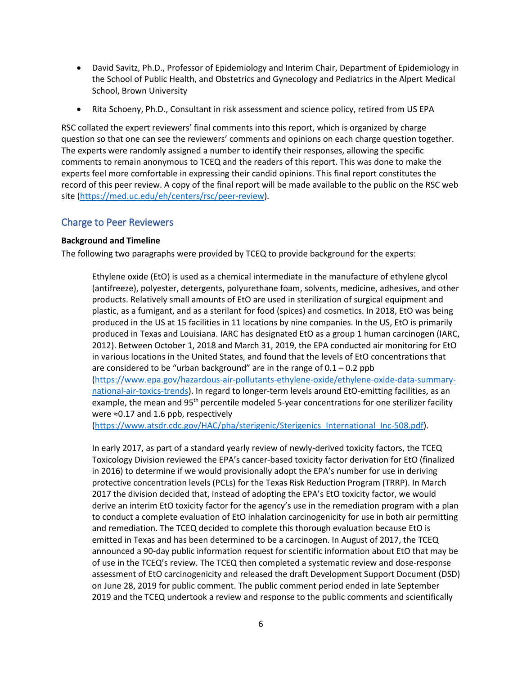- David Savitz, Ph.D., Professor of Epidemiology and Interim Chair, Department of Epidemiology in the School of Public Health, and Obstetrics and Gynecology and Pediatrics in the Alpert Medical School, Brown University
- Rita Schoeny, Ph.D., Consultant in risk assessment and science policy, retired from US EPA

RSC collated the expert reviewers' final comments into this report, which is organized by charge question so that one can see the reviewers' comments and opinions on each charge question together. The experts were randomly assigned a number to identify their responses, allowing the specific comments to remain anonymous to TCEQ and the readers of this report. This was done to make the experts feel more comfortable in expressing their candid opinions. This final report constitutes the record of this peer review. A copy of the final report will be made available to the public on the RSC web site [\(https://med.uc.edu/eh/centers/rsc/peer-review\)](https://med.uc.edu/eh/centers/rsc/peer-review).

#### <span id="page-5-0"></span>Charge to Peer Reviewers

#### **Background and Timeline**

The following two paragraphs were provided by TCEQ to provide background for the experts:

Ethylene oxide (EtO) is used as a chemical intermediate in the manufacture of ethylene glycol (antifreeze), polyester, detergents, polyurethane foam, solvents, medicine, adhesives, and other products. Relatively small amounts of EtO are used in sterilization of surgical equipment and plastic, as a fumigant, and as a sterilant for food (spices) and cosmetics. In 2018, EtO was being produced in the US at 15 facilities in 11 locations by nine companies. In the US, EtO is primarily produced in Texas and Louisiana. IARC has designated EtO as a group 1 human carcinogen (IARC, 2012). Between October 1, 2018 and March 31, 2019, the EPA conducted air monitoring for EtO in various locations in the United States, and found that the levels of EtO concentrations that are considered to be "urban background" are in the range of  $0.1 - 0.2$  ppb [\(https://www.epa.gov/hazardous-air-pollutants-ethylene-oxide/ethylene-oxide-data-summary](https://www.epa.gov/hazardous-air-pollutants-ethylene-oxide/ethylene-oxide-data-summary-national-air-toxics-trends)[national-air-toxics-trends\)](https://www.epa.gov/hazardous-air-pollutants-ethylene-oxide/ethylene-oxide-data-summary-national-air-toxics-trends). In regard to longer-term levels around EtO-emitting facilities, as an example, the mean and  $95<sup>th</sup>$  percentile modeled 5-year concentrations for one sterilizer facility were ≈0.17 and 1.6 ppb, respectively

[\(https://www.atsdr.cdc.gov/HAC/pha/sterigenic/Sterigenics\\_International\\_Inc-508.pdf\)](https://www.atsdr.cdc.gov/HAC/pha/sterigenic/Sterigenics_International_Inc-508.pdf).

In early 2017, as part of a standard yearly review of newly-derived toxicity factors, the TCEQ Toxicology Division reviewed the EPA's cancer-based toxicity factor derivation for EtO (finalized in 2016) to determine if we would provisionally adopt the EPA's number for use in deriving protective concentration levels (PCLs) for the Texas Risk Reduction Program (TRRP). In March 2017 the division decided that, instead of adopting the EPA's EtO toxicity factor, we would derive an interim EtO toxicity factor for the agency's use in the remediation program with a plan to conduct a complete evaluation of EtO inhalation carcinogenicity for use in both air permitting and remediation. The TCEQ decided to complete this thorough evaluation because EtO is emitted in Texas and has been determined to be a carcinogen. In August of 2017, the TCEQ announced a 90-day public information request for scientific information about EtO that may be of use in the TCEQ's review. The TCEQ then completed a systematic review and dose-response assessment of EtO carcinogenicity and released the draft Development Support Document (DSD) on June 28, 2019 for public comment. The public comment period ended in late September 2019 and the TCEQ undertook a review and response to the public comments and scientifically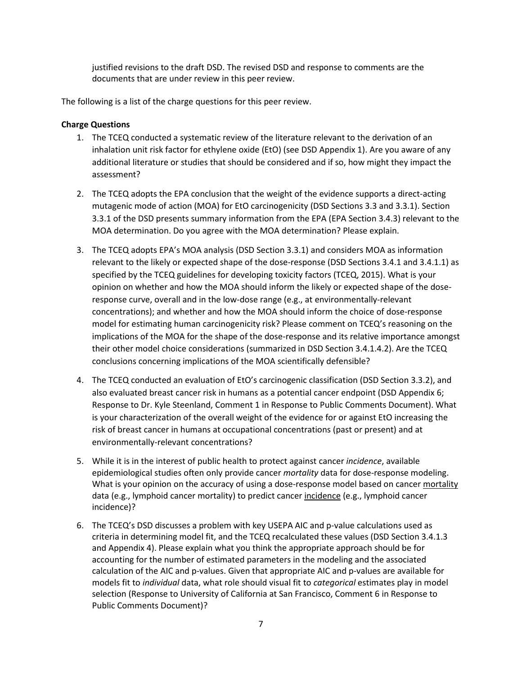justified revisions to the draft DSD. The revised DSD and response to comments are the documents that are under review in this peer review.

The following is a list of the charge questions for this peer review.

## **Charge Questions**

- 1. The TCEQ conducted a systematic review of the literature relevant to the derivation of an inhalation unit risk factor for ethylene oxide (EtO) (see DSD Appendix 1). Are you aware of any additional literature or studies that should be considered and if so, how might they impact the assessment?
- 2. The TCEQ adopts the EPA conclusion that the weight of the evidence supports a direct-acting mutagenic mode of action (MOA) for EtO carcinogenicity (DSD Sections 3.3 and 3.3.1). Section 3.3.1 of the DSD presents summary information from the EPA (EPA Section 3.4.3) relevant to the MOA determination. Do you agree with the MOA determination? Please explain.
- 3. The TCEQ adopts EPA's MOA analysis (DSD Section 3.3.1) and considers MOA as information relevant to the likely or expected shape of the dose-response (DSD Sections 3.4.1 and 3.4.1.1) as specified by the TCEQ guidelines for developing toxicity factors (TCEQ, 2015). What is your opinion on whether and how the MOA should inform the likely or expected shape of the doseresponse curve, overall and in the low-dose range (e.g., at environmentally-relevant concentrations); and whether and how the MOA should inform the choice of dose-response model for estimating human carcinogenicity risk? Please comment on TCEQ's reasoning on the implications of the MOA for the shape of the dose-response and its relative importance amongst their other model choice considerations (summarized in DSD Section 3.4.1.4.2). Are the TCEQ conclusions concerning implications of the MOA scientifically defensible?
- 4. The TCEQ conducted an evaluation of EtO's carcinogenic classification (DSD Section 3.3.2), and also evaluated breast cancer risk in humans as a potential cancer endpoint (DSD Appendix 6; Response to Dr. Kyle Steenland, Comment 1 in Response to Public Comments Document). What is your characterization of the overall weight of the evidence for or against EtO increasing the risk of breast cancer in humans at occupational concentrations (past or present) and at environmentally-relevant concentrations?
- 5. While it is in the interest of public health to protect against cancer *incidence*, available epidemiological studies often only provide cancer *mortality* data for dose-response modeling. What is your opinion on the accuracy of using a dose-response model based on cancer mortality data (e.g., lymphoid cancer mortality) to predict cancer incidence (e.g., lymphoid cancer incidence)?
- 6. The TCEQ's DSD discusses a problem with key USEPA AIC and p-value calculations used as criteria in determining model fit, and the TCEQ recalculated these values (DSD Section 3.4.1.3 and Appendix 4). Please explain what you think the appropriate approach should be for accounting for the number of estimated parameters in the modeling and the associated calculation of the AIC and p-values. Given that appropriate AIC and p-values are available for models fit to *individual* data, what role should visual fit to *categorical* estimates play in model selection (Response to University of California at San Francisco, Comment 6 in Response to Public Comments Document)?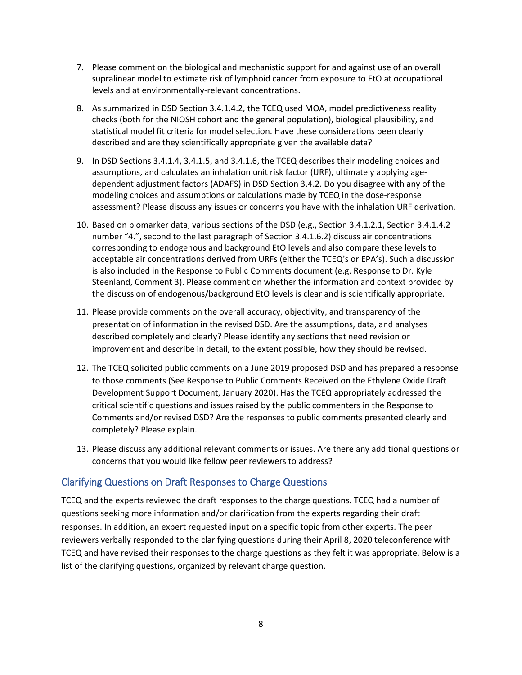- 7. Please comment on the biological and mechanistic support for and against use of an overall supralinear model to estimate risk of lymphoid cancer from exposure to EtO at occupational levels and at environmentally-relevant concentrations.
- 8. As summarized in DSD Section 3.4.1.4.2, the TCEQ used MOA, model predictiveness reality checks (both for the NIOSH cohort and the general population), biological plausibility, and statistical model fit criteria for model selection. Have these considerations been clearly described and are they scientifically appropriate given the available data?
- 9. In DSD Sections 3.4.1.4, 3.4.1.5, and 3.4.1.6, the TCEQ describes their modeling choices and assumptions, and calculates an inhalation unit risk factor (URF), ultimately applying agedependent adjustment factors (ADAFS) in DSD Section 3.4.2. Do you disagree with any of the modeling choices and assumptions or calculations made by TCEQ in the dose-response assessment? Please discuss any issues or concerns you have with the inhalation URF derivation.
- 10. Based on biomarker data, various sections of the DSD (e.g., Section 3.4.1.2.1, Section 3.4.1.4.2 number "4.", second to the last paragraph of Section 3.4.1.6.2) discuss air concentrations corresponding to endogenous and background EtO levels and also compare these levels to acceptable air concentrations derived from URFs (either the TCEQ's or EPA's). Such a discussion is also included in the Response to Public Comments document (e.g. Response to Dr. Kyle Steenland, Comment 3). Please comment on whether the information and context provided by the discussion of endogenous/background EtO levels is clear and is scientifically appropriate.
- 11. Please provide comments on the overall accuracy, objectivity, and transparency of the presentation of information in the revised DSD. Are the assumptions, data, and analyses described completely and clearly? Please identify any sections that need revision or improvement and describe in detail, to the extent possible, how they should be revised.
- 12. The TCEQ solicited public comments on a June 2019 proposed DSD and has prepared a response to those comments (See Response to Public Comments Received on the Ethylene Oxide Draft Development Support Document, January 2020). Has the TCEQ appropriately addressed the critical scientific questions and issues raised by the public commenters in the Response to Comments and/or revised DSD? Are the responses to public comments presented clearly and completely? Please explain.
- 13. Please discuss any additional relevant comments or issues. Are there any additional questions or concerns that you would like fellow peer reviewers to address?

## <span id="page-7-0"></span>Clarifying Questions on Draft Responses to Charge Questions

TCEQ and the experts reviewed the draft responses to the charge questions. TCEQ had a number of questions seeking more information and/or clarification from the experts regarding their draft responses. In addition, an expert requested input on a specific topic from other experts. The peer reviewers verbally responded to the clarifying questions during their April 8, 2020 teleconference with TCEQ and have revised their responses to the charge questions as they felt it was appropriate. Below is a list of the clarifying questions, organized by relevant charge question.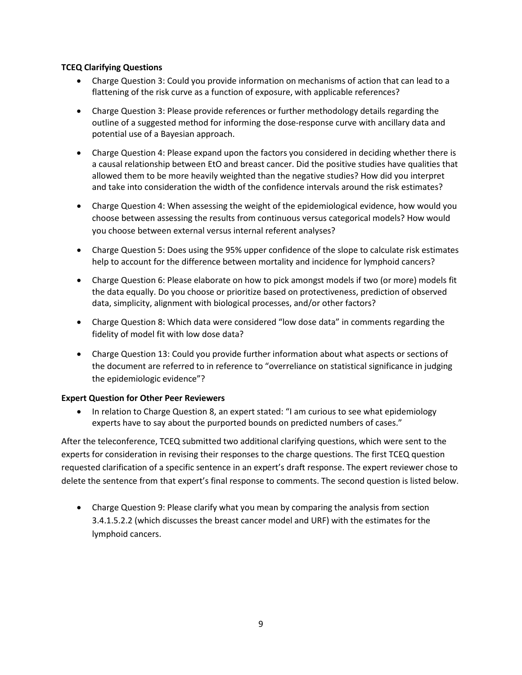## **TCEQ Clarifying Questions**

- Charge Question 3: Could you provide information on mechanisms of action that can lead to a flattening of the risk curve as a function of exposure, with applicable references?
- Charge Question 3: Please provide references or further methodology details regarding the outline of a suggested method for informing the dose-response curve with ancillary data and potential use of a Bayesian approach.
- Charge Question 4: Please expand upon the factors you considered in deciding whether there is a causal relationship between EtO and breast cancer. Did the positive studies have qualities that allowed them to be more heavily weighted than the negative studies? How did you interpret and take into consideration the width of the confidence intervals around the risk estimates?
- Charge Question 4: When assessing the weight of the epidemiological evidence, how would you choose between assessing the results from continuous versus categorical models? How would you choose between external versus internal referent analyses?
- Charge Question 5: Does using the 95% upper confidence of the slope to calculate risk estimates help to account for the difference between mortality and incidence for lymphoid cancers?
- Charge Question 6: Please elaborate on how to pick amongst models if two (or more) models fit the data equally. Do you choose or prioritize based on protectiveness, prediction of observed data, simplicity, alignment with biological processes, and/or other factors?
- Charge Question 8: Which data were considered "low dose data" in comments regarding the fidelity of model fit with low dose data?
- Charge Question 13: Could you provide further information about what aspects or sections of the document are referred to in reference to "overreliance on statistical significance in judging the epidemiologic evidence"?

## **Expert Question for Other Peer Reviewers**

• In relation to Charge Question 8, an expert stated: "I am curious to see what epidemiology experts have to say about the purported bounds on predicted numbers of cases."

After the teleconference, TCEQ submitted two additional clarifying questions, which were sent to the experts for consideration in revising their responses to the charge questions. The first TCEQ question requested clarification of a specific sentence in an expert's draft response. The expert reviewer chose to delete the sentence from that expert's final response to comments. The second question is listed below.

• Charge Question 9: Please clarify what you mean by comparing the analysis from section 3.4.1.5.2.2 (which discusses the breast cancer model and URF) with the estimates for the lymphoid cancers.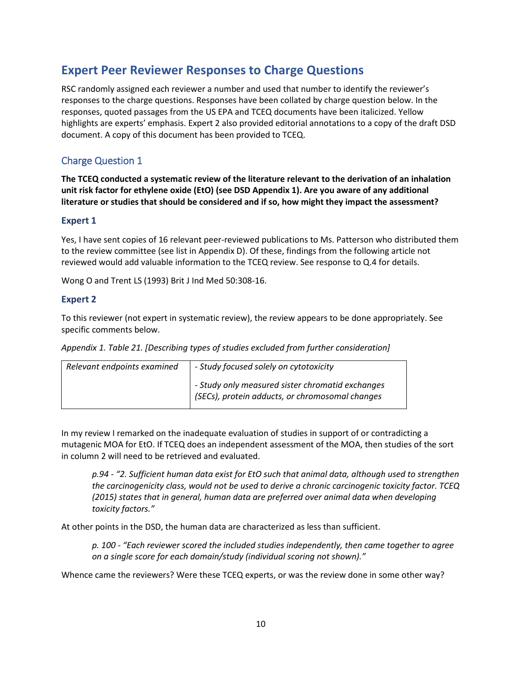## <span id="page-9-0"></span>**Expert Peer Reviewer Responses to Charge Questions**

RSC randomly assigned each reviewer a number and used that number to identify the reviewer's responses to the charge questions. Responses have been collated by charge question below. In the responses, quoted passages from the US EPA and TCEQ documents have been italicized. Yellow highlights are experts' emphasis. Expert 2 also provided editorial annotations to a copy of the draft DSD document. A copy of this document has been provided to TCEQ.

## <span id="page-9-1"></span>Charge Question 1

**The TCEQ conducted a systematic review of the literature relevant to the derivation of an inhalation unit risk factor for ethylene oxide (EtO) (see DSD Appendix 1). Are you aware of any additional literature or studies that should be considered and if so, how might they impact the assessment?**

## **Expert 1**

Yes, I have sent copies of 16 relevant peer-reviewed publications to Ms. Patterson who distributed them to the review committee (see list in Appendix D). Of these, findings from the following article not reviewed would add valuable information to the TCEQ review. See response to Q.4 for details.

Wong O and Trent LS (1993) Brit J Ind Med 50:308-16.

## **Expert 2**

To this reviewer (not expert in systematic review), the review appears to be done appropriately. See specific comments below.

*Appendix 1. Table 21. [Describing types of studies excluded from further consideration]*

| Relevant endpoints examined | - Study focused solely on cytotoxicity                                                              |  |
|-----------------------------|-----------------------------------------------------------------------------------------------------|--|
|                             | - Study only measured sister chromatid exchanges<br>(SECs), protein adducts, or chromosomal changes |  |

In my review I remarked on the inadequate evaluation of studies in support of or contradicting a mutagenic MOA for EtO. If TCEQ does an independent assessment of the MOA, then studies of the sort in column 2 will need to be retrieved and evaluated.

*p.94 - "2. Sufficient human data exist for EtO such that animal data, although used to strengthen the carcinogenicity class, would not be used to derive a chronic carcinogenic toxicity factor. TCEQ (2015) states that in general, human data are preferred over animal data when developing toxicity factors."*

At other points in the DSD, the human data are characterized as less than sufficient.

*p. 100 - "Each reviewer scored the included studies independently, then came together to agree on a single score for each domain/study (individual scoring not shown)."* 

Whence came the reviewers? Were these TCEQ experts, or was the review done in some other way?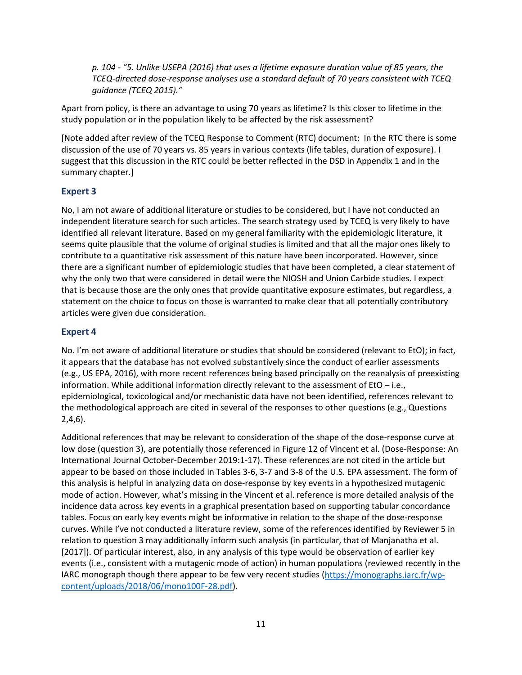*p. 104 - "5. Unlike USEPA (2016) that uses a lifetime exposure duration value of 85 years, the TCEQ-directed dose-response analyses use a standard default of 70 years consistent with TCEQ guidance (TCEQ 2015)."*

Apart from policy, is there an advantage to using 70 years as lifetime? Is this closer to lifetime in the study population or in the population likely to be affected by the risk assessment?

[Note added after review of the TCEQ Response to Comment (RTC) document: In the RTC there is some discussion of the use of 70 years vs. 85 years in various contexts (life tables, duration of exposure). I suggest that this discussion in the RTC could be better reflected in the DSD in Appendix 1 and in the summary chapter.]

#### **Expert 3**

No, I am not aware of additional literature or studies to be considered, but I have not conducted an independent literature search for such articles. The search strategy used by TCEQ is very likely to have identified all relevant literature. Based on my general familiarity with the epidemiologic literature, it seems quite plausible that the volume of original studies is limited and that all the major ones likely to contribute to a quantitative risk assessment of this nature have been incorporated. However, since there are a significant number of epidemiologic studies that have been completed, a clear statement of why the only two that were considered in detail were the NIOSH and Union Carbide studies. I expect that is because those are the only ones that provide quantitative exposure estimates, but regardless, a statement on the choice to focus on those is warranted to make clear that all potentially contributory articles were given due consideration.

#### **Expert 4**

No. I'm not aware of additional literature or studies that should be considered (relevant to EtO); in fact, it appears that the database has not evolved substantively since the conduct of earlier assessments (e.g., US EPA, 2016), with more recent references being based principally on the reanalysis of preexisting information. While additional information directly relevant to the assessment of EtO – i.e., epidemiological, toxicological and/or mechanistic data have not been identified, references relevant to the methodological approach are cited in several of the responses to other questions (e.g., Questions 2,4,6).

Additional references that may be relevant to consideration of the shape of the dose-response curve at low dose (question 3), are potentially those referenced in Figure 12 of Vincent et al. (Dose-Response: An International Journal October-December 2019:1-17). These references are not cited in the article but appear to be based on those included in Tables 3-6, 3-7 and 3-8 of the U.S. EPA assessment. The form of this analysis is helpful in analyzing data on dose-response by key events in a hypothesized mutagenic mode of action. However, what's missing in the Vincent et al. reference is more detailed analysis of the incidence data across key events in a graphical presentation based on supporting tabular concordance tables. Focus on early key events might be informative in relation to the shape of the dose-response curves. While I've not conducted a literature review, some of the references identified by Reviewer 5 in relation to question 3 may additionally inform such analysis (in particular, that of Manjanatha et al. [2017]). Of particular interest, also, in any analysis of this type would be observation of earlier key events (i.e., consistent with a mutagenic mode of action) in human populations (reviewed recently in the IARC monograph though there appear to be few very recent studies [\(https://monographs.iarc.fr/wp](https://monographs.iarc.fr/wp-content/uploads/2018/06/mono100F-28.pdf)[content/uploads/2018/06/mono100F-28.pdf\)](https://monographs.iarc.fr/wp-content/uploads/2018/06/mono100F-28.pdf).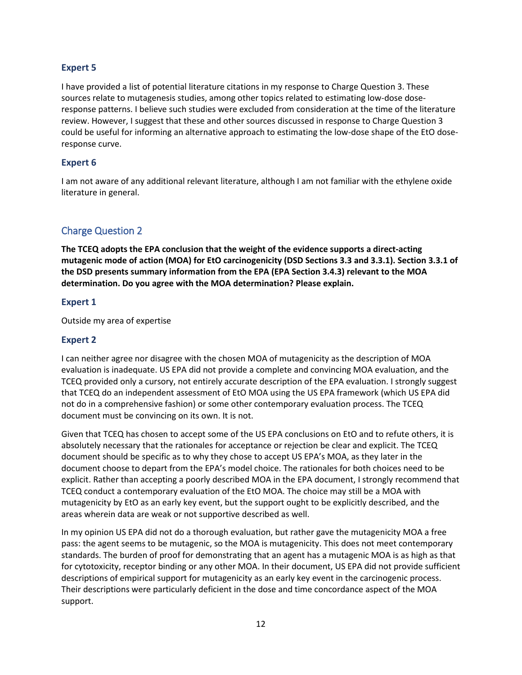## **Expert 5**

I have provided a list of potential literature citations in my response to Charge Question 3. These sources relate to mutagenesis studies, among other topics related to estimating low-dose doseresponse patterns. I believe such studies were excluded from consideration at the time of the literature review. However, I suggest that these and other sources discussed in response to Charge Question 3 could be useful for informing an alternative approach to estimating the low-dose shape of the EtO doseresponse curve.

## **Expert 6**

I am not aware of any additional relevant literature, although I am not familiar with the ethylene oxide literature in general.

## <span id="page-11-0"></span>Charge Question 2

**The TCEQ adopts the EPA conclusion that the weight of the evidence supports a direct-acting mutagenic mode of action (MOA) for EtO carcinogenicity (DSD Sections 3.3 and 3.3.1). Section 3.3.1 of the DSD presents summary information from the EPA (EPA Section 3.4.3) relevant to the MOA determination. Do you agree with the MOA determination? Please explain.**

## **Expert 1**

Outside my area of expertise

## **Expert 2**

I can neither agree nor disagree with the chosen MOA of mutagenicity as the description of MOA evaluation is inadequate. US EPA did not provide a complete and convincing MOA evaluation, and the TCEQ provided only a cursory, not entirely accurate description of the EPA evaluation. I strongly suggest that TCEQ do an independent assessment of EtO MOA using the US EPA framework (which US EPA did not do in a comprehensive fashion) or some other contemporary evaluation process. The TCEQ document must be convincing on its own. It is not.

Given that TCEQ has chosen to accept some of the US EPA conclusions on EtO and to refute others, it is absolutely necessary that the rationales for acceptance or rejection be clear and explicit. The TCEQ document should be specific as to why they chose to accept US EPA's MOA, as they later in the document choose to depart from the EPA's model choice. The rationales for both choices need to be explicit. Rather than accepting a poorly described MOA in the EPA document, I strongly recommend that TCEQ conduct a contemporary evaluation of the EtO MOA. The choice may still be a MOA with mutagenicity by EtO as an early key event, but the support ought to be explicitly described, and the areas wherein data are weak or not supportive described as well.

In my opinion US EPA did not do a thorough evaluation, but rather gave the mutagenicity MOA a free pass: the agent seems to be mutagenic, so the MOA is mutagenicity. This does not meet contemporary standards. The burden of proof for demonstrating that an agent has a mutagenic MOA is as high as that for cytotoxicity, receptor binding or any other MOA. In their document, US EPA did not provide sufficient descriptions of empirical support for mutagenicity as an early key event in the carcinogenic process. Their descriptions were particularly deficient in the dose and time concordance aspect of the MOA support.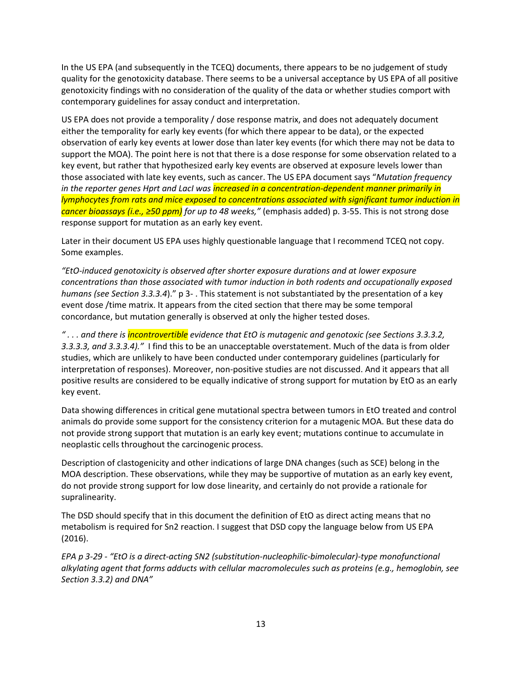In the US EPA (and subsequently in the TCEQ) documents, there appears to be no judgement of study quality for the genotoxicity database. There seems to be a universal acceptance by US EPA of all positive genotoxicity findings with no consideration of the quality of the data or whether studies comport with contemporary guidelines for assay conduct and interpretation.

US EPA does not provide a temporality / dose response matrix, and does not adequately document either the temporality for early key events (for which there appear to be data), or the expected observation of early key events at lower dose than later key events (for which there may not be data to support the MOA). The point here is not that there is a dose response for some observation related to a key event, but rather that hypothesized early key events are observed at exposure levels lower than those associated with late key events, such as cancer. The US EPA document says "*Mutation frequency in the reporter genes Hprt and LacI was increased in a concentration-dependent manner primarily in lymphocytes from rats and mice exposed to concentrations associated with significant tumor induction in cancer bioassays (i.e., ≥50 ppm) for up to 48 weeks,"* (emphasis added) p. 3-55. This is not strong dose response support for mutation as an early key event.

Later in their document US EPA uses highly questionable language that I recommend TCEQ not copy. Some examples.

*"EtO-induced genotoxicity is observed after shorter exposure durations and at lower exposure concentrations than those associated with tumor induction in both rodents and occupationally exposed humans (see Section 3.3.3.4*)." p 3- . This statement is not substantiated by the presentation of a key event dose /time matrix. It appears from the cited section that there may be some temporal concordance, but mutation generally is observed at only the higher tested doses.

*" . . . and there is incontrovertible evidence that EtO is mutagenic and genotoxic (see Sections 3.3.3.2, 3.3.3.3, and 3.3.3.4)."* I find this to be an unacceptable overstatement. Much of the data is from older studies, which are unlikely to have been conducted under contemporary guidelines (particularly for interpretation of responses). Moreover, non-positive studies are not discussed. And it appears that all positive results are considered to be equally indicative of strong support for mutation by EtO as an early key event.

Data showing differences in critical gene mutational spectra between tumors in EtO treated and control animals do provide some support for the consistency criterion for a mutagenic MOA. But these data do not provide strong support that mutation is an early key event; mutations continue to accumulate in neoplastic cells throughout the carcinogenic process.

Description of clastogenicity and other indications of large DNA changes (such as SCE) belong in the MOA description. These observations, while they may be supportive of mutation as an early key event, do not provide strong support for low dose linearity, and certainly do not provide a rationale for supralinearity.

The DSD should specify that in this document the definition of EtO as direct acting means that no metabolism is required for Sn2 reaction. I suggest that DSD copy the language below from US EPA (2016).

*EPA p 3-29 - "EtO is a direct-acting SN2 (substitution-nucleophilic-bimolecular)-type monofunctional alkylating agent that forms adducts with cellular macromolecules such as proteins (e.g., hemoglobin, see Section 3.3.2) and DNA"*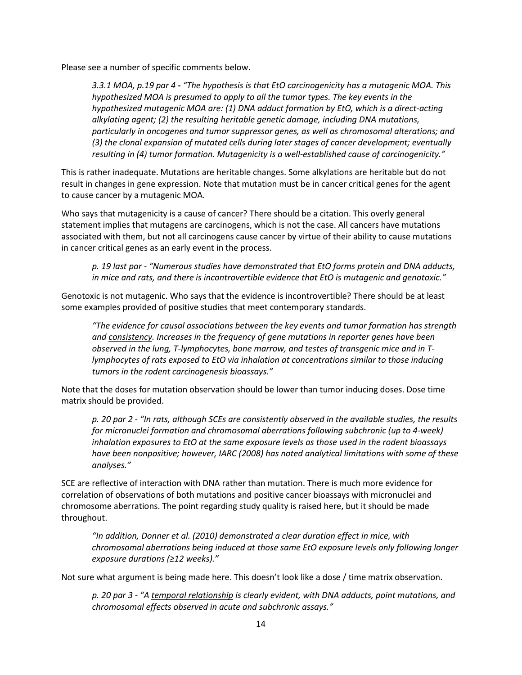Please see a number of specific comments below.

*3.3.1 MOA, p.19 par 4 - "The hypothesis is that EtO carcinogenicity has a mutagenic MOA. This hypothesized MOA is presumed to apply to all the tumor types. The key events in the hypothesized mutagenic MOA are: (1) DNA adduct formation by EtO, which is a direct-acting alkylating agent; (2) the resulting heritable genetic damage, including DNA mutations, particularly in oncogenes and tumor suppressor genes, as well as chromosomal alterations; and (3) the clonal expansion of mutated cells during later stages of cancer development; eventually resulting in (4) tumor formation. Mutagenicity is a well-established cause of carcinogenicity."*

This is rather inadequate. Mutations are heritable changes. Some alkylations are heritable but do not result in changes in gene expression. Note that mutation must be in cancer critical genes for the agent to cause cancer by a mutagenic MOA.

Who says that mutagenicity is a cause of cancer? There should be a citation. This overly general statement implies that mutagens are carcinogens, which is not the case. All cancers have mutations associated with them, but not all carcinogens cause cancer by virtue of their ability to cause mutations in cancer critical genes as an early event in the process.

*p. 19 last par - "Numerous studies have demonstrated that EtO forms protein and DNA adducts, in mice and rats, and there is incontrovertible evidence that EtO is mutagenic and genotoxic."* 

Genotoxic is not mutagenic. Who says that the evidence is incontrovertible? There should be at least some examples provided of positive studies that meet contemporary standards.

*"The evidence for causal associations between the key events and tumor formation has strength and consistency. Increases in the frequency of gene mutations in reporter genes have been observed in the lung, T-lymphocytes, bone marrow, and testes of transgenic mice and in Tlymphocytes of rats exposed to EtO via inhalation at concentrations similar to those inducing tumors in the rodent carcinogenesis bioassays."* 

Note that the doses for mutation observation should be lower than tumor inducing doses. Dose time matrix should be provided.

*p. 20 par 2 - "In rats, although SCEs are consistently observed in the available studies, the results for micronuclei formation and chromosomal aberrations following subchronic (up to 4-week) inhalation exposures to EtO at the same exposure levels as those used in the rodent bioassays have been nonpositive; however, IARC (2008) has noted analytical limitations with some of these analyses."*

SCE are reflective of interaction with DNA rather than mutation. There is much more evidence for correlation of observations of both mutations and positive cancer bioassays with micronuclei and chromosome aberrations. The point regarding study quality is raised here, but it should be made throughout.

*"In addition, Donner et al. (2010) demonstrated a clear duration effect in mice, with chromosomal aberrations being induced at those same EtO exposure levels only following longer exposure durations (≥12 weeks)."*

Not sure what argument is being made here. This doesn't look like a dose / time matrix observation.

*p. 20 par 3 - "A temporal relationship is clearly evident, with DNA adducts, point mutations, and chromosomal effects observed in acute and subchronic assays."*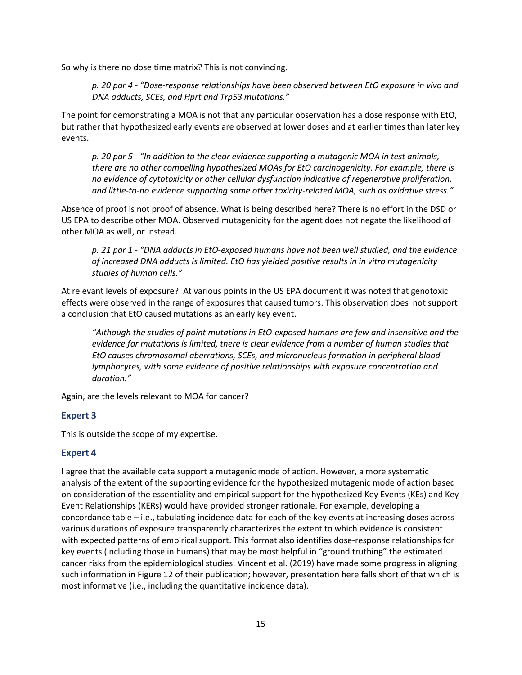So why is there no dose time matrix? This is not convincing.

*p. 20 par 4 - "Dose-response relationships have been observed between EtO exposure in vivo and DNA adducts, SCEs, and Hprt and Trp53 mutations."*

The point for demonstrating a MOA is not that any particular observation has a dose response with EtO, but rather that hypothesized early events are observed at lower doses and at earlier times than later key events.

*p. 20 par 5 - "In addition to the clear evidence supporting a mutagenic MOA in test animals, there are no other compelling hypothesized MOAs for EtO carcinogenicity. For example, there is no evidence of cytotoxicity or other cellular dysfunction indicative of regenerative proliferation, and little-to-no evidence supporting some other toxicity-related MOA, such as oxidative stress."*

Absence of proof is not proof of absence. What is being described here? There is no effort in the DSD or US EPA to describe other MOA. Observed mutagenicity for the agent does not negate the likelihood of other MOA as well, or instead.

*p. 21 par 1 - "DNA adducts in EtO-exposed humans have not been well studied, and the evidence of increased DNA adducts is limited. EtO has yielded positive results in in vitro mutagenicity studies of human cells."* 

At relevant levels of exposure? At various points in the US EPA document it was noted that genotoxic effects were observed in the range of exposures that caused tumors. This observation does not support a conclusion that EtO caused mutations as an early key event.

*"Although the studies of point mutations in EtO-exposed humans are few and insensitive and the evidence for mutations is limited, there is clear evidence from a number of human studies that EtO causes chromosomal aberrations, SCEs, and micronucleus formation in peripheral blood lymphocytes, with some evidence of positive relationships with exposure concentration and duration."*

Again, are the levels relevant to MOA for cancer?

## **Expert 3**

This is outside the scope of my expertise.

## **Expert 4**

I agree that the available data support a mutagenic mode of action. However, a more systematic analysis of the extent of the supporting evidence for the hypothesized mutagenic mode of action based on consideration of the essentiality and empirical support for the hypothesized Key Events (KEs) and Key Event Relationships (KERs) would have provided stronger rationale. For example, developing a concordance table – i.e., tabulating incidence data for each of the key events at increasing doses across various durations of exposure transparently characterizes the extent to which evidence is consistent with expected patterns of empirical support. This format also identifies dose-response relationships for key events (including those in humans) that may be most helpful in "ground truthing" the estimated cancer risks from the epidemiological studies. Vincent et al. (2019) have made some progress in aligning such information in Figure 12 of their publication; however, presentation here falls short of that which is most informative (i.e., including the quantitative incidence data).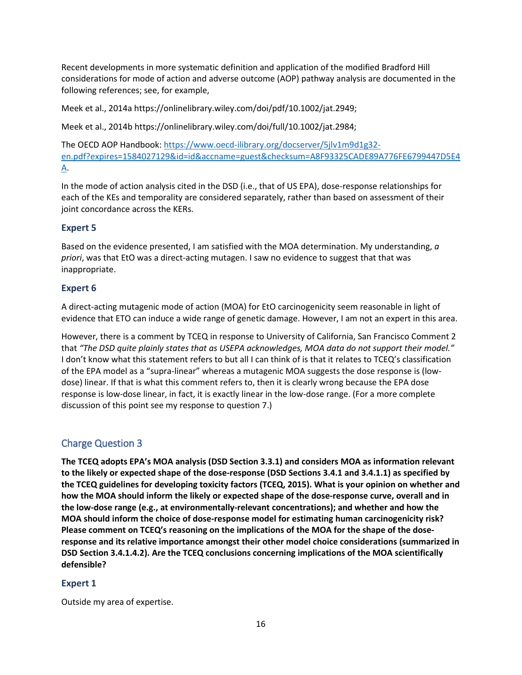Recent developments in more systematic definition and application of the modified Bradford Hill considerations for mode of action and adverse outcome (AOP) pathway analysis are documented in the following references; see, for example,

Meek et al., 2014a https://onlinelibrary.wiley.com/doi/pdf/10.1002/jat.2949;

Meek et al., 2014b https://onlinelibrary.wiley.com/doi/full/10.1002/jat.2984;

The OECD AOP Handbook: [https://www.oecd-ilibrary.org/docserver/5jlv1m9d1g32](https://www.oecd-ilibrary.org/docserver/5jlv1m9d1g32-en.pdf?expires=1584027129&id=id&accname=guest&checksum=A8F93325CADE89A776FE6799447D5E4A) [en.pdf?expires=1584027129&id=id&accname=guest&checksum=A8F93325CADE89A776FE6799447D5E4](https://www.oecd-ilibrary.org/docserver/5jlv1m9d1g32-en.pdf?expires=1584027129&id=id&accname=guest&checksum=A8F93325CADE89A776FE6799447D5E4A) [A.](https://www.oecd-ilibrary.org/docserver/5jlv1m9d1g32-en.pdf?expires=1584027129&id=id&accname=guest&checksum=A8F93325CADE89A776FE6799447D5E4A)

In the mode of action analysis cited in the DSD (i.e., that of US EPA), dose-response relationships for each of the KEs and temporality are considered separately, rather than based on assessment of their joint concordance across the KERs.

## **Expert 5**

Based on the evidence presented, I am satisfied with the MOA determination. My understanding, *a priori*, was that EtO was a direct-acting mutagen. I saw no evidence to suggest that that was inappropriate.

## **Expert 6**

A direct-acting mutagenic mode of action (MOA) for EtO carcinogenicity seem reasonable in light of evidence that ETO can induce a wide range of genetic damage. However, I am not an expert in this area.

However, there is a comment by TCEQ in response to University of California, San Francisco Comment 2 that *"The DSD quite plainly states that as USEPA acknowledges, MOA data do not support their model."* I don't know what this statement refers to but all I can think of is that it relates to TCEQ's classification of the EPA model as a "supra-linear" whereas a mutagenic MOA suggests the dose response is (lowdose) linear. If that is what this comment refers to, then it is clearly wrong because the EPA dose response is low-dose linear, in fact, it is exactly linear in the low-dose range. (For a more complete discussion of this point see my response to question 7.)

## <span id="page-15-0"></span>Charge Question 3

**The TCEQ adopts EPA's MOA analysis (DSD Section 3.3.1) and considers MOA as information relevant to the likely or expected shape of the dose-response (DSD Sections 3.4.1 and 3.4.1.1) as specified by the TCEQ guidelines for developing toxicity factors (TCEQ, 2015). What is your opinion on whether and how the MOA should inform the likely or expected shape of the dose-response curve, overall and in the low-dose range (e.g., at environmentally-relevant concentrations); and whether and how the MOA should inform the choice of dose-response model for estimating human carcinogenicity risk? Please comment on TCEQ's reasoning on the implications of the MOA for the shape of the doseresponse and its relative importance amongst their other model choice considerations (summarized in DSD Section 3.4.1.4.2). Are the TCEQ conclusions concerning implications of the MOA scientifically defensible?**

## **Expert 1**

Outside my area of expertise.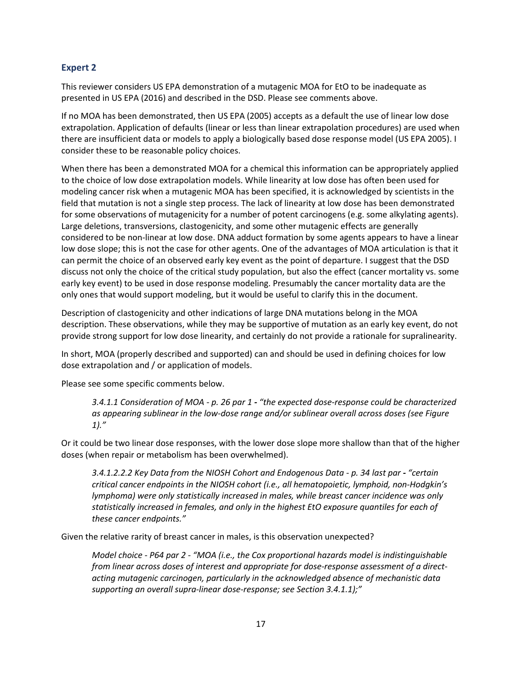## **Expert 2**

This reviewer considers US EPA demonstration of a mutagenic MOA for EtO to be inadequate as presented in US EPA (2016) and described in the DSD. Please see comments above.

If no MOA has been demonstrated, then US EPA (2005) accepts as a default the use of linear low dose extrapolation. Application of defaults (linear or less than linear extrapolation procedures) are used when there are insufficient data or models to apply a biologically based dose response model (US EPA 2005). I consider these to be reasonable policy choices.

When there has been a demonstrated MOA for a chemical this information can be appropriately applied to the choice of low dose extrapolation models. While linearity at low dose has often been used for modeling cancer risk when a mutagenic MOA has been specified, it is acknowledged by scientists in the field that mutation is not a single step process. The lack of linearity at low dose has been demonstrated for some observations of mutagenicity for a number of potent carcinogens (e.g. some alkylating agents). Large deletions, transversions, clastogenicity, and some other mutagenic effects are generally considered to be non-linear at low dose. DNA adduct formation by some agents appears to have a linear low dose slope; this is not the case for other agents. One of the advantages of MOA articulation is that it can permit the choice of an observed early key event as the point of departure. I suggest that the DSD discuss not only the choice of the critical study population, but also the effect (cancer mortality vs. some early key event) to be used in dose response modeling. Presumably the cancer mortality data are the only ones that would support modeling, but it would be useful to clarify this in the document.

Description of clastogenicity and other indications of large DNA mutations belong in the MOA description. These observations, while they may be supportive of mutation as an early key event, do not provide strong support for low dose linearity, and certainly do not provide a rationale for supralinearity.

In short, MOA (properly described and supported) can and should be used in defining choices for low dose extrapolation and / or application of models.

Please see some specific comments below.

*3.4.1.1 Consideration of MOA - p. 26 par 1 - "the expected dose-response could be characterized as appearing sublinear in the low-dose range and/or sublinear overall across doses (see Figure 1)."* 

Or it could be two linear dose responses, with the lower dose slope more shallow than that of the higher doses (when repair or metabolism has been overwhelmed).

*3.4.1.2.2.2 Key Data from the NIOSH Cohort and Endogenous Data - p. 34 last par - "certain critical cancer endpoints in the NIOSH cohort (i.e., all hematopoietic, lymphoid, non-Hodgkin's lymphoma) were only statistically increased in males, while breast cancer incidence was only statistically increased in females, and only in the highest EtO exposure quantiles for each of these cancer endpoints."*

Given the relative rarity of breast cancer in males, is this observation unexpected?

*Model choice - P64 par 2 - "MOA (i.e., the Cox proportional hazards model is indistinguishable from linear across doses of interest and appropriate for dose-response assessment of a directacting mutagenic carcinogen, particularly in the acknowledged absence of mechanistic data supporting an overall supra-linear dose-response; see Section 3.4.1.1);"*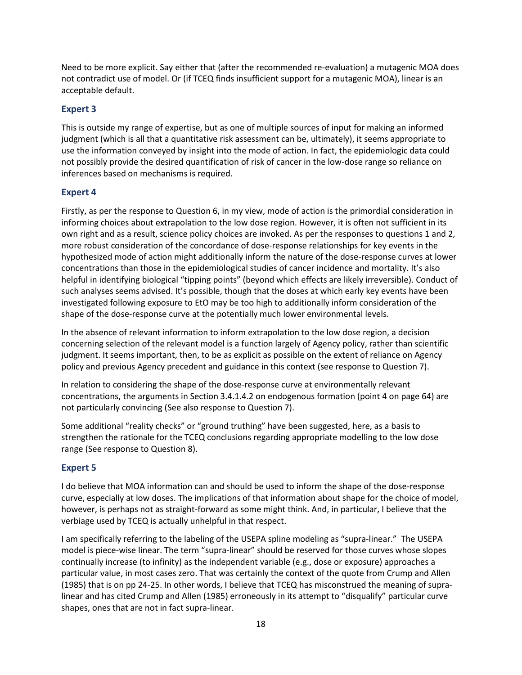Need to be more explicit. Say either that (after the recommended re-evaluation) a mutagenic MOA does not contradict use of model. Or (if TCEQ finds insufficient support for a mutagenic MOA), linear is an acceptable default.

## **Expert 3**

This is outside my range of expertise, but as one of multiple sources of input for making an informed judgment (which is all that a quantitative risk assessment can be, ultimately), it seems appropriate to use the information conveyed by insight into the mode of action. In fact, the epidemiologic data could not possibly provide the desired quantification of risk of cancer in the low-dose range so reliance on inferences based on mechanisms is required.

## **Expert 4**

Firstly, as per the response to Question 6, in my view, mode of action is the primordial consideration in informing choices about extrapolation to the low dose region. However, it is often not sufficient in its own right and as a result, science policy choices are invoked. As per the responses to questions 1 and 2, more robust consideration of the concordance of dose-response relationships for key events in the hypothesized mode of action might additionally inform the nature of the dose-response curves at lower concentrations than those in the epidemiological studies of cancer incidence and mortality. It's also helpful in identifying biological "tipping points" (beyond which effects are likely irreversible). Conduct of such analyses seems advised. It's possible, though that the doses at which early key events have been investigated following exposure to EtO may be too high to additionally inform consideration of the shape of the dose-response curve at the potentially much lower environmental levels.

In the absence of relevant information to inform extrapolation to the low dose region, a decision concerning selection of the relevant model is a function largely of Agency policy, rather than scientific judgment. It seems important, then, to be as explicit as possible on the extent of reliance on Agency policy and previous Agency precedent and guidance in this context (see response to Question 7).

In relation to considering the shape of the dose-response curve at environmentally relevant concentrations, the arguments in Section 3.4.1.4.2 on endogenous formation (point 4 on page 64) are not particularly convincing (See also response to Question 7).

Some additional "reality checks" or "ground truthing" have been suggested, here, as a basis to strengthen the rationale for the TCEQ conclusions regarding appropriate modelling to the low dose range (See response to Question 8).

## **Expert 5**

I do believe that MOA information can and should be used to inform the shape of the dose-response curve, especially at low doses. The implications of that information about shape for the choice of model, however, is perhaps not as straight-forward as some might think. And, in particular, I believe that the verbiage used by TCEQ is actually unhelpful in that respect.

I am specifically referring to the labeling of the USEPA spline modeling as "supra-linear." The USEPA model is piece-wise linear. The term "supra-linear" should be reserved for those curves whose slopes continually increase (to infinity) as the independent variable (e.g., dose or exposure) approaches a particular value, in most cases zero. That was certainly the context of the quote from Crump and Allen (1985) that is on pp 24-25. In other words, I believe that TCEQ has misconstrued the meaning of supralinear and has cited Crump and Allen (1985) erroneously in its attempt to "disqualify" particular curve shapes, ones that are not in fact supra-linear.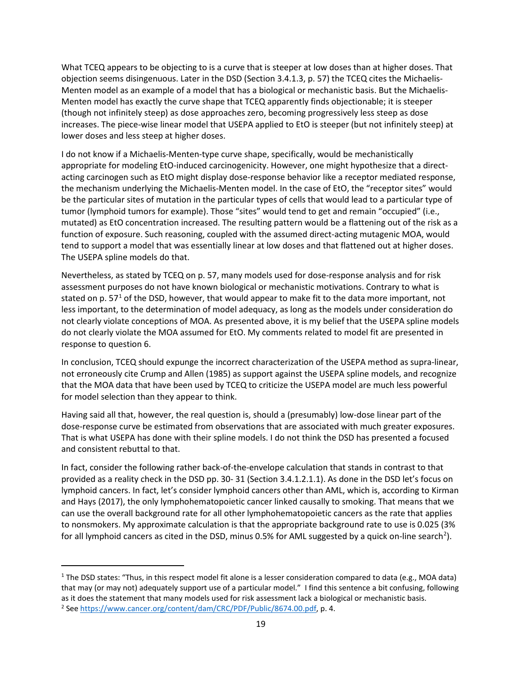What TCEQ appears to be objecting to is a curve that is steeper at low doses than at higher doses. That objection seems disingenuous. Later in the DSD (Section 3.4.1.3, p. 57) the TCEQ cites the Michaelis-Menten model as an example of a model that has a biological or mechanistic basis. But the Michaelis-Menten model has exactly the curve shape that TCEQ apparently finds objectionable; it is steeper (though not infinitely steep) as dose approaches zero, becoming progressively less steep as dose increases. The piece-wise linear model that USEPA applied to EtO is steeper (but not infinitely steep) at lower doses and less steep at higher doses.

I do not know if a Michaelis-Menten-type curve shape, specifically, would be mechanistically appropriate for modeling EtO-induced carcinogenicity. However, one might hypothesize that a directacting carcinogen such as EtO might display dose-response behavior like a receptor mediated response, the mechanism underlying the Michaelis-Menten model. In the case of EtO, the "receptor sites" would be the particular sites of mutation in the particular types of cells that would lead to a particular type of tumor (lymphoid tumors for example). Those "sites" would tend to get and remain "occupied" (i.e., mutated) as EtO concentration increased. The resulting pattern would be a flattening out of the risk as a function of exposure. Such reasoning, coupled with the assumed direct-acting mutagenic MOA, would tend to support a model that was essentially linear at low doses and that flattened out at higher doses. The USEPA spline models do that.

Nevertheless, as stated by TCEQ on p. 57, many models used for dose-response analysis and for risk assessment purposes do not have known biological or mechanistic motivations. Contrary to what is stated on p.  $57<sup>1</sup>$  $57<sup>1</sup>$  $57<sup>1</sup>$  of the DSD, however, that would appear to make fit to the data more important, not less important, to the determination of model adequacy, as long as the models under consideration do not clearly violate conceptions of MOA. As presented above, it is my belief that the USEPA spline models do not clearly violate the MOA assumed for EtO. My comments related to model fit are presented in response to question 6.

In conclusion, TCEQ should expunge the incorrect characterization of the USEPA method as supra-linear, not erroneously cite Crump and Allen (1985) as support against the USEPA spline models, and recognize that the MOA data that have been used by TCEQ to criticize the USEPA model are much less powerful for model selection than they appear to think.

Having said all that, however, the real question is, should a (presumably) low-dose linear part of the dose-response curve be estimated from observations that are associated with much greater exposures. That is what USEPA has done with their spline models. I do not think the DSD has presented a focused and consistent rebuttal to that.

In fact, consider the following rather back-of-the-envelope calculation that stands in contrast to that provided as a reality check in the DSD pp. 30- 31 (Section 3.4.1.2.1.1). As done in the DSD let's focus on lymphoid cancers. In fact, let's consider lymphoid cancers other than AML, which is, according to Kirman and Hays (2017), the only lymphohematopoietic cancer linked causally to smoking. That means that we can use the overall background rate for all other lymphohematopoietic cancers as the rate that applies to nonsmokers. My approximate calculation is that the appropriate background rate to use is 0.025 (3% for all lymphoid cancers as cited in the DSD, minus 0.5% for AML suggested by a quick on-line search<sup>[2](#page-18-1)</sup>).

l

<span id="page-18-1"></span><span id="page-18-0"></span><sup>1</sup> The DSD states: "Thus, in this respect model fit alone is a lesser consideration compared to data (e.g., MOA data) that may (or may not) adequately support use of a particular model." I find this sentence a bit confusing, following as it does the statement that many models used for risk assessment lack a biological or mechanistic basis. <sup>2</sup> See <https://www.cancer.org/content/dam/CRC/PDF/Public/8674.00.pdf>, p. 4.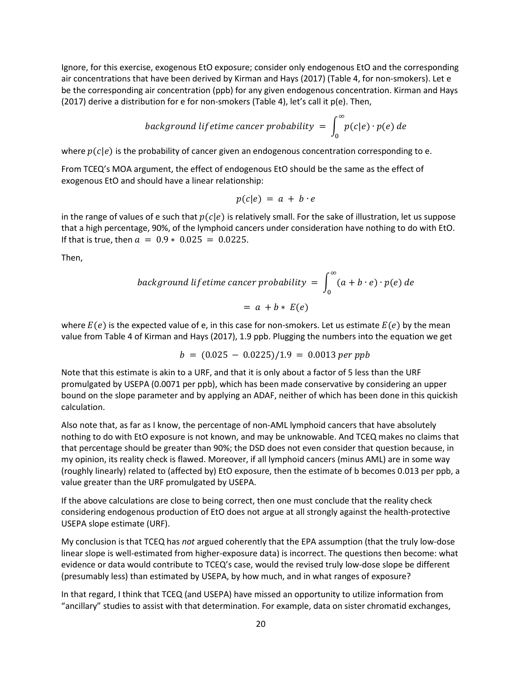Ignore, for this exercise, exogenous EtO exposure; consider only endogenous EtO and the corresponding air concentrations that have been derived by Kirman and Hays (2017) (Table 4, for non-smokers). Let e be the corresponding air concentration (ppb) for any given endogenous concentration. Kirman and Hays (2017) derive a distribution for e for non-smokers (Table 4), let's call it  $p(e)$ . Then,

$$
background\ lifetime\ cancer\ probability = \int_0^\infty p(c|e) \cdot p(e) \ de
$$

where  $p(c | e)$  is the probability of cancer given an endogenous concentration corresponding to e.

From TCEQ's MOA argument, the effect of endogenous EtO should be the same as the effect of exogenous EtO and should have a linear relationship:

$$
p(c|e) = a + b \cdot e
$$

in the range of values of e such that  $p(c|e)$  is relatively small. For the sake of illustration, let us suppose that a high percentage, 90%, of the lymphoid cancers under consideration have nothing to do with EtO. If that is true, then  $a = 0.9 * 0.025 = 0.0225$ .

Then,

$$
background lifetime cancer probability = \int_0^\infty (a + b \cdot e) \cdot p(e) \, de
$$

$$
= a + b * E(e)
$$

where  $E(e)$  is the expected value of e, in this case for non-smokers. Let us estimate  $E(e)$  by the mean value from Table 4 of Kirman and Hays (2017), 1.9 ppb. Plugging the numbers into the equation we get

$$
b = (0.025 - 0.0225)/1.9 = 0.0013 \text{ per ppb}
$$

Note that this estimate is akin to a URF, and that it is only about a factor of 5 less than the URF promulgated by USEPA (0.0071 per ppb), which has been made conservative by considering an upper bound on the slope parameter and by applying an ADAF, neither of which has been done in this quickish calculation.

Also note that, as far as I know, the percentage of non-AML lymphoid cancers that have absolutely nothing to do with EtO exposure is not known, and may be unknowable. And TCEQ makes no claims that that percentage should be greater than 90%; the DSD does not even consider that question because, in my opinion, its reality check is flawed. Moreover, if all lymphoid cancers (minus AML) are in some way (roughly linearly) related to (affected by) EtO exposure, then the estimate of b becomes 0.013 per ppb, a value greater than the URF promulgated by USEPA.

If the above calculations are close to being correct, then one must conclude that the reality check considering endogenous production of EtO does not argue at all strongly against the health-protective USEPA slope estimate (URF).

My conclusion is that TCEQ has *not* argued coherently that the EPA assumption (that the truly low-dose linear slope is well-estimated from higher-exposure data) is incorrect. The questions then become: what evidence or data would contribute to TCEQ's case, would the revised truly low-dose slope be different (presumably less) than estimated by USEPA, by how much, and in what ranges of exposure?

In that regard, I think that TCEQ (and USEPA) have missed an opportunity to utilize information from "ancillary" studies to assist with that determination. For example, data on sister chromatid exchanges,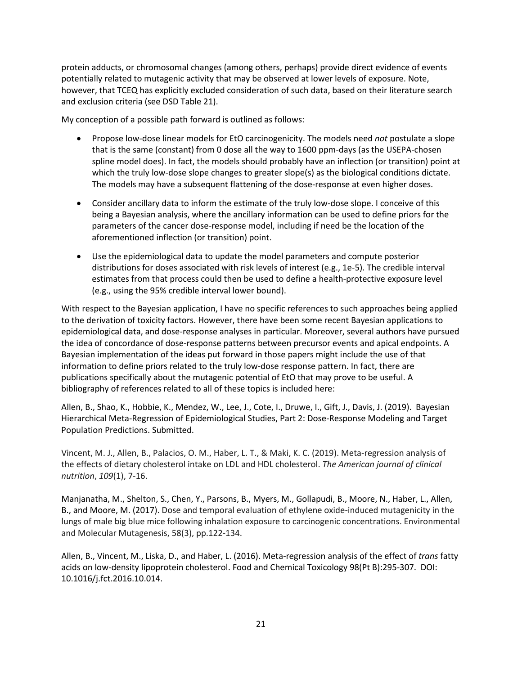protein adducts, or chromosomal changes (among others, perhaps) provide direct evidence of events potentially related to mutagenic activity that may be observed at lower levels of exposure. Note, however, that TCEQ has explicitly excluded consideration of such data, based on their literature search and exclusion criteria (see DSD Table 21).

My conception of a possible path forward is outlined as follows:

- Propose low-dose linear models for EtO carcinogenicity. The models need *not* postulate a slope that is the same (constant) from 0 dose all the way to 1600 ppm-days (as the USEPA-chosen spline model does). In fact, the models should probably have an inflection (or transition) point at which the truly low-dose slope changes to greater slope(s) as the biological conditions dictate. The models may have a subsequent flattening of the dose-response at even higher doses.
- Consider ancillary data to inform the estimate of the truly low-dose slope. I conceive of this being a Bayesian analysis, where the ancillary information can be used to define priors for the parameters of the cancer dose-response model, including if need be the location of the aforementioned inflection (or transition) point.
- Use the epidemiological data to update the model parameters and compute posterior distributions for doses associated with risk levels of interest (e.g., 1e-5). The credible interval estimates from that process could then be used to define a health-protective exposure level (e.g., using the 95% credible interval lower bound).

With respect to the Bayesian application, I have no specific references to such approaches being applied to the derivation of toxicity factors. However, there have been some recent Bayesian applications to epidemiological data, and dose-response analyses in particular. Moreover, several authors have pursued the idea of concordance of dose-response patterns between precursor events and apical endpoints. A Bayesian implementation of the ideas put forward in those papers might include the use of that information to define priors related to the truly low-dose response pattern. In fact, there are publications specifically about the mutagenic potential of EtO that may prove to be useful. A bibliography of references related to all of these topics is included here:

Allen, B., Shao, K., Hobbie, K., Mendez, W., Lee, J., Cote, I., Druwe, I., Gift, J., Davis, J. (2019). Bayesian Hierarchical Meta-Regression of Epidemiological Studies, Part 2: Dose-Response Modeling and Target Population Predictions. Submitted.

Vincent, M. J., Allen, B., Palacios, O. M., Haber, L. T., & Maki, K. C. (2019). Meta-regression analysis of the effects of dietary cholesterol intake on LDL and HDL cholesterol. *The American journal of clinical nutrition*, *109*(1), 7-16.

Manjanatha, M., Shelton, S., Chen, Y., Parsons, B., Myers, M., Gollapudi, B., Moore, N., Haber, L., Allen, B., and Moore, M. (2017). Dose and temporal evaluation of ethylene oxide-induced mutagenicity in the lungs of male big blue mice following inhalation exposure to carcinogenic concentrations. Environmental and Molecular Mutagenesis, 58(3), pp.122-134.

Allen, B., Vincent, M., Liska, D., and Haber, L. (2016). Meta-regression analysis of the effect of *trans* fatty acids on low-density lipoprotein cholesterol. Food and Chemical Toxicology 98(Pt B):295-307. DOI: 10.1016/j.fct.2016.10.014.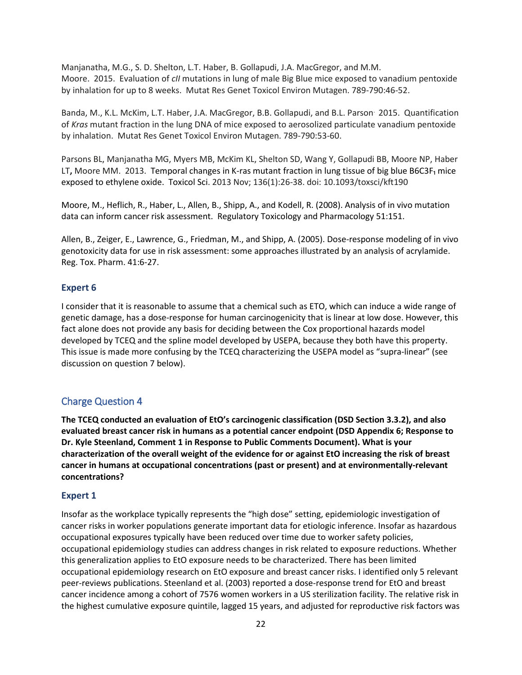Manjanatha, M.G., S. D. Shelton, L.T. Haber, B. Gollapudi, J.A. MacGregor, and M.M. Moore. 2015. Evaluation of *cII* mutations in lung of male Big Blue mice exposed to vanadium pentoxide by inhalation for up to 8 weeks. Mutat Res Genet Toxicol Environ Mutagen. 789-790:46-52.

Banda, M., K.L. McKim, L.T. Haber, J.A. MacGregor, B.B. Gollapudi, and B.L. Parson. 2015. Quantification of *Kras* mutant fraction in the lung DNA of mice exposed to aerosolized particulate vanadium pentoxide by inhalation. Mutat Res Genet Toxicol Environ Mutagen. 789-790:53-60.

Parsons BL, Manjanatha MG, Myers MB, McKim KL, Shelton SD, Wang Y, Gollapudi BB, Moore NP, Haber LT**,** Moore MM. 2013. [Temporal](http://www.ncbi.nlm.nih.gov/pubmed/24029818) changes in K-ras mutant fraction in lung tissue of big blue B6C3F₁ mice exposed to [ethylene](http://www.ncbi.nlm.nih.gov/pubmed/24029818) oxide. Toxicol Sci. 2013 Nov; 136(1):26-38. doi: 10.1093/toxsci/kft190

Moore, M., Heflich, R., Haber, L., Allen, B., Shipp, A., and Kodell, R. (2008). Analysis of in vivo mutation data can inform cancer risk assessment. Regulatory Toxicology and Pharmacology 51:151.

Allen, B., Zeiger, E., Lawrence, G., Friedman, M., and Shipp, A. (2005). Dose-response modeling of in vivo genotoxicity data for use in risk assessment: some approaches illustrated by an analysis of acrylamide. Reg. Tox. Pharm. 41:6-27.

#### **Expert 6**

I consider that it is reasonable to assume that a chemical such as ETO, which can induce a wide range of genetic damage, has a dose-response for human carcinogenicity that is linear at low dose. However, this fact alone does not provide any basis for deciding between the Cox proportional hazards model developed by TCEQ and the spline model developed by USEPA, because they both have this property. This issue is made more confusing by the TCEQ characterizing the USEPA model as "supra-linear" (see discussion on question 7 below).

## <span id="page-21-0"></span>Charge Question 4

**The TCEQ conducted an evaluation of EtO's carcinogenic classification (DSD Section 3.3.2), and also evaluated breast cancer risk in humans as a potential cancer endpoint (DSD Appendix 6; Response to Dr. Kyle Steenland, Comment 1 in Response to Public Comments Document). What is your characterization of the overall weight of the evidence for or against EtO increasing the risk of breast cancer in humans at occupational concentrations (past or present) and at environmentally-relevant concentrations?**

#### **Expert 1**

Insofar as the workplace typically represents the "high dose" setting, epidemiologic investigation of cancer risks in worker populations generate important data for etiologic inference. Insofar as hazardous occupational exposures typically have been reduced over time due to worker safety policies, occupational epidemiology studies can address changes in risk related to exposure reductions. Whether this generalization applies to EtO exposure needs to be characterized. There has been limited occupational epidemiology research on EtO exposure and breast cancer risks. I identified only 5 relevant peer-reviews publications. Steenland et al. (2003) reported a dose-response trend for EtO and breast cancer incidence among a cohort of 7576 women workers in a US sterilization facility. The relative risk in the highest cumulative exposure quintile, lagged 15 years, and adjusted for reproductive risk factors was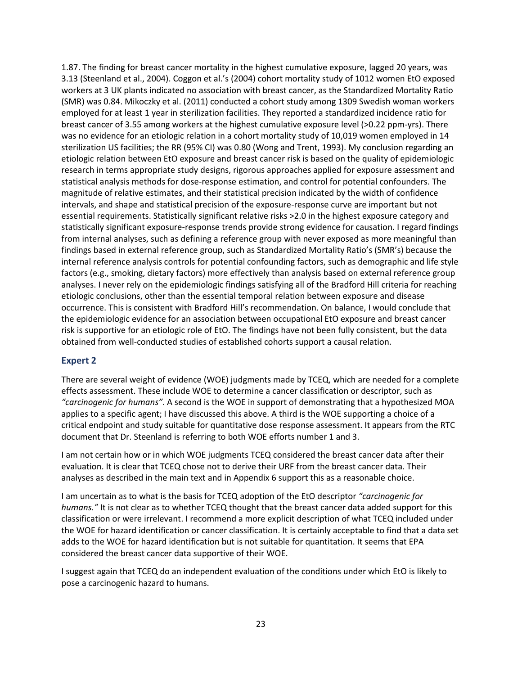1.87. The finding for breast cancer mortality in the highest cumulative exposure, lagged 20 years, was 3.13 (Steenland et al., 2004). Coggon et al.'s (2004) cohort mortality study of 1012 women EtO exposed workers at 3 UK plants indicated no association with breast cancer, as the Standardized Mortality Ratio (SMR) was 0.84. Mikoczky et al. (2011) conducted a cohort study among 1309 Swedish woman workers employed for at least 1 year in sterilization facilities. They reported a standardized incidence ratio for breast cancer of 3.55 among workers at the highest cumulative exposure level (>0.22 ppm-yrs). There was no evidence for an etiologic relation in a cohort mortality study of 10,019 women employed in 14 sterilization US facilities; the RR (95% CI) was 0.80 (Wong and Trent, 1993). My conclusion regarding an etiologic relation between EtO exposure and breast cancer risk is based on the quality of epidemiologic research in terms appropriate study designs, rigorous approaches applied for exposure assessment and statistical analysis methods for dose-response estimation, and control for potential confounders. The magnitude of relative estimates, and their statistical precision indicated by the width of confidence intervals, and shape and statistical precision of the exposure-response curve are important but not essential requirements. Statistically significant relative risks >2.0 in the highest exposure category and statistically significant exposure-response trends provide strong evidence for causation. I regard findings from internal analyses, such as defining a reference group with never exposed as more meaningful than findings based in external reference group, such as Standardized Mortality Ratio's (SMR's) because the internal reference analysis controls for potential confounding factors, such as demographic and life style factors (e.g., smoking, dietary factors) more effectively than analysis based on external reference group analyses. I never rely on the epidemiologic findings satisfying all of the Bradford Hill criteria for reaching etiologic conclusions, other than the essential temporal relation between exposure and disease occurrence. This is consistent with Bradford Hill's recommendation. On balance, I would conclude that the epidemiologic evidence for an association between occupational EtO exposure and breast cancer risk is supportive for an etiologic role of EtO. The findings have not been fully consistent, but the data obtained from well-conducted studies of established cohorts support a causal relation.

## **Expert 2**

There are several weight of evidence (WOE) judgments made by TCEQ, which are needed for a complete effects assessment. These include WOE to determine a cancer classification or descriptor, such as *"carcinogenic for humans"*. A second is the WOE in support of demonstrating that a hypothesized MOA applies to a specific agent; I have discussed this above. A third is the WOE supporting a choice of a critical endpoint and study suitable for quantitative dose response assessment. It appears from the RTC document that Dr. Steenland is referring to both WOE efforts number 1 and 3.

I am not certain how or in which WOE judgments TCEQ considered the breast cancer data after their evaluation. It is clear that TCEQ chose not to derive their URF from the breast cancer data. Their analyses as described in the main text and in Appendix 6 support this as a reasonable choice.

I am uncertain as to what is the basis for TCEQ adoption of the EtO descriptor *"carcinogenic for humans."* It is not clear as to whether TCEQ thought that the breast cancer data added support for this classification or were irrelevant. I recommend a more explicit description of what TCEQ included under the WOE for hazard identification or cancer classification. It is certainly acceptable to find that a data set adds to the WOE for hazard identification but is not suitable for quantitation. It seems that EPA considered the breast cancer data supportive of their WOE.

I suggest again that TCEQ do an independent evaluation of the conditions under which EtO is likely to pose a carcinogenic hazard to humans.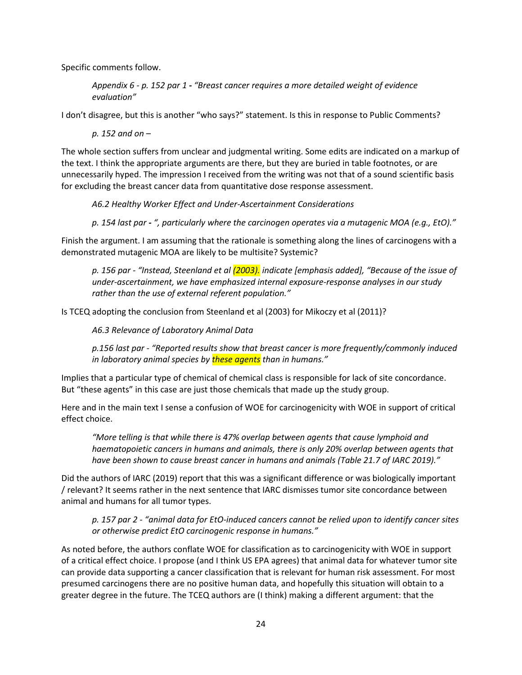Specific comments follow.

*Appendix 6 - p. 152 par 1 - "Breast cancer requires a more detailed weight of evidence evaluation"*

I don't disagree, but this is another "who says?" statement. Is this in response to Public Comments?

*p. 152 and on –*

The whole section suffers from unclear and judgmental writing. Some edits are indicated on a markup of the text. I think the appropriate arguments are there, but they are buried in table footnotes, or are unnecessarily hyped. The impression I received from the writing was not that of a sound scientific basis for excluding the breast cancer data from quantitative dose response assessment.

*A6.2 Healthy Worker Effect and Under-Ascertainment Considerations*

*p. 154 last par - ", particularly where the carcinogen operates via a mutagenic MOA (e.g., EtO)."*

Finish the argument. I am assuming that the rationale is something along the lines of carcinogens with a demonstrated mutagenic MOA are likely to be multisite? Systemic?

*p. 156 par - "Instead, Steenland et al (2003). indicate [emphasis added], "Because of the issue of under-ascertainment, we have emphasized internal exposure-response analyses in our study rather than the use of external referent population."*

Is TCEQ adopting the conclusion from Steenland et al (2003) for Mikoczy et al (2011)?

*A6.3 Relevance of Laboratory Animal Data*

*p.156 last par - "Reported results show that breast cancer is more frequently/commonly induced in laboratory animal species by these agents than in humans."*

Implies that a particular type of chemical of chemical class is responsible for lack of site concordance. But "these agents" in this case are just those chemicals that made up the study group.

Here and in the main text I sense a confusion of WOE for carcinogenicity with WOE in support of critical effect choice.

*"More telling is that while there is 47% overlap between agents that cause lymphoid and haematopoietic cancers in humans and animals, there is only 20% overlap between agents that have been shown to cause breast cancer in humans and animals (Table 21.7 of IARC 2019)."*

Did the authors of IARC (2019) report that this was a significant difference or was biologically important / relevant? It seems rather in the next sentence that IARC dismisses tumor site concordance between animal and humans for all tumor types.

*p. 157 par 2 - "animal data for EtO-induced cancers cannot be relied upon to identify cancer sites or otherwise predict EtO carcinogenic response in humans."*

As noted before, the authors conflate WOE for classification as to carcinogenicity with WOE in support of a critical effect choice. I propose (and I think US EPA agrees) that animal data for whatever tumor site can provide data supporting a cancer classification that is relevant for human risk assessment. For most presumed carcinogens there are no positive human data, and hopefully this situation will obtain to a greater degree in the future. The TCEQ authors are (I think) making a different argument: that the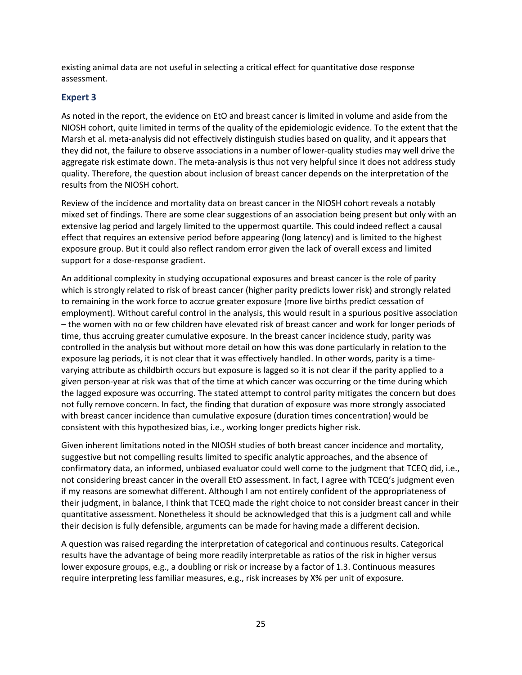existing animal data are not useful in selecting a critical effect for quantitative dose response assessment.

## **Expert 3**

As noted in the report, the evidence on EtO and breast cancer is limited in volume and aside from the NIOSH cohort, quite limited in terms of the quality of the epidemiologic evidence. To the extent that the Marsh et al. meta-analysis did not effectively distinguish studies based on quality, and it appears that they did not, the failure to observe associations in a number of lower-quality studies may well drive the aggregate risk estimate down. The meta-analysis is thus not very helpful since it does not address study quality. Therefore, the question about inclusion of breast cancer depends on the interpretation of the results from the NIOSH cohort.

Review of the incidence and mortality data on breast cancer in the NIOSH cohort reveals a notably mixed set of findings. There are some clear suggestions of an association being present but only with an extensive lag period and largely limited to the uppermost quartile. This could indeed reflect a causal effect that requires an extensive period before appearing (long latency) and is limited to the highest exposure group. But it could also reflect random error given the lack of overall excess and limited support for a dose-response gradient.

An additional complexity in studying occupational exposures and breast cancer is the role of parity which is strongly related to risk of breast cancer (higher parity predicts lower risk) and strongly related to remaining in the work force to accrue greater exposure (more live births predict cessation of employment). Without careful control in the analysis, this would result in a spurious positive association – the women with no or few children have elevated risk of breast cancer and work for longer periods of time, thus accruing greater cumulative exposure. In the breast cancer incidence study, parity was controlled in the analysis but without more detail on how this was done particularly in relation to the exposure lag periods, it is not clear that it was effectively handled. In other words, parity is a timevarying attribute as childbirth occurs but exposure is lagged so it is not clear if the parity applied to a given person-year at risk was that of the time at which cancer was occurring or the time during which the lagged exposure was occurring. The stated attempt to control parity mitigates the concern but does not fully remove concern. In fact, the finding that duration of exposure was more strongly associated with breast cancer incidence than cumulative exposure (duration times concentration) would be consistent with this hypothesized bias, i.e., working longer predicts higher risk.

Given inherent limitations noted in the NIOSH studies of both breast cancer incidence and mortality, suggestive but not compelling results limited to specific analytic approaches, and the absence of confirmatory data, an informed, unbiased evaluator could well come to the judgment that TCEQ did, i.e., not considering breast cancer in the overall EtO assessment. In fact, I agree with TCEQ's judgment even if my reasons are somewhat different. Although I am not entirely confident of the appropriateness of their judgment, in balance, I think that TCEQ made the right choice to not consider breast cancer in their quantitative assessment. Nonetheless it should be acknowledged that this is a judgment call and while their decision is fully defensible, arguments can be made for having made a different decision.

A question was raised regarding the interpretation of categorical and continuous results. Categorical results have the advantage of being more readily interpretable as ratios of the risk in higher versus lower exposure groups, e.g., a doubling or risk or increase by a factor of 1.3. Continuous measures require interpreting less familiar measures, e.g., risk increases by X% per unit of exposure.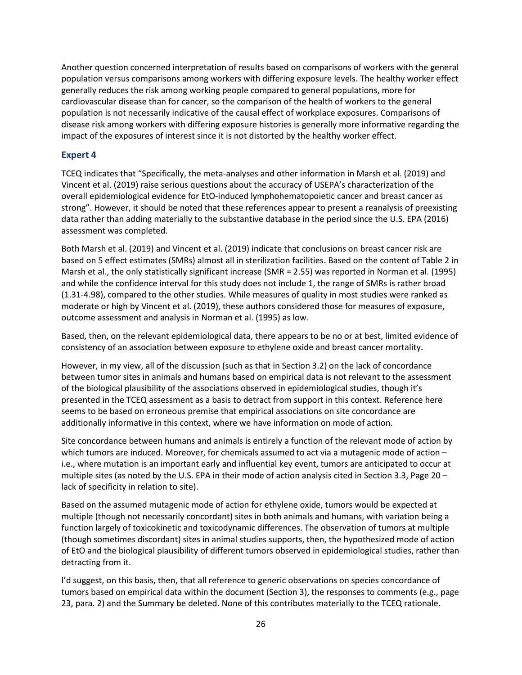Another question concerned interpretation of results based on comparisons of workers with the general population versus comparisons among workers with differing exposure levels. The healthy worker effect generally reduces the risk among working people compared to general populations, more for cardiovascular disease than for cancer, so the comparison of the health of workers to the general population is not necessarily indicative of the causal effect of workplace exposures. Comparisons of disease risk among workers with differing exposure histories is generally more informative regarding the impact of the exposures of interest since it is not distorted by the healthy worker effect.

## **Expert 4**

TCEQ indicates that "Specifically, the meta-analyses and other information in Marsh et al. (2019) and Vincent et al. (2019) raise serious questions about the accuracy of USEPA's characterization of the overall epidemiological evidence for EtO-induced lymphohematopoietic cancer and breast cancer as strong". However, it should be noted that these references appear to present a reanalysis of preexisting data rather than adding materially to the substantive database in the period since the U.S. EPA (2016) assessment was completed.

Both Marsh et al. (2019) and Vincent et al. (2019) indicate that conclusions on breast cancer risk are based on 5 effect estimates (SMRs) almost all in sterilization facilities. Based on the content of Table 2 in Marsh et al., the only statistically significant increase (SMR = 2.55) was reported in Norman et al. (1995) and while the confidence interval for this study does not include 1, the range of SMRs is rather broad (1.31-4.98), compared to the other studies. While measures of quality in most studies were ranked as moderate or high by Vincent et al. (2019), these authors considered those for measures of exposure, outcome assessment and analysis in Norman et al. (1995) as low.

Based, then, on the relevant epidemiological data, there appears to be no or at best, limited evidence of consistency of an association between exposure to ethylene oxide and breast cancer mortality.

However, in my view, all of the discussion (such as that in Section 3.2) on the lack of concordance between tumor sites in animals and humans based on empirical data is not relevant to the assessment of the biological plausibility of the associations observed in epidemiological studies, though it's presented in the TCEQ assessment as a basis to detract from support in this context. Reference here seems to be based on erroneous premise that empirical associations on site concordance are additionally informative in this context, where we have information on mode of action.

Site concordance between humans and animals is entirely a function of the relevant mode of action by which tumors are induced. Moreover, for chemicals assumed to act via a mutagenic mode of action – i.e., where mutation is an important early and influential key event, tumors are anticipated to occur at multiple sites (as noted by the U.S. EPA in their mode of action analysis cited in Section 3.3, Page 20 – lack of specificity in relation to site).

Based on the assumed mutagenic mode of action for ethylene oxide, tumors would be expected at multiple (though not necessarily concordant) sites in both animals and humans, with variation being a function largely of toxicokinetic and toxicodynamic differences. The observation of tumors at multiple (though sometimes discordant) sites in animal studies supports, then, the hypothesized mode of action of EtO and the biological plausibility of different tumors observed in epidemiological studies, rather than detracting from it.

I'd suggest, on this basis, then, that all reference to generic observations on species concordance of tumors based on empirical data within the document (Section 3), the responses to comments (e.g., page 23, para. 2) and the Summary be deleted. None of this contributes materially to the TCEQ rationale.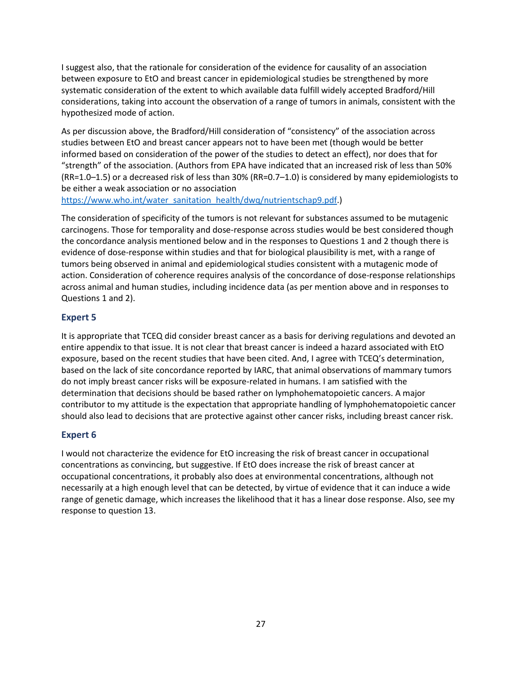I suggest also, that the rationale for consideration of the evidence for causality of an association between exposure to EtO and breast cancer in epidemiological studies be strengthened by more systematic consideration of the extent to which available data fulfill widely accepted Bradford/Hill considerations, taking into account the observation of a range of tumors in animals, consistent with the hypothesized mode of action.

As per discussion above, the Bradford/Hill consideration of "consistency" of the association across studies between EtO and breast cancer appears not to have been met (though would be better informed based on consideration of the power of the studies to detect an effect), nor does that for "strength" of the association. (Authors from EPA have indicated that an increased risk of less than 50% (RR=1.0–1.5) or a decreased risk of less than 30% (RR=0.7–1.0) is considered by many epidemiologists to be either a weak association or no association

[https://www.who.int/water\\_sanitation\\_health/dwq/nutrientschap9.pdf.](https://www.who.int/water_sanitation_health/dwq/nutrientschap9.pdf))

The consideration of specificity of the tumors is not relevant for substances assumed to be mutagenic carcinogens. Those for temporality and dose-response across studies would be best considered though the concordance analysis mentioned below and in the responses to Questions 1 and 2 though there is evidence of dose-response within studies and that for biological plausibility is met, with a range of tumors being observed in animal and epidemiological studies consistent with a mutagenic mode of action. Consideration of coherence requires analysis of the concordance of dose-response relationships across animal and human studies, including incidence data (as per mention above and in responses to Questions 1 and 2).

## **Expert 5**

It is appropriate that TCEQ did consider breast cancer as a basis for deriving regulations and devoted an entire appendix to that issue. It is not clear that breast cancer is indeed a hazard associated with EtO exposure, based on the recent studies that have been cited. And, I agree with TCEQ's determination, based on the lack of site concordance reported by IARC, that animal observations of mammary tumors do not imply breast cancer risks will be exposure-related in humans. I am satisfied with the determination that decisions should be based rather on lymphohematopoietic cancers. A major contributor to my attitude is the expectation that appropriate handling of lymphohematopoietic cancer should also lead to decisions that are protective against other cancer risks, including breast cancer risk.

## **Expert 6**

I would not characterize the evidence for EtO increasing the risk of breast cancer in occupational concentrations as convincing, but suggestive. If EtO does increase the risk of breast cancer at occupational concentrations, it probably also does at environmental concentrations, although not necessarily at a high enough level that can be detected, by virtue of evidence that it can induce a wide range of genetic damage, which increases the likelihood that it has a linear dose response. Also, see my response to question 13.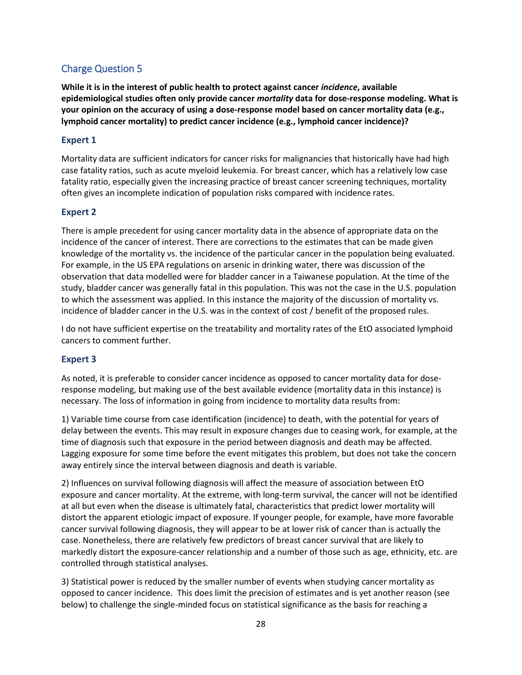## <span id="page-27-0"></span>Charge Question 5

**While it is in the interest of public health to protect against cancer** *incidence***, available epidemiological studies often only provide cancer** *mortality* **data for dose-response modeling. What is your opinion on the accuracy of using a dose-response model based on cancer mortality data (e.g., lymphoid cancer mortality) to predict cancer incidence (e.g., lymphoid cancer incidence)?**

## **Expert 1**

Mortality data are sufficient indicators for cancer risks for malignancies that historically have had high case fatality ratios, such as acute myeloid leukemia. For breast cancer, which has a relatively low case fatality ratio, especially given the increasing practice of breast cancer screening techniques, mortality often gives an incomplete indication of population risks compared with incidence rates.

## **Expert 2**

There is ample precedent for using cancer mortality data in the absence of appropriate data on the incidence of the cancer of interest. There are corrections to the estimates that can be made given knowledge of the mortality vs. the incidence of the particular cancer in the population being evaluated. For example, in the US EPA regulations on arsenic in drinking water, there was discussion of the observation that data modelled were for bladder cancer in a Taiwanese population. At the time of the study, bladder cancer was generally fatal in this population. This was not the case in the U.S. population to which the assessment was applied. In this instance the majority of the discussion of mortality vs. incidence of bladder cancer in the U.S. was in the context of cost / benefit of the proposed rules.

I do not have sufficient expertise on the treatability and mortality rates of the EtO associated lymphoid cancers to comment further.

## **Expert 3**

As noted, it is preferable to consider cancer incidence as opposed to cancer mortality data for doseresponse modeling, but making use of the best available evidence (mortality data in this instance) is necessary. The loss of information in going from incidence to mortality data results from:

1) Variable time course from case identification (incidence) to death, with the potential for years of delay between the events. This may result in exposure changes due to ceasing work, for example, at the time of diagnosis such that exposure in the period between diagnosis and death may be affected. Lagging exposure for some time before the event mitigates this problem, but does not take the concern away entirely since the interval between diagnosis and death is variable.

2) Influences on survival following diagnosis will affect the measure of association between EtO exposure and cancer mortality. At the extreme, with long-term survival, the cancer will not be identified at all but even when the disease is ultimately fatal, characteristics that predict lower mortality will distort the apparent etiologic impact of exposure. If younger people, for example, have more favorable cancer survival following diagnosis, they will appear to be at lower risk of cancer than is actually the case. Nonetheless, there are relatively few predictors of breast cancer survival that are likely to markedly distort the exposure-cancer relationship and a number of those such as age, ethnicity, etc. are controlled through statistical analyses.

3) Statistical power is reduced by the smaller number of events when studying cancer mortality as opposed to cancer incidence. This does limit the precision of estimates and is yet another reason (see below) to challenge the single-minded focus on statistical significance as the basis for reaching a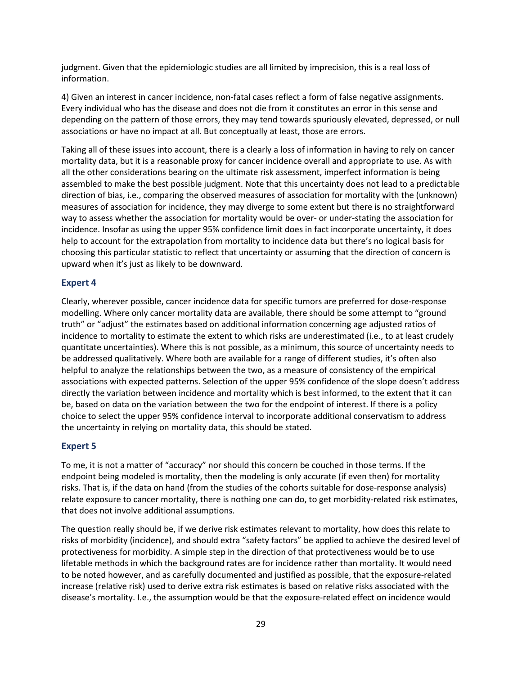judgment. Given that the epidemiologic studies are all limited by imprecision, this is a real loss of information.

4) Given an interest in cancer incidence, non-fatal cases reflect a form of false negative assignments. Every individual who has the disease and does not die from it constitutes an error in this sense and depending on the pattern of those errors, they may tend towards spuriously elevated, depressed, or null associations or have no impact at all. But conceptually at least, those are errors.

Taking all of these issues into account, there is a clearly a loss of information in having to rely on cancer mortality data, but it is a reasonable proxy for cancer incidence overall and appropriate to use. As with all the other considerations bearing on the ultimate risk assessment, imperfect information is being assembled to make the best possible judgment. Note that this uncertainty does not lead to a predictable direction of bias, i.e., comparing the observed measures of association for mortality with the (unknown) measures of association for incidence, they may diverge to some extent but there is no straightforward way to assess whether the association for mortality would be over- or under-stating the association for incidence. Insofar as using the upper 95% confidence limit does in fact incorporate uncertainty, it does help to account for the extrapolation from mortality to incidence data but there's no logical basis for choosing this particular statistic to reflect that uncertainty or assuming that the direction of concern is upward when it's just as likely to be downward.

## **Expert 4**

Clearly, wherever possible, cancer incidence data for specific tumors are preferred for dose-response modelling. Where only cancer mortality data are available, there should be some attempt to "ground truth" or "adjust" the estimates based on additional information concerning age adjusted ratios of incidence to mortality to estimate the extent to which risks are underestimated (i.e., to at least crudely quantitate uncertainties). Where this is not possible, as a minimum, this source of uncertainty needs to be addressed qualitatively. Where both are available for a range of different studies, it's often also helpful to analyze the relationships between the two, as a measure of consistency of the empirical associations with expected patterns. Selection of the upper 95% confidence of the slope doesn't address directly the variation between incidence and mortality which is best informed, to the extent that it can be, based on data on the variation between the two for the endpoint of interest. If there is a policy choice to select the upper 95% confidence interval to incorporate additional conservatism to address the uncertainty in relying on mortality data, this should be stated.

#### **Expert 5**

To me, it is not a matter of "accuracy" nor should this concern be couched in those terms. If the endpoint being modeled is mortality, then the modeling is only accurate (if even then) for mortality risks. That is, if the data on hand (from the studies of the cohorts suitable for dose-response analysis) relate exposure to cancer mortality, there is nothing one can do, to get morbidity-related risk estimates, that does not involve additional assumptions.

The question really should be, if we derive risk estimates relevant to mortality, how does this relate to risks of morbidity (incidence), and should extra "safety factors" be applied to achieve the desired level of protectiveness for morbidity. A simple step in the direction of that protectiveness would be to use lifetable methods in which the background rates are for incidence rather than mortality. It would need to be noted however, and as carefully documented and justified as possible, that the exposure-related increase (relative risk) used to derive extra risk estimates is based on relative risks associated with the disease's mortality. I.e., the assumption would be that the exposure-related effect on incidence would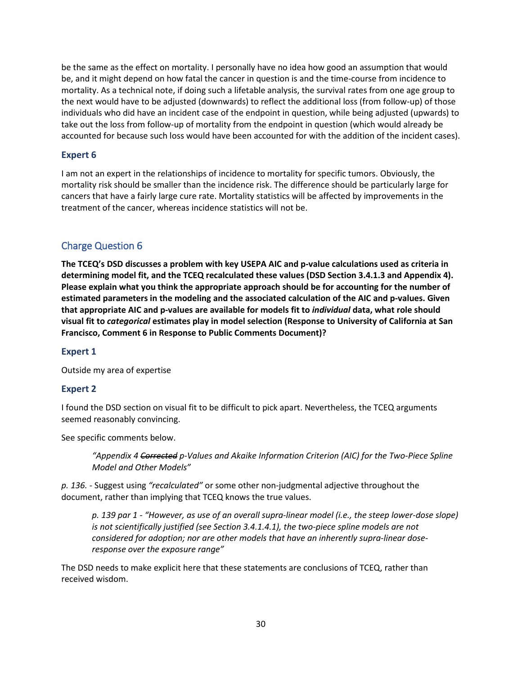be the same as the effect on mortality. I personally have no idea how good an assumption that would be, and it might depend on how fatal the cancer in question is and the time-course from incidence to mortality. As a technical note, if doing such a lifetable analysis, the survival rates from one age group to the next would have to be adjusted (downwards) to reflect the additional loss (from follow-up) of those individuals who did have an incident case of the endpoint in question, while being adjusted (upwards) to take out the loss from follow-up of mortality from the endpoint in question (which would already be accounted for because such loss would have been accounted for with the addition of the incident cases).

## **Expert 6**

I am not an expert in the relationships of incidence to mortality for specific tumors. Obviously, the mortality risk should be smaller than the incidence risk. The difference should be particularly large for cancers that have a fairly large cure rate. Mortality statistics will be affected by improvements in the treatment of the cancer, whereas incidence statistics will not be.

## <span id="page-29-0"></span>Charge Question 6

**The TCEQ's DSD discusses a problem with key USEPA AIC and p-value calculations used as criteria in determining model fit, and the TCEQ recalculated these values (DSD Section 3.4.1.3 and Appendix 4). Please explain what you think the appropriate approach should be for accounting for the number of estimated parameters in the modeling and the associated calculation of the AIC and p-values. Given that appropriate AIC and p-values are available for models fit to** *individual* **data, what role should visual fit to** *categorical* **estimates play in model selection (Response to University of California at San Francisco, Comment 6 in Response to Public Comments Document)?** 

## **Expert 1**

Outside my area of expertise

## **Expert 2**

I found the DSD section on visual fit to be difficult to pick apart. Nevertheless, the TCEQ arguments seemed reasonably convincing.

See specific comments below.

*"Appendix 4 Corrected p-Values and Akaike Information Criterion (AIC) for the Two-Piece Spline Model and Other Models"*

*p. 136.* - Suggest using *"recalculated"* or some other non-judgmental adjective throughout the document, rather than implying that TCEQ knows the true values.

*p. 139 par 1 - "However, as use of an overall supra-linear model (i.e., the steep lower-dose slope) is not scientifically justified (see Section 3.4.1.4.1), the two-piece spline models are not considered for adoption; nor are other models that have an inherently supra-linear doseresponse over the exposure range"*

The DSD needs to make explicit here that these statements are conclusions of TCEQ, rather than received wisdom.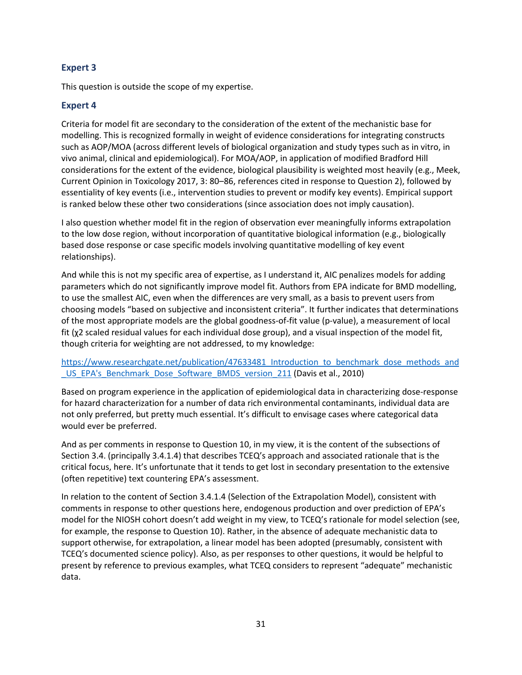## **Expert 3**

This question is outside the scope of my expertise.

## **Expert 4**

Criteria for model fit are secondary to the consideration of the extent of the mechanistic base for modelling. This is recognized formally in weight of evidence considerations for integrating constructs such as AOP/MOA (across different levels of biological organization and study types such as in vitro, in vivo animal, clinical and epidemiological). For MOA/AOP, in application of modified Bradford Hill considerations for the extent of the evidence, biological plausibility is weighted most heavily (e.g., Meek, Current Opinion in Toxicology 2017, 3: 80–86, references cited in response to Question 2), followed by essentiality of key events (i.e., intervention studies to prevent or modify key events). Empirical support is ranked below these other two considerations (since association does not imply causation).

I also question whether model fit in the region of observation ever meaningfully informs extrapolation to the low dose region, without incorporation of quantitative biological information (e.g., biologically based dose response or case specific models involving quantitative modelling of key event relationships).

And while this is not my specific area of expertise, as I understand it, AIC penalizes models for adding parameters which do not significantly improve model fit. Authors from EPA indicate for BMD modelling, to use the smallest AIC, even when the differences are very small, as a basis to prevent users from choosing models "based on subjective and inconsistent criteria". It further indicates that determinations of the most appropriate models are the global goodness-of-fit value (p-value), a measurement of local fit (χ2 scaled residual values for each individual dose group), and a visual inspection of the model fit, though criteria for weighting are not addressed, to my knowledge:

[https://www.researchgate.net/publication/47633481\\_Introduction\\_to\\_benchmark\\_dose\\_methods\\_and](https://www.researchgate.net/publication/47633481_Introduction_to_benchmark_dose_methods_and_US_EPA) [\\_US\\_EPA's\\_Benchmark\\_Dose\\_Software\\_BMDS\\_version\\_211](https://www.researchgate.net/publication/47633481_Introduction_to_benchmark_dose_methods_and_US_EPA) (Davis et al., 2010)

Based on program experience in the application of epidemiological data in characterizing dose-response for hazard characterization for a number of data rich environmental contaminants, individual data are not only preferred, but pretty much essential. It's difficult to envisage cases where categorical data would ever be preferred.

And as per comments in response to Question 10, in my view, it is the content of the subsections of Section 3.4. (principally 3.4.1.4) that describes TCEQ's approach and associated rationale that is the critical focus, here. It's unfortunate that it tends to get lost in secondary presentation to the extensive (often repetitive) text countering EPA's assessment.

In relation to the content of Section 3.4.1.4 (Selection of the Extrapolation Model), consistent with comments in response to other questions here, endogenous production and over prediction of EPA's model for the NIOSH cohort doesn't add weight in my view, to TCEQ's rationale for model selection (see, for example, the response to Question 10). Rather, in the absence of adequate mechanistic data to support otherwise, for extrapolation, a linear model has been adopted (presumably, consistent with TCEQ's documented science policy). Also, as per responses to other questions, it would be helpful to present by reference to previous examples, what TCEQ considers to represent "adequate" mechanistic data.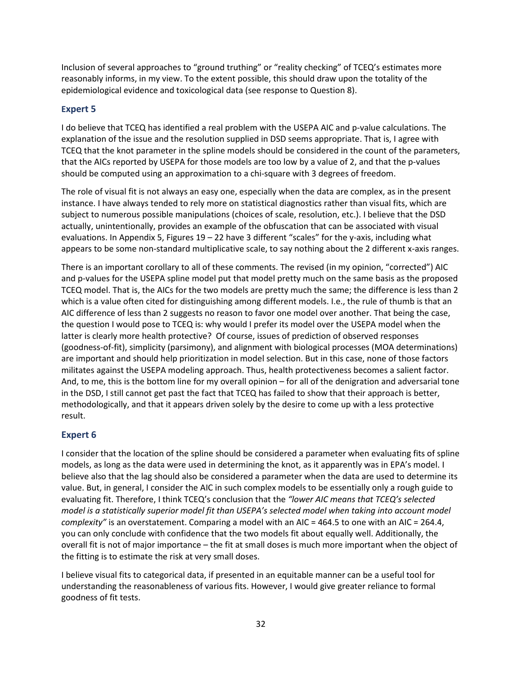Inclusion of several approaches to "ground truthing" or "reality checking" of TCEQ's estimates more reasonably informs, in my view. To the extent possible, this should draw upon the totality of the epidemiological evidence and toxicological data (see response to Question 8).

## **Expert 5**

I do believe that TCEQ has identified a real problem with the USEPA AIC and p-value calculations. The explanation of the issue and the resolution supplied in DSD seems appropriate. That is, I agree with TCEQ that the knot parameter in the spline models should be considered in the count of the parameters, that the AICs reported by USEPA for those models are too low by a value of 2, and that the p-values should be computed using an approximation to a chi-square with 3 degrees of freedom.

The role of visual fit is not always an easy one, especially when the data are complex, as in the present instance. I have always tended to rely more on statistical diagnostics rather than visual fits, which are subject to numerous possible manipulations (choices of scale, resolution, etc.). I believe that the DSD actually, unintentionally, provides an example of the obfuscation that can be associated with visual evaluations. In Appendix 5, Figures 19 – 22 have 3 different "scales" for the y-axis, including what appears to be some non-standard multiplicative scale, to say nothing about the 2 different x-axis ranges.

There is an important corollary to all of these comments. The revised (in my opinion, "corrected") AIC and p-values for the USEPA spline model put that model pretty much on the same basis as the proposed TCEQ model. That is, the AICs for the two models are pretty much the same; the difference is less than 2 which is a value often cited for distinguishing among different models. I.e., the rule of thumb is that an AIC difference of less than 2 suggests no reason to favor one model over another. That being the case, the question I would pose to TCEQ is: why would I prefer its model over the USEPA model when the latter is clearly more health protective? Of course, issues of prediction of observed responses (goodness-of-fit), simplicity (parsimony), and alignment with biological processes (MOA determinations) are important and should help prioritization in model selection. But in this case, none of those factors militates against the USEPA modeling approach. Thus, health protectiveness becomes a salient factor. And, to me, this is the bottom line for my overall opinion – for all of the denigration and adversarial tone in the DSD, I still cannot get past the fact that TCEQ has failed to show that their approach is better, methodologically, and that it appears driven solely by the desire to come up with a less protective result.

## **Expert 6**

I consider that the location of the spline should be considered a parameter when evaluating fits of spline models, as long as the data were used in determining the knot, as it apparently was in EPA's model. I believe also that the lag should also be considered a parameter when the data are used to determine its value. But, in general, I consider the AIC in such complex models to be essentially only a rough guide to evaluating fit. Therefore, I think TCEQ's conclusion that the *"lower AIC means that TCEQ's selected model is a statistically superior model fit than USEPA's selected model when taking into account model complexity*" is an overstatement. Comparing a model with an AIC = 464.5 to one with an AIC = 264.4, you can only conclude with confidence that the two models fit about equally well. Additionally, the overall fit is not of major importance – the fit at small doses is much more important when the object of the fitting is to estimate the risk at very small doses.

I believe visual fits to categorical data, if presented in an equitable manner can be a useful tool for understanding the reasonableness of various fits. However, I would give greater reliance to formal goodness of fit tests.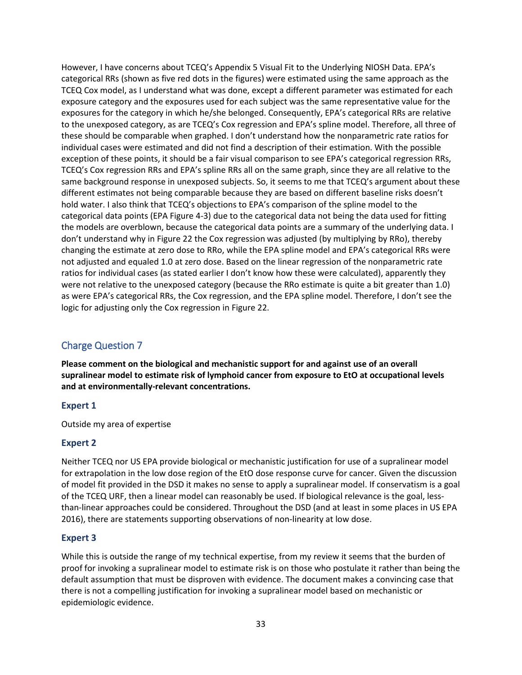However, I have concerns about TCEQ's Appendix 5 Visual Fit to the Underlying NIOSH Data. EPA's categorical RRs (shown as five red dots in the figures) were estimated using the same approach as the TCEQ Cox model, as I understand what was done, except a different parameter was estimated for each exposure category and the exposures used for each subject was the same representative value for the exposures for the category in which he/she belonged. Consequently, EPA's categorical RRs are relative to the unexposed category, as are TCEQ's Cox regression and EPA's spline model. Therefore, all three of these should be comparable when graphed. I don't understand how the nonparametric rate ratios for individual cases were estimated and did not find a description of their estimation. With the possible exception of these points, it should be a fair visual comparison to see EPA's categorical regression RRs, TCEQ's Cox regression RRs and EPA's spline RRs all on the same graph, since they are all relative to the same background response in unexposed subjects. So, it seems to me that TCEQ's argument about these different estimates not being comparable because they are based on different baseline risks doesn't hold water. I also think that TCEQ's objections to EPA's comparison of the spline model to the categorical data points (EPA Figure 4-3) due to the categorical data not being the data used for fitting the models are overblown, because the categorical data points are a summary of the underlying data. I don't understand why in Figure 22 the Cox regression was adjusted (by multiplying by RRo), thereby changing the estimate at zero dose to RRo, while the EPA spline model and EPA's categorical RRs were not adjusted and equaled 1.0 at zero dose. Based on the linear regression of the nonparametric rate ratios for individual cases (as stated earlier I don't know how these were calculated), apparently they were not relative to the unexposed category (because the RRo estimate is quite a bit greater than 1.0) as were EPA's categorical RRs, the Cox regression, and the EPA spline model. Therefore, I don't see the logic for adjusting only the Cox regression in Figure 22.

## <span id="page-32-0"></span>Charge Question 7

**Please comment on the biological and mechanistic support for and against use of an overall supralinear model to estimate risk of lymphoid cancer from exposure to EtO at occupational levels and at environmentally-relevant concentrations.**

## **Expert 1**

Outside my area of expertise

## **Expert 2**

Neither TCEQ nor US EPA provide biological or mechanistic justification for use of a supralinear model for extrapolation in the low dose region of the EtO dose response curve for cancer. Given the discussion of model fit provided in the DSD it makes no sense to apply a supralinear model. If conservatism is a goal of the TCEQ URF, then a linear model can reasonably be used. If biological relevance is the goal, lessthan-linear approaches could be considered. Throughout the DSD (and at least in some places in US EPA 2016), there are statements supporting observations of non-linearity at low dose.

## **Expert 3**

While this is outside the range of my technical expertise, from my review it seems that the burden of proof for invoking a supralinear model to estimate risk is on those who postulate it rather than being the default assumption that must be disproven with evidence. The document makes a convincing case that there is not a compelling justification for invoking a supralinear model based on mechanistic or epidemiologic evidence.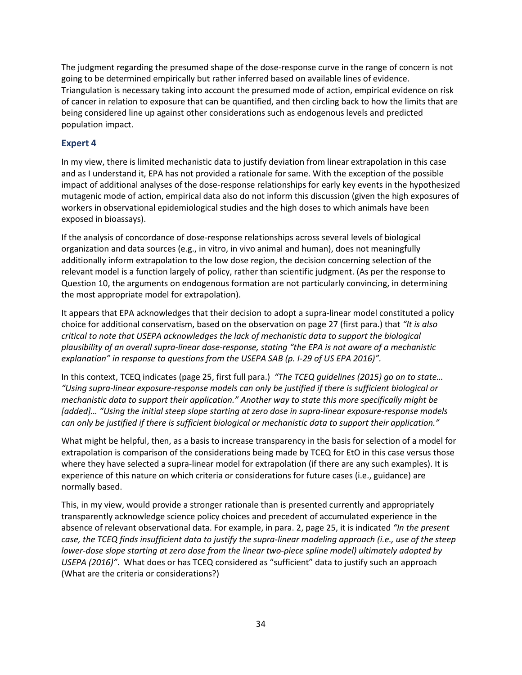The judgment regarding the presumed shape of the dose-response curve in the range of concern is not going to be determined empirically but rather inferred based on available lines of evidence. Triangulation is necessary taking into account the presumed mode of action, empirical evidence on risk of cancer in relation to exposure that can be quantified, and then circling back to how the limits that are being considered line up against other considerations such as endogenous levels and predicted population impact.

## **Expert 4**

In my view, there is limited mechanistic data to justify deviation from linear extrapolation in this case and as I understand it, EPA has not provided a rationale for same. With the exception of the possible impact of additional analyses of the dose-response relationships for early key events in the hypothesized mutagenic mode of action, empirical data also do not inform this discussion (given the high exposures of workers in observational epidemiological studies and the high doses to which animals have been exposed in bioassays).

If the analysis of concordance of dose-response relationships across several levels of biological organization and data sources (e.g., in vitro, in vivo animal and human), does not meaningfully additionally inform extrapolation to the low dose region, the decision concerning selection of the relevant model is a function largely of policy, rather than scientific judgment. (As per the response to Question 10, the arguments on endogenous formation are not particularly convincing, in determining the most appropriate model for extrapolation).

It appears that EPA acknowledges that their decision to adopt a supra-linear model constituted a policy choice for additional conservatism, based on the observation on page 27 (first para.) that *"It is also critical to note that USEPA acknowledges the lack of mechanistic data to support the biological plausibility of an overall supra-linear dose-response, stating "the EPA is not aware of a mechanistic explanation" in response to questions from the USEPA SAB (p. I-29 of US EPA 2016)".* 

In this context, TCEQ indicates (page 25, first full para.) *"The TCEQ guidelines (2015) go on to state… "Using supra-linear exposure-response models can only be justified if there is sufficient biological or mechanistic data to support their application." Another way to state this more specifically might be [added]… "Using the initial steep slope starting at zero dose in supra-linear exposure-response models can only be justified if there is sufficient biological or mechanistic data to support their application."*

What might be helpful, then, as a basis to increase transparency in the basis for selection of a model for extrapolation is comparison of the considerations being made by TCEQ for EtO in this case versus those where they have selected a supra-linear model for extrapolation (if there are any such examples). It is experience of this nature on which criteria or considerations for future cases (i.e., guidance) are normally based.

This, in my view, would provide a stronger rationale than is presented currently and appropriately transparently acknowledge science policy choices and precedent of accumulated experience in the absence of relevant observational data. For example, in para. 2, page 25, it is indicated *"In the present case, the TCEQ finds insufficient data to justify the supra-linear modeling approach (i.e., use of the steep lower-dose slope starting at zero dose from the linear two-piece spline model) ultimately adopted by USEPA (2016)"*. What does or has TCEQ considered as "sufficient" data to justify such an approach (What are the criteria or considerations?)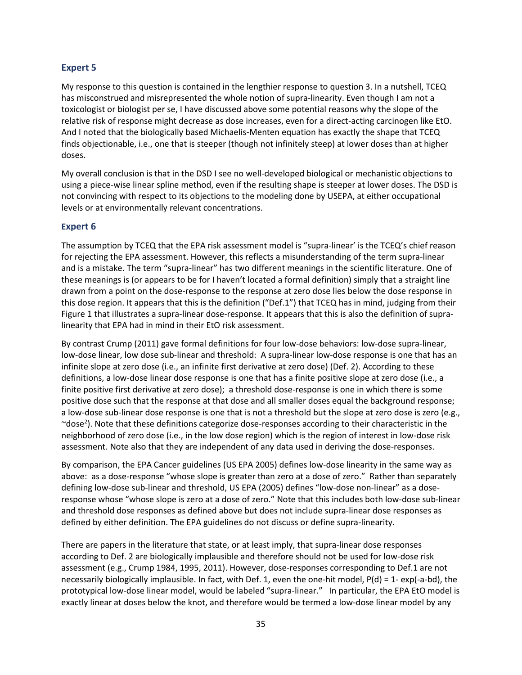## **Expert 5**

My response to this question is contained in the lengthier response to question 3. In a nutshell, TCEQ has misconstrued and misrepresented the whole notion of supra-linearity. Even though I am not a toxicologist or biologist per se, I have discussed above some potential reasons why the slope of the relative risk of response might decrease as dose increases, even for a direct-acting carcinogen like EtO. And I noted that the biologically based Michaelis-Menten equation has exactly the shape that TCEQ finds objectionable, i.e., one that is steeper (though not infinitely steep) at lower doses than at higher doses.

My overall conclusion is that in the DSD I see no well-developed biological or mechanistic objections to using a piece-wise linear spline method, even if the resulting shape is steeper at lower doses. The DSD is not convincing with respect to its objections to the modeling done by USEPA, at either occupational levels or at environmentally relevant concentrations.

## **Expert 6**

The assumption by TCEQ that the EPA risk assessment model is "supra-linear' is the TCEQ's chief reason for rejecting the EPA assessment. However, this reflects a misunderstanding of the term supra-linear and is a mistake. The term "supra-linear" has two different meanings in the scientific literature. One of these meanings is (or appears to be for I haven't located a formal definition) simply that a straight line drawn from a point on the dose-response to the response at zero dose lies below the dose response in this dose region. It appears that this is the definition ("Def.1") that TCEQ has in mind, judging from their Figure 1 that illustrates a supra-linear dose-response. It appears that this is also the definition of supralinearity that EPA had in mind in their EtO risk assessment.

By contrast Crump (2011) gave formal definitions for four low-dose behaviors: low-dose supra-linear, low-dose linear, low dose sub-linear and threshold: A supra-linear low-dose response is one that has an infinite slope at zero dose (i.e., an infinite first derivative at zero dose) (Def. 2). According to these definitions, a low-dose linear dose response is one that has a finite positive slope at zero dose (i.e., a finite positive first derivative at zero dose); a threshold dose-response is one in which there is some positive dose such that the response at that dose and all smaller doses equal the background response; a low-dose sub-linear dose response is one that is not a threshold but the slope at zero dose is zero (e.g.,  $\sim$ dose<sup>2</sup>). Note that these definitions categorize dose-responses according to their characteristic in the neighborhood of zero dose (i.e., in the low dose region) which is the region of interest in low-dose risk assessment. Note also that they are independent of any data used in deriving the dose-responses.

By comparison, the EPA Cancer guidelines (US EPA 2005) defines low-dose linearity in the same way as above: as a dose-response "whose slope is greater than zero at a dose of zero." Rather than separately defining low-dose sub-linear and threshold, US EPA (2005) defines "low-dose non-linear" as a doseresponse whose "whose slope is zero at a dose of zero." Note that this includes both low-dose sub-linear and threshold dose responses as defined above but does not include supra-linear dose responses as defined by either definition. The EPA guidelines do not discuss or define supra-linearity.

There are papers in the literature that state, or at least imply, that supra-linear dose responses according to Def. 2 are biologically implausible and therefore should not be used for low-dose risk assessment (e.g., Crump 1984, 1995, 2011). However, dose-responses corresponding to Def.1 are not necessarily biologically implausible. In fact, with Def. 1, even the one-hit model, P(d) = 1- exp(-a-bd), the prototypical low-dose linear model, would be labeled "supra-linear." In particular, the EPA EtO model is exactly linear at doses below the knot, and therefore would be termed a low-dose linear model by any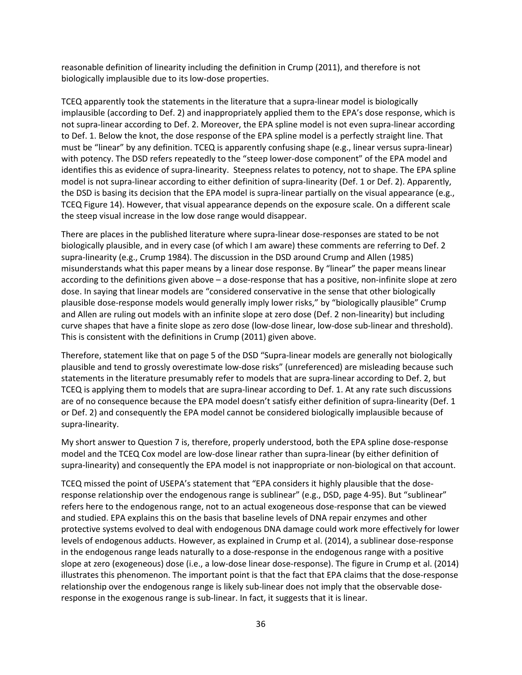reasonable definition of linearity including the definition in Crump (2011), and therefore is not biologically implausible due to its low-dose properties.

TCEQ apparently took the statements in the literature that a supra-linear model is biologically implausible (according to Def. 2) and inappropriately applied them to the EPA's dose response, which is not supra-linear according to Def. 2. Moreover, the EPA spline model is not even supra-linear according to Def. 1. Below the knot, the dose response of the EPA spline model is a perfectly straight line. That must be "linear" by any definition. TCEQ is apparently confusing shape (e.g., linear versus supra-linear) with potency. The DSD refers repeatedly to the "steep lower-dose component" of the EPA model and identifies this as evidence of supra-linearity. Steepness relates to potency, not to shape. The EPA spline model is not supra-linear according to either definition of supra-linearity (Def. 1 or Def. 2). Apparently, the DSD is basing its decision that the EPA model is supra-linear partially on the visual appearance (e.g., TCEQ Figure 14). However, that visual appearance depends on the exposure scale. On a different scale the steep visual increase in the low dose range would disappear.

There are places in the published literature where supra-linear dose-responses are stated to be not biologically plausible, and in every case (of which I am aware) these comments are referring to Def. 2 supra-linearity (e.g., Crump 1984). The discussion in the DSD around Crump and Allen (1985) misunderstands what this paper means by a linear dose response. By "linear" the paper means linear according to the definitions given above – a dose-response that has a positive, non-infinite slope at zero dose. In saying that linear models are "considered conservative in the sense that other biologically plausible dose-response models would generally imply lower risks," by "biologically plausible" Crump and Allen are ruling out models with an infinite slope at zero dose (Def. 2 non-linearity) but including curve shapes that have a finite slope as zero dose (low-dose linear, low-dose sub-linear and threshold). This is consistent with the definitions in Crump (2011) given above.

Therefore, statement like that on page 5 of the DSD "Supra-linear models are generally not biologically plausible and tend to grossly overestimate low-dose risks" (unreferenced) are misleading because such statements in the literature presumably refer to models that are supra-linear according to Def. 2, but TCEQ is applying them to models that are supra-linear according to Def. 1. At any rate such discussions are of no consequence because the EPA model doesn't satisfy either definition of supra-linearity (Def. 1 or Def. 2) and consequently the EPA model cannot be considered biologically implausible because of supra-linearity.

My short answer to Question 7 is, therefore, properly understood, both the EPA spline dose-response model and the TCEQ Cox model are low-dose linear rather than supra-linear (by either definition of supra-linearity) and consequently the EPA model is not inappropriate or non-biological on that account.

TCEQ missed the point of USEPA's statement that "EPA considers it highly plausible that the doseresponse relationship over the endogenous range is sublinear" (e.g., DSD, page 4-95). But "sublinear" refers here to the endogenous range, not to an actual exogeneous dose-response that can be viewed and studied. EPA explains this on the basis that baseline levels of DNA repair enzymes and other protective systems evolved to deal with endogenous DNA damage could work more effectively for lower levels of endogenous adducts. However, as explained in Crump et al. (2014), a sublinear dose-response in the endogenous range leads naturally to a dose-response in the endogenous range with a positive slope at zero (exogeneous) dose (i.e., a low-dose linear dose-response). The figure in Crump et al. (2014) illustrates this phenomenon. The important point is that the fact that EPA claims that the dose-response relationship over the endogenous range is likely sub-linear does not imply that the observable doseresponse in the exogenous range is sub-linear. In fact, it suggests that it is linear.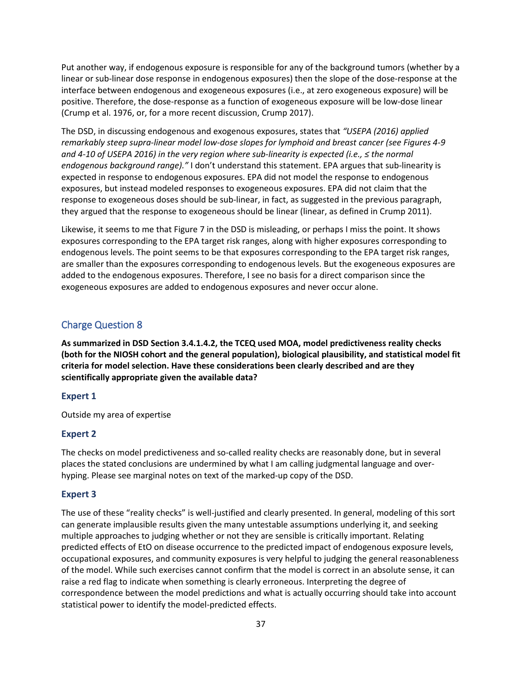Put another way, if endogenous exposure is responsible for any of the background tumors (whether by a linear or sub-linear dose response in endogenous exposures) then the slope of the dose-response at the interface between endogenous and exogeneous exposures (i.e., at zero exogeneous exposure) will be positive. Therefore, the dose-response as a function of exogeneous exposure will be low-dose linear (Crump et al. 1976, or, for a more recent discussion, Crump 2017).

The DSD, in discussing endogenous and exogenous exposures, states that *"USEPA (2016) applied remarkably steep supra-linear model low-dose slopes for lymphoid and breast cancer (see Figures 4-9 and 4-10 of USEPA 2016) in the very region where sub-linearity is expected (i.e., ≤ the normal endogenous background range)."* I don't understand this statement. EPA argues that sub-linearity is expected in response to endogenous exposures. EPA did not model the response to endogenous exposures, but instead modeled responses to exogeneous exposures. EPA did not claim that the response to exogeneous doses should be sub-linear, in fact, as suggested in the previous paragraph, they argued that the response to exogeneous should be linear (linear, as defined in Crump 2011).

Likewise, it seems to me that Figure 7 in the DSD is misleading, or perhaps I miss the point. It shows exposures corresponding to the EPA target risk ranges, along with higher exposures corresponding to endogenous levels. The point seems to be that exposures corresponding to the EPA target risk ranges, are smaller than the exposures corresponding to endogenous levels. But the exogeneous exposures are added to the endogenous exposures. Therefore, I see no basis for a direct comparison since the exogeneous exposures are added to endogenous exposures and never occur alone.

## Charge Question 8

**As summarized in DSD Section 3.4.1.4.2, the TCEQ used MOA, model predictiveness reality checks (both for the NIOSH cohort and the general population), biological plausibility, and statistical model fit criteria for model selection. Have these considerations been clearly described and are they scientifically appropriate given the available data?**

## **Expert 1**

Outside my area of expertise

## **Expert 2**

The checks on model predictiveness and so-called reality checks are reasonably done, but in several places the stated conclusions are undermined by what I am calling judgmental language and overhyping. Please see marginal notes on text of the marked-up copy of the DSD.

## **Expert 3**

The use of these "reality checks" is well-justified and clearly presented. In general, modeling of this sort can generate implausible results given the many untestable assumptions underlying it, and seeking multiple approaches to judging whether or not they are sensible is critically important. Relating predicted effects of EtO on disease occurrence to the predicted impact of endogenous exposure levels, occupational exposures, and community exposures is very helpful to judging the general reasonableness of the model. While such exercises cannot confirm that the model is correct in an absolute sense, it can raise a red flag to indicate when something is clearly erroneous. Interpreting the degree of correspondence between the model predictions and what is actually occurring should take into account statistical power to identify the model-predicted effects.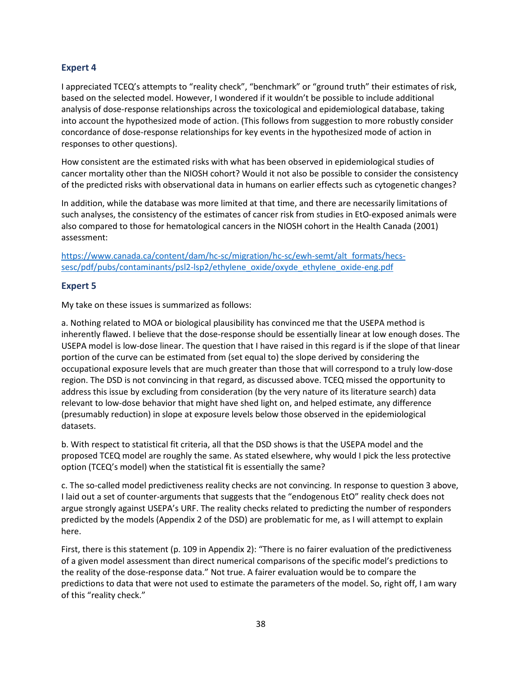#### **Expert 4**

I appreciated TCEQ's attempts to "reality check", "benchmark" or "ground truth" their estimates of risk, based on the selected model. However, I wondered if it wouldn't be possible to include additional analysis of dose-response relationships across the toxicological and epidemiological database, taking into account the hypothesized mode of action. (This follows from suggestion to more robustly consider concordance of dose-response relationships for key events in the hypothesized mode of action in responses to other questions).

How consistent are the estimated risks with what has been observed in epidemiological studies of cancer mortality other than the NIOSH cohort? Would it not also be possible to consider the consistency of the predicted risks with observational data in humans on earlier effects such as cytogenetic changes?

In addition, while the database was more limited at that time, and there are necessarily limitations of such analyses, the consistency of the estimates of cancer risk from studies in EtO-exposed animals were also compared to those for hematological cancers in the NIOSH cohort in the Health Canada (2001) assessment:

[https://www.canada.ca/content/dam/hc-sc/migration/hc-sc/ewh-semt/alt\\_formats/hecs](https://www.canada.ca/content/dam/hc-sc/migration/hc-sc/ewh-semt/alt_formats/hecs-sesc/pdf/pubs/contaminants/psl2-lsp2/ethylene_oxide/oxyde_ethylene_oxide-eng.pdf)[sesc/pdf/pubs/contaminants/psl2-lsp2/ethylene\\_oxide/oxyde\\_ethylene\\_oxide-eng.pdf](https://www.canada.ca/content/dam/hc-sc/migration/hc-sc/ewh-semt/alt_formats/hecs-sesc/pdf/pubs/contaminants/psl2-lsp2/ethylene_oxide/oxyde_ethylene_oxide-eng.pdf)

### **Expert 5**

My take on these issues is summarized as follows:

a. Nothing related to MOA or biological plausibility has convinced me that the USEPA method is inherently flawed. I believe that the dose-response should be essentially linear at low enough doses. The USEPA model is low-dose linear. The question that I have raised in this regard is if the slope of that linear portion of the curve can be estimated from (set equal to) the slope derived by considering the occupational exposure levels that are much greater than those that will correspond to a truly low-dose region. The DSD is not convincing in that regard, as discussed above. TCEQ missed the opportunity to address this issue by excluding from consideration (by the very nature of its literature search) data relevant to low-dose behavior that might have shed light on, and helped estimate, any difference (presumably reduction) in slope at exposure levels below those observed in the epidemiological datasets.

b. With respect to statistical fit criteria, all that the DSD shows is that the USEPA model and the proposed TCEQ model are roughly the same. As stated elsewhere, why would I pick the less protective option (TCEQ's model) when the statistical fit is essentially the same?

c. The so-called model predictiveness reality checks are not convincing. In response to question 3 above, I laid out a set of counter-arguments that suggests that the "endogenous EtO" reality check does not argue strongly against USEPA's URF. The reality checks related to predicting the number of responders predicted by the models (Appendix 2 of the DSD) are problematic for me, as I will attempt to explain here.

First, there is this statement (p. 109 in Appendix 2): "There is no fairer evaluation of the predictiveness of a given model assessment than direct numerical comparisons of the specific model's predictions to the reality of the dose-response data." Not true. A fairer evaluation would be to compare the predictions to data that were not used to estimate the parameters of the model. So, right off, I am wary of this "reality check."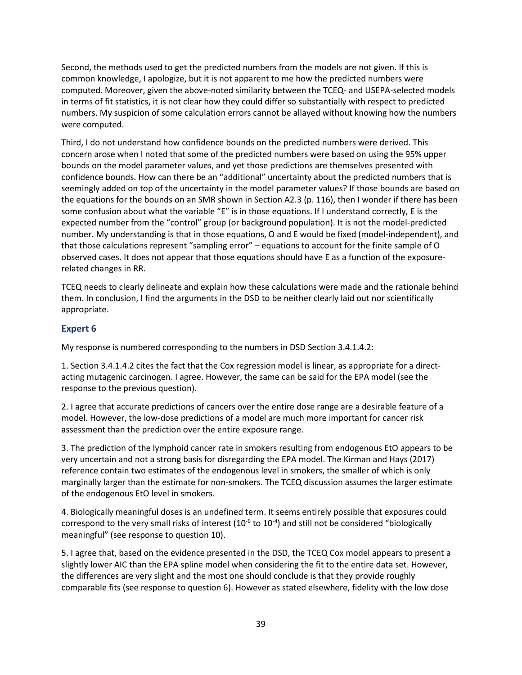Second, the methods used to get the predicted numbers from the models are not given. If this is common knowledge, I apologize, but it is not apparent to me how the predicted numbers were computed. Moreover, given the above-noted similarity between the TCEQ- and USEPA-selected models in terms of fit statistics, it is not clear how they could differ so substantially with respect to predicted numbers. My suspicion of some calculation errors cannot be allayed without knowing how the numbers were computed.

Third, I do not understand how confidence bounds on the predicted numbers were derived. This concern arose when I noted that some of the predicted numbers were based on using the 95% upper bounds on the model parameter values, and yet those predictions are themselves presented with confidence bounds. How can there be an "additional" uncertainty about the predicted numbers that is seemingly added on top of the uncertainty in the model parameter values? If those bounds are based on the equations for the bounds on an SMR shown in Section A2.3 (p. 116), then I wonder if there has been some confusion about what the variable "E" is in those equations. If I understand correctly, E is the expected number from the "control" group (or background population). It is not the model-predicted number. My understanding is that in those equations, O and E would be fixed (model-independent), and that those calculations represent "sampling error" – equations to account for the finite sample of O observed cases. It does not appear that those equations should have E as a function of the exposurerelated changes in RR.

TCEQ needs to clearly delineate and explain how these calculations were made and the rationale behind them. In conclusion, I find the arguments in the DSD to be neither clearly laid out nor scientifically appropriate.

## **Expert 6**

My response is numbered corresponding to the numbers in DSD Section 3.4.1.4.2:

1. Section 3.4.1.4.2 cites the fact that the Cox regression model is linear, as appropriate for a directacting mutagenic carcinogen. I agree. However, the same can be said for the EPA model (see the response to the previous question).

2. I agree that accurate predictions of cancers over the entire dose range are a desirable feature of a model. However, the low-dose predictions of a model are much more important for cancer risk assessment than the prediction over the entire exposure range.

3. The prediction of the lymphoid cancer rate in smokers resulting from endogenous EtO appears to be very uncertain and not a strong basis for disregarding the EPA model. The Kirman and Hays (2017) reference contain two estimates of the endogenous level in smokers, the smaller of which is only marginally larger than the estimate for non-smokers. The TCEQ discussion assumes the larger estimate of the endogenous EtO level in smokers.

4. Biologically meaningful doses is an undefined term. It seems entirely possible that exposures could correspond to the very small risks of interest ( $10^{-6}$  to  $10^{-4}$ ) and still not be considered "biologically meaningful" (see response to question 10).

5. I agree that, based on the evidence presented in the DSD, the TCEQ Cox model appears to present a slightly lower AIC than the EPA spline model when considering the fit to the entire data set. However, the differences are very slight and the most one should conclude is that they provide roughly comparable fits (see response to question 6). However as stated elsewhere, fidelity with the low dose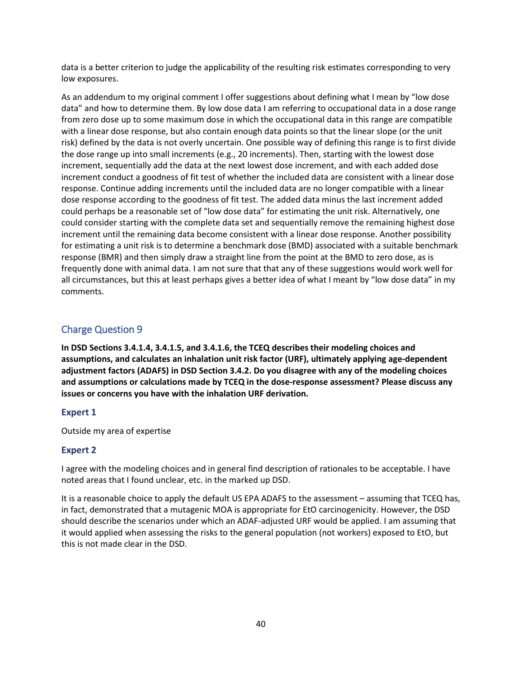data is a better criterion to judge the applicability of the resulting risk estimates corresponding to very low exposures.

As an addendum to my original comment I offer suggestions about defining what I mean by "low dose data" and how to determine them. By low dose data I am referring to occupational data in a dose range from zero dose up to some maximum dose in which the occupational data in this range are compatible with a linear dose response, but also contain enough data points so that the linear slope (or the unit risk) defined by the data is not overly uncertain. One possible way of defining this range is to first divide the dose range up into small increments (e.g., 20 increments). Then, starting with the lowest dose increment, sequentially add the data at the next lowest dose increment, and with each added dose increment conduct a goodness of fit test of whether the included data are consistent with a linear dose response. Continue adding increments until the included data are no longer compatible with a linear dose response according to the goodness of fit test. The added data minus the last increment added could perhaps be a reasonable set of "low dose data" for estimating the unit risk. Alternatively, one could consider starting with the complete data set and sequentially remove the remaining highest dose increment until the remaining data become consistent with a linear dose response. Another possibility for estimating a unit risk is to determine a benchmark dose (BMD) associated with a suitable benchmark response (BMR) and then simply draw a straight line from the point at the BMD to zero dose, as is frequently done with animal data. I am not sure that that any of these suggestions would work well for all circumstances, but this at least perhaps gives a better idea of what I meant by "low dose data" in my comments.

## Charge Question 9

**In DSD Sections 3.4.1.4, 3.4.1.5, and 3.4.1.6, the TCEQ describes their modeling choices and assumptions, and calculates an inhalation unit risk factor (URF), ultimately applying age-dependent adjustment factors (ADAFS) in DSD Section 3.4.2. Do you disagree with any of the modeling choices and assumptions or calculations made by TCEQ in the dose-response assessment? Please discuss any issues or concerns you have with the inhalation URF derivation.**

## **Expert 1**

Outside my area of expertise

## **Expert 2**

I agree with the modeling choices and in general find description of rationales to be acceptable. I have noted areas that I found unclear, etc. in the marked up DSD.

It is a reasonable choice to apply the default US EPA ADAFS to the assessment – assuming that TCEQ has, in fact, demonstrated that a mutagenic MOA is appropriate for EtO carcinogenicity. However, the DSD should describe the scenarios under which an ADAF-adjusted URF would be applied. I am assuming that it would applied when assessing the risks to the general population (not workers) exposed to EtO, but this is not made clear in the DSD.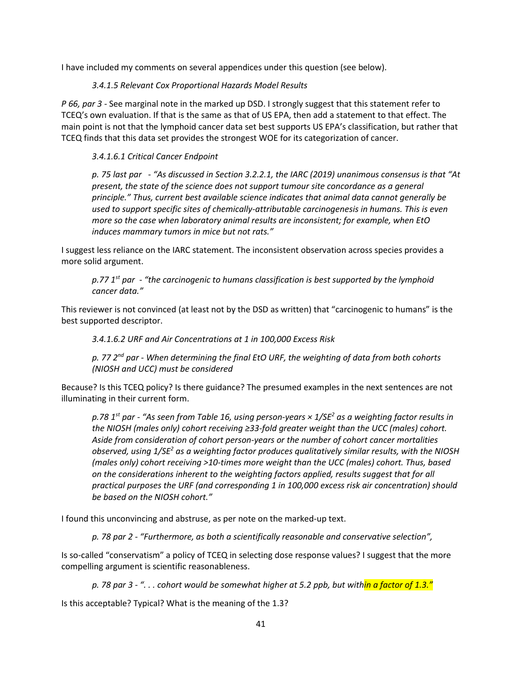I have included my comments on several appendices under this question (see below).

### *3.4.1.5 Relevant Cox Proportional Hazards Model Results*

*P 66, par 3 -* See marginal note in the marked up DSD. I strongly suggest that this statement refer to TCEQ's own evaluation. If that is the same as that of US EPA, then add a statement to that effect. The main point is not that the lymphoid cancer data set best supports US EPA's classification, but rather that TCEQ finds that this data set provides the strongest WOE for its categorization of cancer.

### *3.4.1.6.1 Critical Cancer Endpoint*

*p. 75 last par - "As discussed in Section 3.2.2.1, the IARC (2019) unanimous consensus is that "At present, the state of the science does not support tumour site concordance as a general principle." Thus, current best available science indicates that animal data cannot generally be used to support specific sites of chemically-attributable carcinogenesis in humans. This is even more so the case when laboratory animal results are inconsistent; for example, when EtO induces mammary tumors in mice but not rats."* 

I suggest less reliance on the IARC statement. The inconsistent observation across species provides a more solid argument.

*p.77 1st par - "the carcinogenic to humans classification is best supported by the lymphoid cancer data."* 

This reviewer is not convinced (at least not by the DSD as written) that "carcinogenic to humans" is the best supported descriptor.

*3.4.1.6.2 URF and Air Concentrations at 1 in 100,000 Excess Risk*

*p. 77 2nd par - When determining the final EtO URF, the weighting of data from both cohorts (NIOSH and UCC) must be considered* 

Because? Is this TCEQ policy? Is there guidance? The presumed examples in the next sentences are not illuminating in their current form.

*p.78 1st par - "As seen from Table 16, using person-years × 1/SE2 as a weighting factor results in the NIOSH (males only) cohort receiving ≥33-fold greater weight than the UCC (males) cohort. Aside from consideration of cohort person-years or the number of cohort cancer mortalities observed, using 1/SE2 as a weighting factor produces qualitatively similar results, with the NIOSH (males only) cohort receiving >10-times more weight than the UCC (males) cohort. Thus, based on the considerations inherent to the weighting factors applied, results suggest that for all practical purposes the URF (and corresponding 1 in 100,000 excess risk air concentration) should be based on the NIOSH cohort."*

I found this unconvincing and abstruse, as per note on the marked-up text.

*p. 78 par 2 - "Furthermore, as both a scientifically reasonable and conservative selection",*

Is so-called "conservatism" a policy of TCEQ in selecting dose response values? I suggest that the more compelling argument is scientific reasonableness.

*p. 78 par 3 - ". . . cohort would be somewhat higher at 5.2 ppb, but within a factor of 1.3."*

Is this acceptable? Typical? What is the meaning of the 1.3?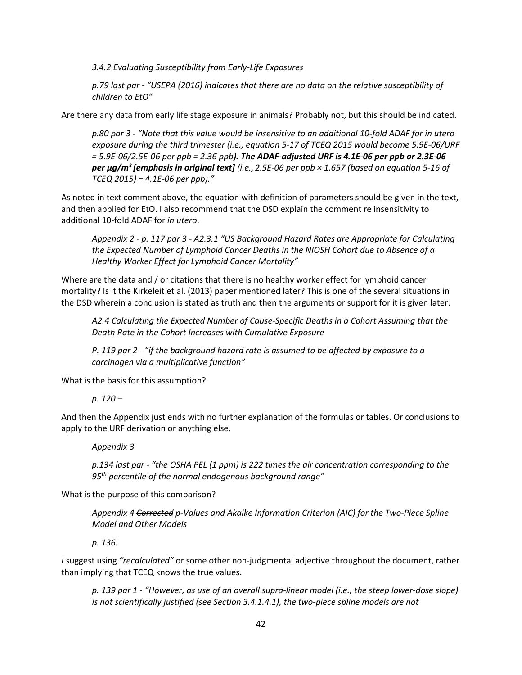*3.4.2 Evaluating Susceptibility from Early-Life Exposures*

*p.79 last par - "USEPA (2016) indicates that there are no data on the relative susceptibility of children to EtO"* 

Are there any data from early life stage exposure in animals? Probably not, but this should be indicated.

*p.80 par 3 - "Note that this value would be insensitive to an additional 10-fold ADAF for in utero exposure during the third trimester (i.e., equation 5-17 of TCEQ 2015 would become 5.9E-06/URF = 5.9E-06/2.5E-06 per ppb = 2.36 ppb). The ADAF-adjusted URF is 4.1E-06 per ppb or 2.3E-06 per µg/m3 [emphasis in original text] (i.e., 2.5E-06 per ppb × 1.657 (based on equation 5-16 of TCEQ 2015) = 4.1E-06 per ppb)."*

As noted in text comment above, the equation with definition of parameters should be given in the text, and then applied for EtO. I also recommend that the DSD explain the comment re insensitivity to additional 10-fold ADAF for *in utero*.

*Appendix 2 - p. 117 par 3 - A2.3.1 "US Background Hazard Rates are Appropriate for Calculating the Expected Number of Lymphoid Cancer Deaths in the NIOSH Cohort due to Absence of a Healthy Worker Effect for Lymphoid Cancer Mortality"*

Where are the data and / or citations that there is no healthy worker effect for lymphoid cancer mortality? Is it the Kirkeleit et al. (2013) paper mentioned later? This is one of the several situations in the DSD wherein a conclusion is stated as truth and then the arguments or support for it is given later.

*A2.4 Calculating the Expected Number of Cause-Specific Deaths in a Cohort Assuming that the Death Rate in the Cohort Increases with Cumulative Exposure* 

*P. 119 par 2 - "if the background hazard rate is assumed to be affected by exposure to a carcinogen via a multiplicative function"* 

What is the basis for this assumption?

*p. 120 –*

And then the Appendix just ends with no further explanation of the formulas or tables. Or conclusions to apply to the URF derivation or anything else.

*Appendix 3* 

*p.134 last par - "the OSHA PEL (1 ppm) is 222 times the air concentration corresponding to the 95th percentile of the normal endogenous background range"* 

What is the purpose of this comparison?

*Appendix 4 Corrected p-Values and Akaike Information Criterion (AIC) for the Two-Piece Spline Model and Other Models*

*p. 136.* 

*I s*uggest using *"recalculated"* or some other non-judgmental adjective throughout the document, rather than implying that TCEQ knows the true values.

*p. 139 par 1 - "However, as use of an overall supra-linear model (i.e., the steep lower-dose slope) is not scientifically justified (see Section 3.4.1.4.1), the two-piece spline models are not*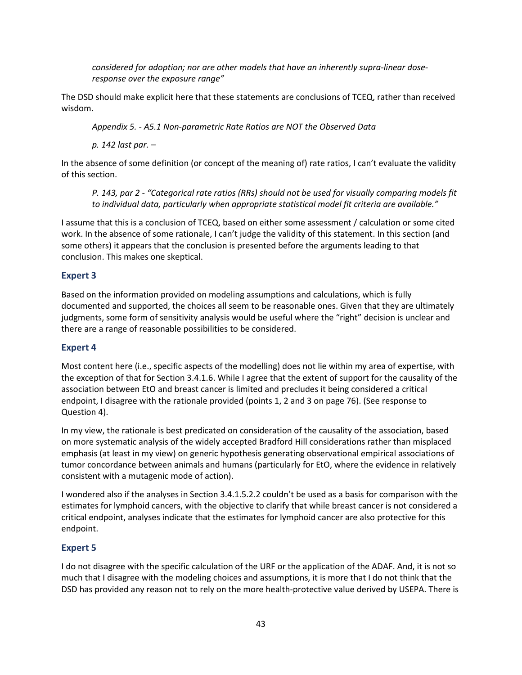*considered for adoption; nor are other models that have an inherently supra-linear doseresponse over the exposure range"*

The DSD should make explicit here that these statements are conclusions of TCEQ, rather than received wisdom.

*Appendix 5. - A5.1 Non-parametric Rate Ratios are NOT the Observed Data*

*p. 142 last par. –*

In the absence of some definition (or concept of the meaning of) rate ratios, I can't evaluate the validity of this section.

*P. 143, par 2 - "Categorical rate ratios (RRs) should not be used for visually comparing models fit to individual data, particularly when appropriate statistical model fit criteria are available."*

I assume that this is a conclusion of TCEQ, based on either some assessment / calculation or some cited work. In the absence of some rationale, I can't judge the validity of this statement. In this section (and some others) it appears that the conclusion is presented before the arguments leading to that conclusion. This makes one skeptical.

#### **Expert 3**

Based on the information provided on modeling assumptions and calculations, which is fully documented and supported, the choices all seem to be reasonable ones. Given that they are ultimately judgments, some form of sensitivity analysis would be useful where the "right" decision is unclear and there are a range of reasonable possibilities to be considered.

#### **Expert 4**

Most content here (i.e., specific aspects of the modelling) does not lie within my area of expertise, with the exception of that for Section 3.4.1.6. While I agree that the extent of support for the causality of the association between EtO and breast cancer is limited and precludes it being considered a critical endpoint, I disagree with the rationale provided (points 1, 2 and 3 on page 76). (See response to Question 4).

In my view, the rationale is best predicated on consideration of the causality of the association, based on more systematic analysis of the widely accepted Bradford Hill considerations rather than misplaced emphasis (at least in my view) on generic hypothesis generating observational empirical associations of tumor concordance between animals and humans (particularly for EtO, where the evidence in relatively consistent with a mutagenic mode of action).

I wondered also if the analyses in Section 3.4.1.5.2.2 couldn't be used as a basis for comparison with the estimates for lymphoid cancers, with the objective to clarify that while breast cancer is not considered a critical endpoint, analyses indicate that the estimates for lymphoid cancer are also protective for this endpoint.

#### **Expert 5**

I do not disagree with the specific calculation of the URF or the application of the ADAF. And, it is not so much that I disagree with the modeling choices and assumptions, it is more that I do not think that the DSD has provided any reason not to rely on the more health-protective value derived by USEPA. There is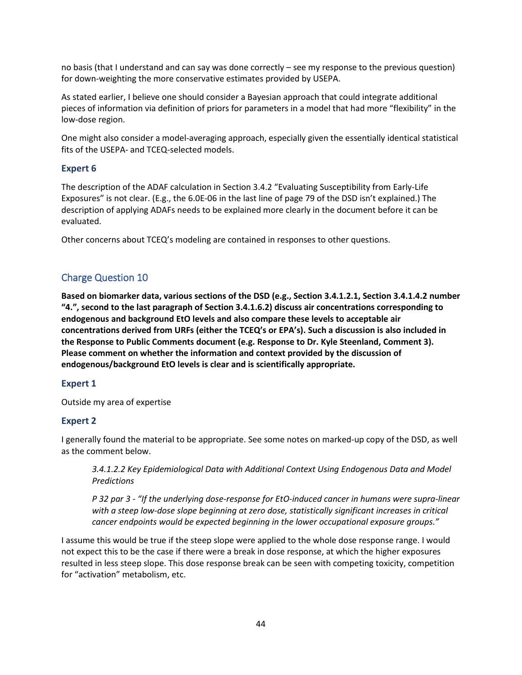no basis (that I understand and can say was done correctly – see my response to the previous question) for down-weighting the more conservative estimates provided by USEPA.

As stated earlier, I believe one should consider a Bayesian approach that could integrate additional pieces of information via definition of priors for parameters in a model that had more "flexibility" in the low-dose region.

One might also consider a model-averaging approach, especially given the essentially identical statistical fits of the USEPA- and TCEQ-selected models.

## **Expert 6**

The description of the ADAF calculation in Section 3.4.2 "Evaluating Susceptibility from Early-Life Exposures" is not clear. (E.g., the 6.0E-06 in the last line of page 79 of the DSD isn't explained.) The description of applying ADAFs needs to be explained more clearly in the document before it can be evaluated.

Other concerns about TCEQ's modeling are contained in responses to other questions.

## Charge Question 10

**Based on biomarker data, various sections of the DSD (e.g., Section 3.4.1.2.1, Section 3.4.1.4.2 number "4.", second to the last paragraph of Section 3.4.1.6.2) discuss air concentrations corresponding to endogenous and background EtO levels and also compare these levels to acceptable air concentrations derived from URFs (either the TCEQ's or EPA's). Such a discussion is also included in the Response to Public Comments document (e.g. Response to Dr. Kyle Steenland, Comment 3). Please comment on whether the information and context provided by the discussion of endogenous/background EtO levels is clear and is scientifically appropriate.** 

## **Expert 1**

Outside my area of expertise

## **Expert 2**

I generally found the material to be appropriate. See some notes on marked-up copy of the DSD, as well as the comment below.

*3.4.1.2.2 Key Epidemiological Data with Additional Context Using Endogenous Data and Model Predictions*

*P 32 par 3 - "If the underlying dose-response for EtO-induced cancer in humans were supra-linear with a steep low-dose slope beginning at zero dose, statistically significant increases in critical cancer endpoints would be expected beginning in the lower occupational exposure groups."*

I assume this would be true if the steep slope were applied to the whole dose response range. I would not expect this to be the case if there were a break in dose response, at which the higher exposures resulted in less steep slope. This dose response break can be seen with competing toxicity, competition for "activation" metabolism, etc.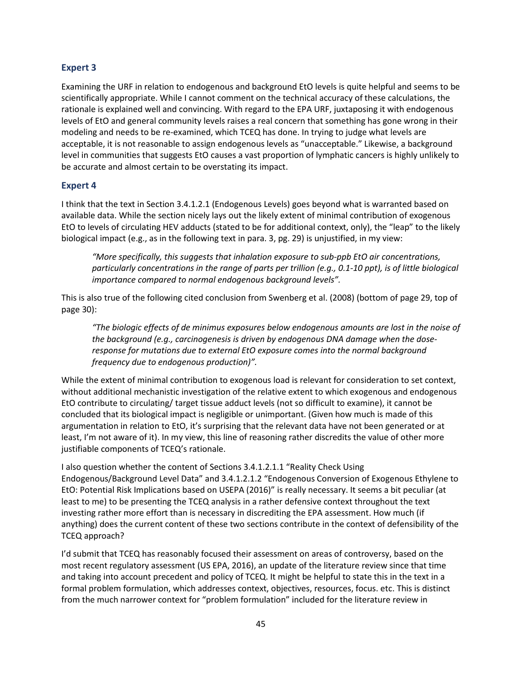### **Expert 3**

Examining the URF in relation to endogenous and background EtO levels is quite helpful and seems to be scientifically appropriate. While I cannot comment on the technical accuracy of these calculations, the rationale is explained well and convincing. With regard to the EPA URF, juxtaposing it with endogenous levels of EtO and general community levels raises a real concern that something has gone wrong in their modeling and needs to be re-examined, which TCEQ has done. In trying to judge what levels are acceptable, it is not reasonable to assign endogenous levels as "unacceptable." Likewise, a background level in communities that suggests EtO causes a vast proportion of lymphatic cancers is highly unlikely to be accurate and almost certain to be overstating its impact.

### **Expert 4**

I think that the text in Section 3.4.1.2.1 (Endogenous Levels) goes beyond what is warranted based on available data. While the section nicely lays out the likely extent of minimal contribution of exogenous EtO to levels of circulating HEV adducts (stated to be for additional context, only), the "leap" to the likely biological impact (e.g., as in the following text in para. 3, pg. 29) is unjustified, in my view:

*"More specifically, this suggests that inhalation exposure to sub-ppb EtO air concentrations, particularly concentrations in the range of parts per trillion (e.g., 0.1-10 ppt), is of little biological importance compared to normal endogenous background levels".* 

This is also true of the following cited conclusion from Swenberg et al. (2008) (bottom of page 29, top of page 30):

*"The biologic effects of de minimus exposures below endogenous amounts are lost in the noise of the background (e.g., carcinogenesis is driven by endogenous DNA damage when the doseresponse for mutations due to external EtO exposure comes into the normal background frequency due to endogenous production)".*

While the extent of minimal contribution to exogenous load is relevant for consideration to set context, without additional mechanistic investigation of the relative extent to which exogenous and endogenous EtO contribute to circulating/ target tissue adduct levels (not so difficult to examine), it cannot be concluded that its biological impact is negligible or unimportant. (Given how much is made of this argumentation in relation to EtO, it's surprising that the relevant data have not been generated or at least, I'm not aware of it). In my view, this line of reasoning rather discredits the value of other more justifiable components of TCEQ's rationale.

I also question whether the content of Sections 3.4.1.2.1.1 "Reality Check Using Endogenous/Background Level Data" and 3.4.1.2.1.2 "Endogenous Conversion of Exogenous Ethylene to EtO: Potential Risk Implications based on USEPA (2016)" is really necessary. It seems a bit peculiar (at least to me) to be presenting the TCEQ analysis in a rather defensive context throughout the text investing rather more effort than is necessary in discrediting the EPA assessment. How much (if anything) does the current content of these two sections contribute in the context of defensibility of the TCEQ approach?

I'd submit that TCEQ has reasonably focused their assessment on areas of controversy, based on the most recent regulatory assessment (US EPA, 2016), an update of the literature review since that time and taking into account precedent and policy of TCEQ. It might be helpful to state this in the text in a formal problem formulation, which addresses context, objectives, resources, focus. etc. This is distinct from the much narrower context for "problem formulation" included for the literature review in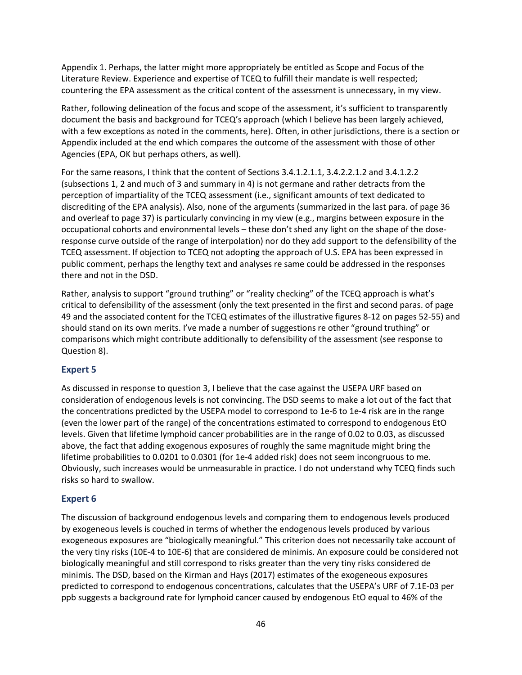Appendix 1. Perhaps, the latter might more appropriately be entitled as Scope and Focus of the Literature Review. Experience and expertise of TCEQ to fulfill their mandate is well respected; countering the EPA assessment as the critical content of the assessment is unnecessary, in my view.

Rather, following delineation of the focus and scope of the assessment, it's sufficient to transparently document the basis and background for TCEQ's approach (which I believe has been largely achieved, with a few exceptions as noted in the comments, here). Often, in other jurisdictions, there is a section or Appendix included at the end which compares the outcome of the assessment with those of other Agencies (EPA, OK but perhaps others, as well).

For the same reasons, I think that the content of Sections 3.4.1.2.1.1, 3.4.2.2.1.2 and 3.4.1.2.2 (subsections 1, 2 and much of 3 and summary in 4) is not germane and rather detracts from the perception of impartiality of the TCEQ assessment (i.e., significant amounts of text dedicated to discrediting of the EPA analysis). Also, none of the arguments (summarized in the last para. of page 36 and overleaf to page 37) is particularly convincing in my view (e.g., margins between exposure in the occupational cohorts and environmental levels – these don't shed any light on the shape of the doseresponse curve outside of the range of interpolation) nor do they add support to the defensibility of the TCEQ assessment. If objection to TCEQ not adopting the approach of U.S. EPA has been expressed in public comment, perhaps the lengthy text and analyses re same could be addressed in the responses there and not in the DSD.

Rather, analysis to support "ground truthing" or "reality checking" of the TCEQ approach is what's critical to defensibility of the assessment (only the text presented in the first and second paras. of page 49 and the associated content for the TCEQ estimates of the illustrative figures 8-12 on pages 52-55) and should stand on its own merits. I've made a number of suggestions re other "ground truthing" or comparisons which might contribute additionally to defensibility of the assessment (see response to Question 8).

#### **Expert 5**

As discussed in response to question 3, I believe that the case against the USEPA URF based on consideration of endogenous levels is not convincing. The DSD seems to make a lot out of the fact that the concentrations predicted by the USEPA model to correspond to 1e-6 to 1e-4 risk are in the range (even the lower part of the range) of the concentrations estimated to correspond to endogenous EtO levels. Given that lifetime lymphoid cancer probabilities are in the range of 0.02 to 0.03, as discussed above, the fact that adding exogenous exposures of roughly the same magnitude might bring the lifetime probabilities to 0.0201 to 0.0301 (for 1e-4 added risk) does not seem incongruous to me. Obviously, such increases would be unmeasurable in practice. I do not understand why TCEQ finds such risks so hard to swallow.

#### **Expert 6**

The discussion of background endogenous levels and comparing them to endogenous levels produced by exogeneous levels is couched in terms of whether the endogenous levels produced by various exogeneous exposures are "biologically meaningful." This criterion does not necessarily take account of the very tiny risks (10E-4 to 10E-6) that are considered de minimis. An exposure could be considered not biologically meaningful and still correspond to risks greater than the very tiny risks considered de minimis. The DSD, based on the Kirman and Hays (2017) estimates of the exogeneous exposures predicted to correspond to endogenous concentrations, calculates that the USEPA's URF of 7.1E-03 per ppb suggests a background rate for lymphoid cancer caused by endogenous EtO equal to 46% of the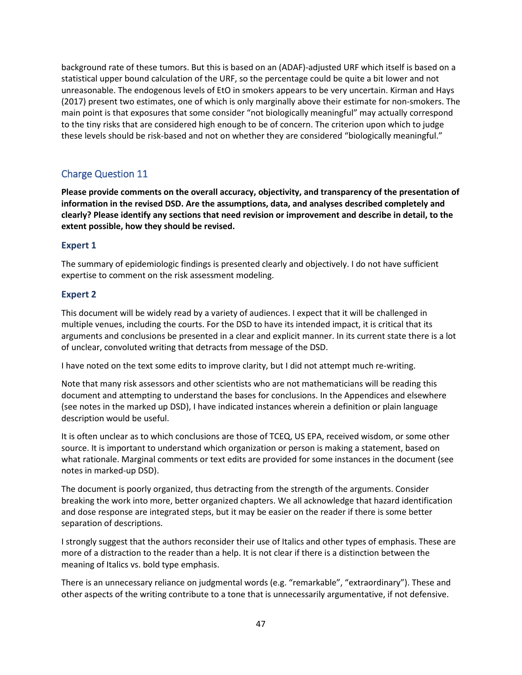background rate of these tumors. But this is based on an (ADAF)-adjusted URF which itself is based on a statistical upper bound calculation of the URF, so the percentage could be quite a bit lower and not unreasonable. The endogenous levels of EtO in smokers appears to be very uncertain. Kirman and Hays (2017) present two estimates, one of which is only marginally above their estimate for non-smokers. The main point is that exposures that some consider "not biologically meaningful" may actually correspond to the tiny risks that are considered high enough to be of concern. The criterion upon which to judge these levels should be risk-based and not on whether they are considered "biologically meaningful."

## Charge Question 11

**Please provide comments on the overall accuracy, objectivity, and transparency of the presentation of information in the revised DSD. Are the assumptions, data, and analyses described completely and clearly? Please identify any sections that need revision or improvement and describe in detail, to the extent possible, how they should be revised.**

## **Expert 1**

The summary of epidemiologic findings is presented clearly and objectively. I do not have sufficient expertise to comment on the risk assessment modeling.

## **Expert 2**

This document will be widely read by a variety of audiences. I expect that it will be challenged in multiple venues, including the courts. For the DSD to have its intended impact, it is critical that its arguments and conclusions be presented in a clear and explicit manner. In its current state there is a lot of unclear, convoluted writing that detracts from message of the DSD.

I have noted on the text some edits to improve clarity, but I did not attempt much re-writing.

Note that many risk assessors and other scientists who are not mathematicians will be reading this document and attempting to understand the bases for conclusions. In the Appendices and elsewhere (see notes in the marked up DSD), I have indicated instances wherein a definition or plain language description would be useful.

It is often unclear as to which conclusions are those of TCEQ, US EPA, received wisdom, or some other source. It is important to understand which organization or person is making a statement, based on what rationale. Marginal comments or text edits are provided for some instances in the document (see notes in marked-up DSD).

The document is poorly organized, thus detracting from the strength of the arguments. Consider breaking the work into more, better organized chapters. We all acknowledge that hazard identification and dose response are integrated steps, but it may be easier on the reader if there is some better separation of descriptions.

I strongly suggest that the authors reconsider their use of Italics and other types of emphasis. These are more of a distraction to the reader than a help. It is not clear if there is a distinction between the meaning of Italics vs. bold type emphasis.

There is an unnecessary reliance on judgmental words (e.g. "remarkable", "extraordinary"). These and other aspects of the writing contribute to a tone that is unnecessarily argumentative, if not defensive.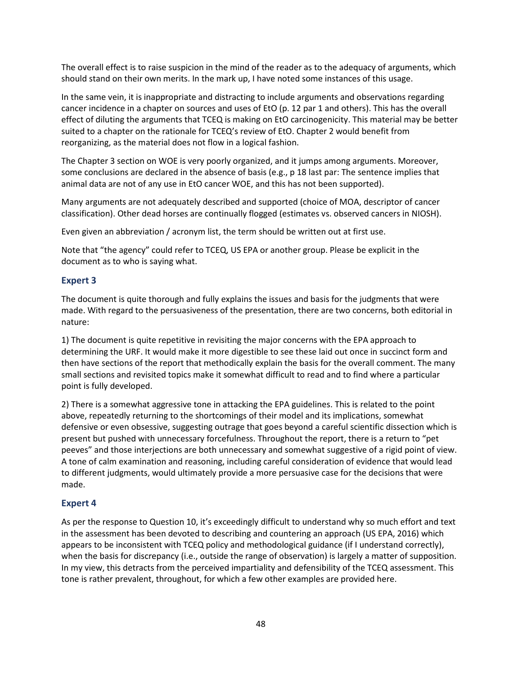The overall effect is to raise suspicion in the mind of the reader as to the adequacy of arguments, which should stand on their own merits. In the mark up, I have noted some instances of this usage.

In the same vein, it is inappropriate and distracting to include arguments and observations regarding cancer incidence in a chapter on sources and uses of EtO (p. 12 par 1 and others). This has the overall effect of diluting the arguments that TCEQ is making on EtO carcinogenicity. This material may be better suited to a chapter on the rationale for TCEQ's review of EtO. Chapter 2 would benefit from reorganizing, as the material does not flow in a logical fashion.

The Chapter 3 section on WOE is very poorly organized, and it jumps among arguments. Moreover, some conclusions are declared in the absence of basis (e.g., p 18 last par: The sentence implies that animal data are not of any use in EtO cancer WOE, and this has not been supported).

Many arguments are not adequately described and supported (choice of MOA, descriptor of cancer classification). Other dead horses are continually flogged (estimates vs. observed cancers in NIOSH).

Even given an abbreviation / acronym list, the term should be written out at first use.

Note that "the agency" could refer to TCEQ, US EPA or another group. Please be explicit in the document as to who is saying what.

### **Expert 3**

The document is quite thorough and fully explains the issues and basis for the judgments that were made. With regard to the persuasiveness of the presentation, there are two concerns, both editorial in nature:

1) The document is quite repetitive in revisiting the major concerns with the EPA approach to determining the URF. It would make it more digestible to see these laid out once in succinct form and then have sections of the report that methodically explain the basis for the overall comment. The many small sections and revisited topics make it somewhat difficult to read and to find where a particular point is fully developed.

2) There is a somewhat aggressive tone in attacking the EPA guidelines. This is related to the point above, repeatedly returning to the shortcomings of their model and its implications, somewhat defensive or even obsessive, suggesting outrage that goes beyond a careful scientific dissection which is present but pushed with unnecessary forcefulness. Throughout the report, there is a return to "pet peeves" and those interjections are both unnecessary and somewhat suggestive of a rigid point of view. A tone of calm examination and reasoning, including careful consideration of evidence that would lead to different judgments, would ultimately provide a more persuasive case for the decisions that were made.

#### **Expert 4**

As per the response to Question 10, it's exceedingly difficult to understand why so much effort and text in the assessment has been devoted to describing and countering an approach (US EPA, 2016) which appears to be inconsistent with TCEQ policy and methodological guidance (if I understand correctly), when the basis for discrepancy (i.e., outside the range of observation) is largely a matter of supposition. In my view, this detracts from the perceived impartiality and defensibility of the TCEQ assessment. This tone is rather prevalent, throughout, for which a few other examples are provided here.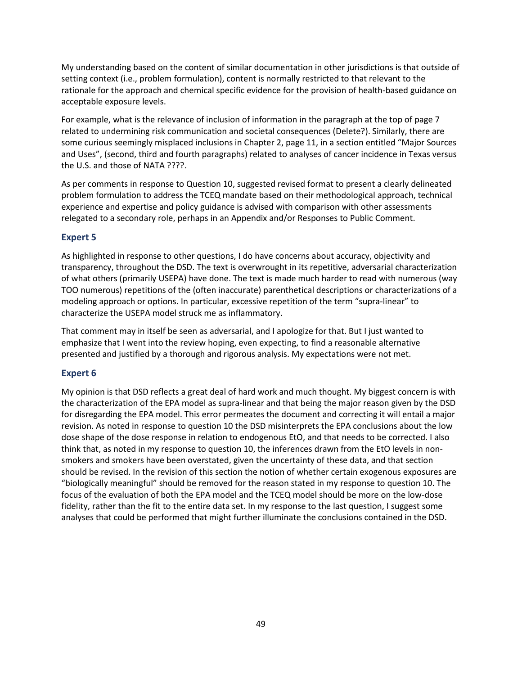My understanding based on the content of similar documentation in other jurisdictions is that outside of setting context (i.e., problem formulation), content is normally restricted to that relevant to the rationale for the approach and chemical specific evidence for the provision of health-based guidance on acceptable exposure levels.

For example, what is the relevance of inclusion of information in the paragraph at the top of page 7 related to undermining risk communication and societal consequences (Delete?). Similarly, there are some curious seemingly misplaced inclusions in Chapter 2, page 11, in a section entitled "Major Sources and Uses", (second, third and fourth paragraphs) related to analyses of cancer incidence in Texas versus the U.S. and those of NATA ????.

As per comments in response to Question 10, suggested revised format to present a clearly delineated problem formulation to address the TCEQ mandate based on their methodological approach, technical experience and expertise and policy guidance is advised with comparison with other assessments relegated to a secondary role, perhaps in an Appendix and/or Responses to Public Comment.

## **Expert 5**

As highlighted in response to other questions, I do have concerns about accuracy, objectivity and transparency, throughout the DSD. The text is overwrought in its repetitive, adversarial characterization of what others (primarily USEPA) have done. The text is made much harder to read with numerous (way TOO numerous) repetitions of the (often inaccurate) parenthetical descriptions or characterizations of a modeling approach or options. In particular, excessive repetition of the term "supra-linear" to characterize the USEPA model struck me as inflammatory.

That comment may in itself be seen as adversarial, and I apologize for that. But I just wanted to emphasize that I went into the review hoping, even expecting, to find a reasonable alternative presented and justified by a thorough and rigorous analysis. My expectations were not met.

## **Expert 6**

My opinion is that DSD reflects a great deal of hard work and much thought. My biggest concern is with the characterization of the EPA model as supra-linear and that being the major reason given by the DSD for disregarding the EPA model. This error permeates the document and correcting it will entail a major revision. As noted in response to question 10 the DSD misinterprets the EPA conclusions about the low dose shape of the dose response in relation to endogenous EtO, and that needs to be corrected. I also think that, as noted in my response to question 10, the inferences drawn from the EtO levels in nonsmokers and smokers have been overstated, given the uncertainty of these data, and that section should be revised. In the revision of this section the notion of whether certain exogenous exposures are "biologically meaningful" should be removed for the reason stated in my response to question 10. The focus of the evaluation of both the EPA model and the TCEQ model should be more on the low-dose fidelity, rather than the fit to the entire data set. In my response to the last question, I suggest some analyses that could be performed that might further illuminate the conclusions contained in the DSD.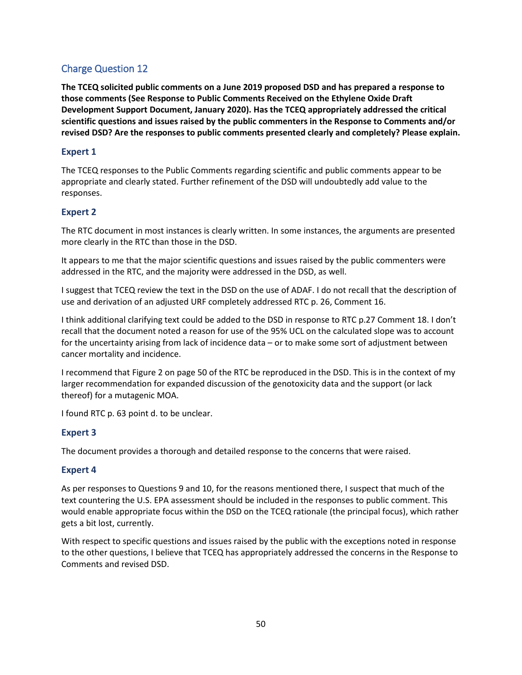## Charge Question 12

**The TCEQ solicited public comments on a June 2019 proposed DSD and has prepared a response to those comments (See Response to Public Comments Received on the Ethylene Oxide Draft Development Support Document, January 2020). Has the TCEQ appropriately addressed the critical scientific questions and issues raised by the public commenters in the Response to Comments and/or revised DSD? Are the responses to public comments presented clearly and completely? Please explain.**

### **Expert 1**

The TCEQ responses to the Public Comments regarding scientific and public comments appear to be appropriate and clearly stated. Further refinement of the DSD will undoubtedly add value to the responses.

### **Expert 2**

The RTC document in most instances is clearly written. In some instances, the arguments are presented more clearly in the RTC than those in the DSD.

It appears to me that the major scientific questions and issues raised by the public commenters were addressed in the RTC, and the majority were addressed in the DSD, as well.

I suggest that TCEQ review the text in the DSD on the use of ADAF. I do not recall that the description of use and derivation of an adjusted URF completely addressed RTC p. 26, Comment 16.

I think additional clarifying text could be added to the DSD in response to RTC p.27 Comment 18. I don't recall that the document noted a reason for use of the 95% UCL on the calculated slope was to account for the uncertainty arising from lack of incidence data – or to make some sort of adjustment between cancer mortality and incidence.

I recommend that Figure 2 on page 50 of the RTC be reproduced in the DSD. This is in the context of my larger recommendation for expanded discussion of the genotoxicity data and the support (or lack thereof) for a mutagenic MOA.

I found RTC p. 63 point d. to be unclear.

#### **Expert 3**

The document provides a thorough and detailed response to the concerns that were raised.

#### **Expert 4**

As per responses to Questions 9 and 10, for the reasons mentioned there, I suspect that much of the text countering the U.S. EPA assessment should be included in the responses to public comment. This would enable appropriate focus within the DSD on the TCEQ rationale (the principal focus), which rather gets a bit lost, currently.

With respect to specific questions and issues raised by the public with the exceptions noted in response to the other questions, I believe that TCEQ has appropriately addressed the concerns in the Response to Comments and revised DSD.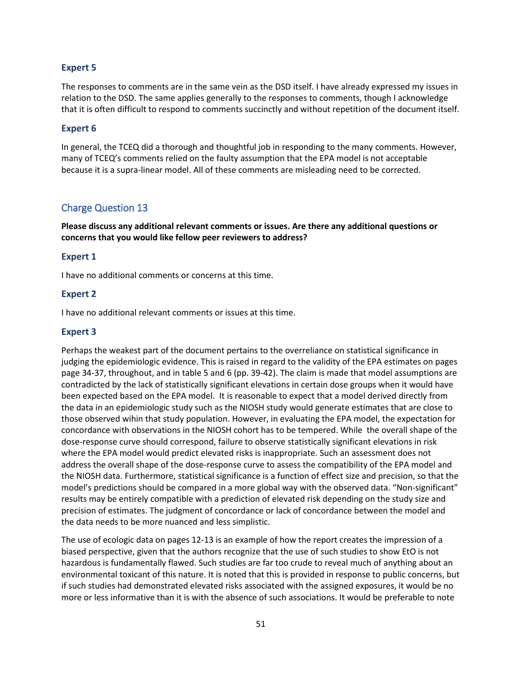#### **Expert 5**

The responses to comments are in the same vein as the DSD itself. I have already expressed my issues in relation to the DSD. The same applies generally to the responses to comments, though I acknowledge that it is often difficult to respond to comments succinctly and without repetition of the document itself.

#### **Expert 6**

In general, the TCEQ did a thorough and thoughtful job in responding to the many comments. However, many of TCEQ's comments relied on the faulty assumption that the EPA model is not acceptable because it is a supra-linear model. All of these comments are misleading need to be corrected.

### Charge Question 13

**Please discuss any additional relevant comments or issues. Are there any additional questions or concerns that you would like fellow peer reviewers to address?**

#### **Expert 1**

I have no additional comments or concerns at this time.

#### **Expert 2**

I have no additional relevant comments or issues at this time.

#### **Expert 3**

Perhaps the weakest part of the document pertains to the overreliance on statistical significance in judging the epidemiologic evidence. This is raised in regard to the validity of the EPA estimates on pages page 34-37, throughout, and in table 5 and 6 (pp. 39-42). The claim is made that model assumptions are contradicted by the lack of statistically significant elevations in certain dose groups when it would have been expected based on the EPA model. It is reasonable to expect that a model derived directly from the data in an epidemiologic study such as the NIOSH study would generate estimates that are close to those observed wihin that study population. However, in evaluating the EPA model, the expectation for concordance with observations in the NIOSH cohort has to be tempered. While the overall shape of the dose-response curve should correspond, failure to observe statistically significant elevations in risk where the EPA model would predict elevated risks is inappropriate. Such an assessment does not address the overall shape of the dose-response curve to assess the compatibility of the EPA model and the NIOSH data. Furthermore, statistical significance is a function of effect size and precision, so that the model's predictions should be compared in a more global way with the observed data. "Non-significant" results may be entirely compatible with a prediction of elevated risk depending on the study size and precision of estimates. The judgment of concordance or lack of concordance between the model and the data needs to be more nuanced and less simplistic.

The use of ecologic data on pages 12-13 is an example of how the report creates the impression of a biased perspective, given that the authors recognize that the use of such studies to show EtO is not hazardous is fundamentally flawed. Such studies are far too crude to reveal much of anything about an environmental toxicant of this nature. It is noted that this is provided in response to public concerns, but if such studies had demonstrated elevated risks associated with the assigned exposures, it would be no more or less informative than it is with the absence of such associations. It would be preferable to note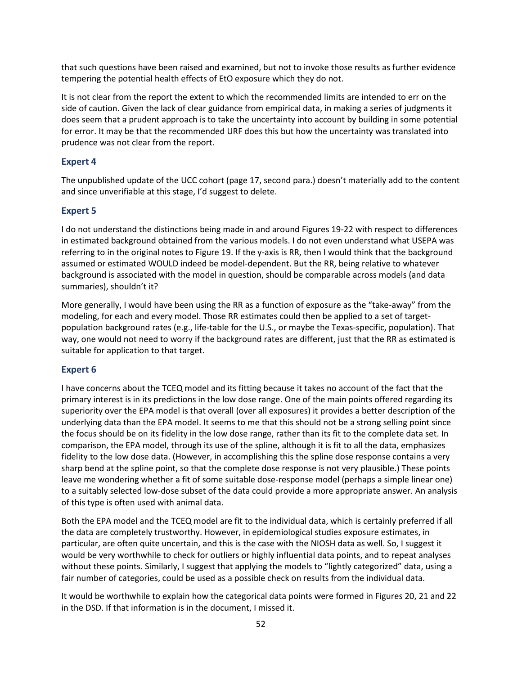that such questions have been raised and examined, but not to invoke those results as further evidence tempering the potential health effects of EtO exposure which they do not.

It is not clear from the report the extent to which the recommended limits are intended to err on the side of caution. Given the lack of clear guidance from empirical data, in making a series of judgments it does seem that a prudent approach is to take the uncertainty into account by building in some potential for error. It may be that the recommended URF does this but how the uncertainty was translated into prudence was not clear from the report.

## **Expert 4**

The unpublished update of the UCC cohort (page 17, second para.) doesn't materially add to the content and since unverifiable at this stage, I'd suggest to delete.

## **Expert 5**

I do not understand the distinctions being made in and around Figures 19-22 with respect to differences in estimated background obtained from the various models. I do not even understand what USEPA was referring to in the original notes to Figure 19. If the y-axis is RR, then I would think that the background assumed or estimated WOULD indeed be model-dependent. But the RR, being relative to whatever background is associated with the model in question, should be comparable across models (and data summaries), shouldn't it?

More generally, I would have been using the RR as a function of exposure as the "take-away" from the modeling, for each and every model. Those RR estimates could then be applied to a set of targetpopulation background rates (e.g., life-table for the U.S., or maybe the Texas-specific, population). That way, one would not need to worry if the background rates are different, just that the RR as estimated is suitable for application to that target.

## **Expert 6**

I have concerns about the TCEQ model and its fitting because it takes no account of the fact that the primary interest is in its predictions in the low dose range. One of the main points offered regarding its superiority over the EPA model is that overall (over all exposures) it provides a better description of the underlying data than the EPA model. It seems to me that this should not be a strong selling point since the focus should be on its fidelity in the low dose range, rather than its fit to the complete data set. In comparison, the EPA model, through its use of the spline, although it is fit to all the data, emphasizes fidelity to the low dose data. (However, in accomplishing this the spline dose response contains a very sharp bend at the spline point, so that the complete dose response is not very plausible.) These points leave me wondering whether a fit of some suitable dose-response model (perhaps a simple linear one) to a suitably selected low-dose subset of the data could provide a more appropriate answer. An analysis of this type is often used with animal data.

Both the EPA model and the TCEQ model are fit to the individual data, which is certainly preferred if all the data are completely trustworthy. However, in epidemiological studies exposure estimates, in particular, are often quite uncertain, and this is the case with the NIOSH data as well. So, I suggest it would be very worthwhile to check for outliers or highly influential data points, and to repeat analyses without these points. Similarly, I suggest that applying the models to "lightly categorized" data, using a fair number of categories, could be used as a possible check on results from the individual data.

It would be worthwhile to explain how the categorical data points were formed in Figures 20, 21 and 22 in the DSD. If that information is in the document, I missed it.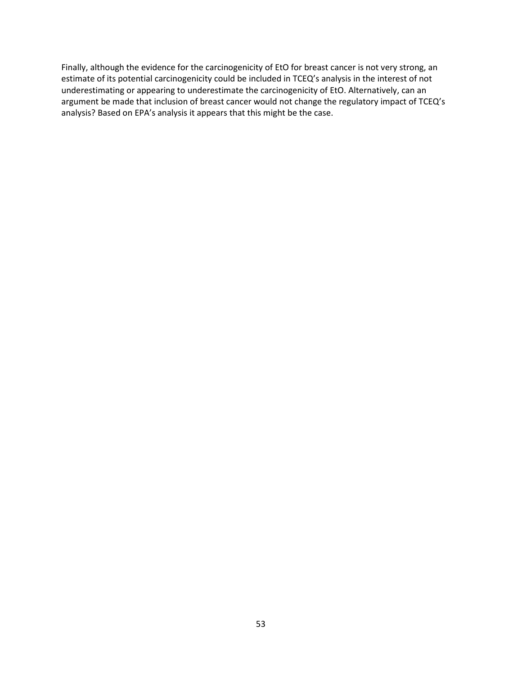Finally, although the evidence for the carcinogenicity of EtO for breast cancer is not very strong, an estimate of its potential carcinogenicity could be included in TCEQ's analysis in the interest of not underestimating or appearing to underestimate the carcinogenicity of EtO. Alternatively, can an argument be made that inclusion of breast cancer would not change the regulatory impact of TCEQ's analysis? Based on EPA's analysis it appears that this might be the case.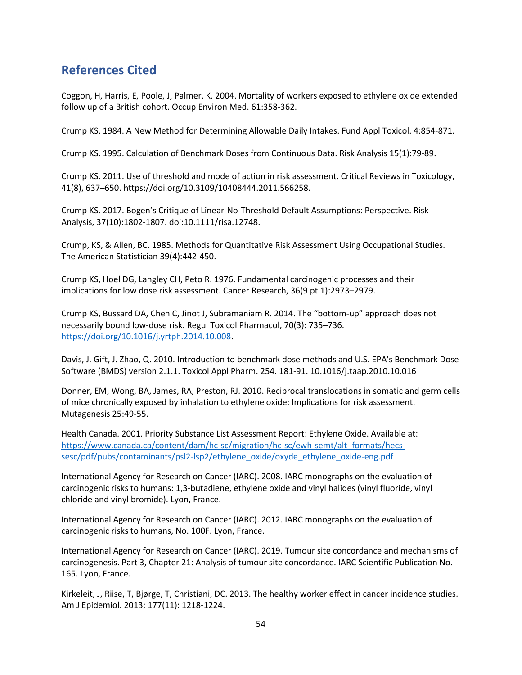# **References Cited**

Coggon, H, Harris, E, Poole, J, Palmer, K. 2004. Mortality of workers exposed to ethylene oxide extended follow up of a British cohort. Occup Environ Med. 61:358-362.

Crump KS. 1984. A New Method for Determining Allowable Daily Intakes. Fund Appl Toxicol. 4:854-871.

Crump KS. 1995. Calculation of Benchmark Doses from Continuous Data. Risk Analysis 15(1):79-89.

Crump KS. 2011. Use of threshold and mode of action in risk assessment. Critical Reviews in Toxicology, 41(8), 637–650. https://doi.org/10.3109/10408444.2011.566258.

Crump KS. 2017. Bogen's Critique of Linear-No-Threshold Default Assumptions: Perspective. Risk Analysis, 37(10):1802-1807. doi:10.1111/risa.12748.

Crump, KS, & Allen, BC. 1985. Methods for Quantitative Risk Assessment Using Occupational Studies. The American Statistician 39(4):442-450.

Crump KS, Hoel DG, Langley CH, Peto R. 1976. Fundamental carcinogenic processes and their implications for low dose risk assessment. Cancer Research, 36(9 pt.1):2973–2979.

Crump KS, Bussard DA, Chen C, Jinot J, Subramaniam R. 2014. The "bottom-up" approach does not necessarily bound low-dose risk. Regul Toxicol Pharmacol, 70(3): 735–736. [https://doi.org/10.1016/j.yrtph.2014.10.008.](https://doi.org/10.1016/j.yrtph.2014.10.008)

Davis, J. Gift, J. Zhao, Q. 2010. Introduction to benchmark dose methods and U.S. EPA's Benchmark Dose Software (BMDS) version 2.1.1. Toxicol Appl Pharm. 254. 181-91. 10.1016/j.taap.2010.10.016

Donner, EM, Wong, BA, James, RA, Preston, RJ. 2010. Reciprocal translocations in somatic and germ cells of mice chronically exposed by inhalation to ethylene oxide: Implications for risk assessment. Mutagenesis 25:49-55.

Health Canada. 2001. Priority Substance List Assessment Report: Ethylene Oxide. Available at: [https://www.canada.ca/content/dam/hc-sc/migration/hc-sc/ewh-semt/alt\\_formats/hecs](https://www.canada.ca/content/dam/hc-sc/migration/hc-sc/ewh-semt/alt_formats/hecs-sesc/pdf/pubs/contaminants/psl2-lsp2/ethylene_oxide/oxyde_ethylene_oxide-eng.pdf)[sesc/pdf/pubs/contaminants/psl2-lsp2/ethylene\\_oxide/oxyde\\_ethylene\\_oxide-eng.pdf](https://www.canada.ca/content/dam/hc-sc/migration/hc-sc/ewh-semt/alt_formats/hecs-sesc/pdf/pubs/contaminants/psl2-lsp2/ethylene_oxide/oxyde_ethylene_oxide-eng.pdf)

International Agency for Research on Cancer (IARC). 2008. IARC monographs on the evaluation of carcinogenic risks to humans: 1,3-butadiene, ethylene oxide and vinyl halides (vinyl fluoride, vinyl chloride and vinyl bromide). Lyon, France.

International Agency for Research on Cancer (IARC). 2012. IARC monographs on the evaluation of carcinogenic risks to humans, No. 100F. Lyon, France.

International Agency for Research on Cancer (IARC). 2019. Tumour site concordance and mechanisms of carcinogenesis. Part 3, Chapter 21: Analysis of tumour site concordance. IARC Scientific Publication No. 165. Lyon, France.

Kirkeleit, J, Riise, T, Bjørge, T, Christiani, DC. 2013. The healthy worker effect in cancer incidence studies. Am J Epidemiol. 2013; 177(11): 1218-1224.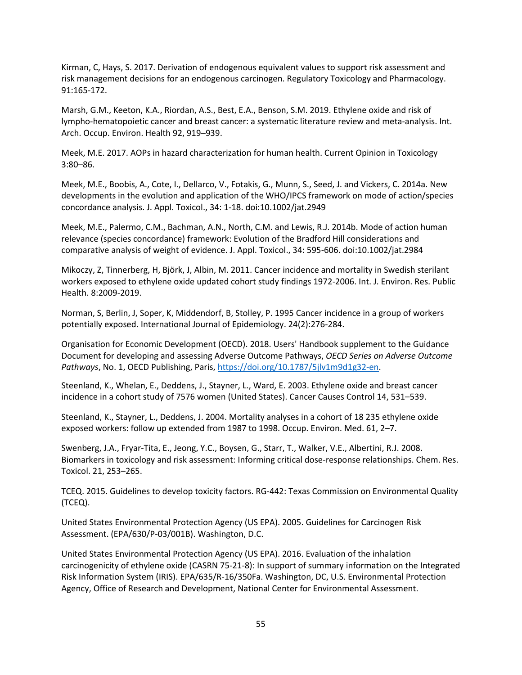Kirman, C, Hays, S. 2017. Derivation of endogenous equivalent values to support risk assessment and risk management decisions for an endogenous carcinogen. Regulatory Toxicology and Pharmacology. 91:165-172.

Marsh, G.M., Keeton, K.A., Riordan, A.S., Best, E.A., Benson, S.M. 2019. Ethylene oxide and risk of lympho-hematopoietic cancer and breast cancer: a systematic literature review and meta-analysis. Int. Arch. Occup. Environ. Health 92, 919–939.

Meek, M.E. 2017. AOPs in hazard characterization for human health. Current Opinion in Toxicology 3:80–86.

Meek, M.E., Boobis, A., Cote, I., Dellarco, V., Fotakis, G., Munn, S., Seed, J. and Vickers, C. 2014a. New developments in the evolution and application of the WHO/IPCS framework on mode of action/species concordance analysis. J. Appl. Toxicol., 34: 1-18. doi[:10.1002/jat.2949](https://doi.org/10.1002/jat.2949)

Meek, M.E., Palermo, C.M., Bachman, A.N., North, C.M. and Lewis, R.J. 2014b. Mode of action human relevance (species concordance) framework: Evolution of the Bradford Hill considerations and comparative analysis of weight of evidence. J. Appl. Toxicol., 34: 595-606. doi[:10.1002/jat.2984](https://doi.org/10.1002/jat.2984)

Mikoczy, Z, Tinnerberg, H, Björk, J, Albin, M. 2011. Cancer incidence and mortality in Swedish sterilant workers exposed to ethylene oxide updated cohort study findings 1972-2006. Int. J. Environ. Res. Public Health. 8:2009-2019.

Norman, S, Berlin, J, Soper, K, Middendorf, B, Stolley, P. 1995 Cancer incidence in a group of workers potentially exposed. International Journal of Epidemiology. 24(2):276-284.

Organisation for Economic Development (OECD). 2018. Users' Handbook supplement to the Guidance Document for developing and assessing Adverse Outcome Pathways, *OECD Series on Adverse Outcome Pathways*, No. 1, OECD Publishing, Paris, [https://doi.org/10.1787/5jlv1m9d1g32](https://doi.org/10.1787/5jlv1m9d1g32-en)-en.

Steenland, K., Whelan, E., Deddens, J., Stayner, L., Ward, E. 2003. Ethylene oxide and breast cancer incidence in a cohort study of 7576 women (United States). Cancer Causes Control 14, 531–539.

Steenland, K., Stayner, L., Deddens, J. 2004. Mortality analyses in a cohort of 18 235 ethylene oxide exposed workers: follow up extended from 1987 to 1998. Occup. Environ. Med. 61, 2–7.

Swenberg, J.A., Fryar-Tita, E., Jeong, Y.C., Boysen, G., Starr, T., Walker, V.E., Albertini, R.J. 2008. Biomarkers in toxicology and risk assessment: Informing critical dose-response relationships. Chem. Res. Toxicol. 21, 253–265.

TCEQ. 2015. Guidelines to develop toxicity factors. RG-442: Texas Commission on Environmental Quality (TCEQ).

United States Environmental Protection Agency (US EPA). 2005. Guidelines for Carcinogen Risk Assessment. (EPA/630/P-03/001B). Washington, D.C.

United States Environmental Protection Agency (US EPA). 2016. Evaluation of the inhalation carcinogenicity of ethylene oxide (CASRN 75-21-8): In support of summary information on the Integrated Risk Information System (IRIS). EPA/635/R-16/350Fa. Washington, DC, U.S. Environmental Protection Agency, Office of Research and Development, National Center for Environmental Assessment.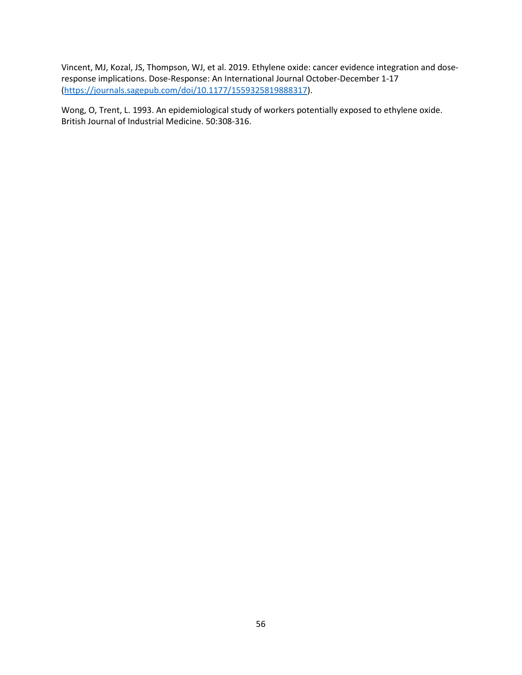Vincent, MJ, Kozal, JS, Thompson, WJ, et al. 2019. Ethylene oxide: cancer evidence integration and doseresponse implications. Dose-Response: An International Journal October-December 1-17 [\(https://journals.sagepub.com/doi/10.1](https://journals.sagepub.com/doi/10.1177/1559325819888317)177/1559325819888317).

Wong, O, Trent, L. 1993. An epidemiological study of workers potentially exposed to ethylene oxide. British Journal of Industrial Medicine. 50:308-316.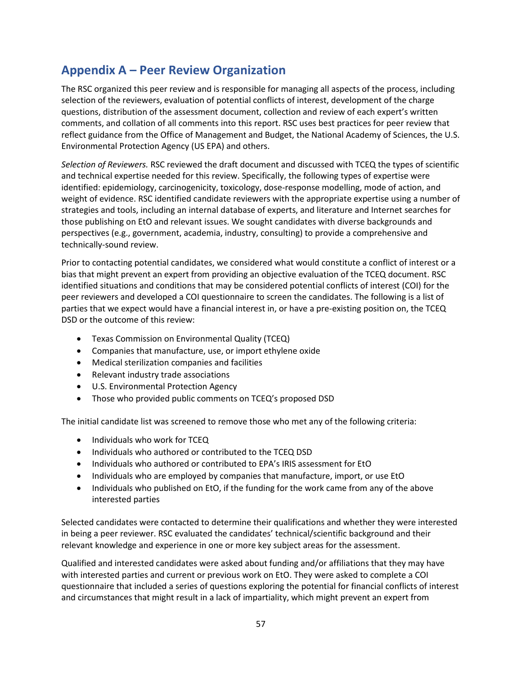# **Appendix A – Peer Review Organization**

The RSC organized this peer review and is responsible for managing all aspects of the process, including selection of the reviewers, evaluation of potential conflicts of interest, development of the charge questions, distribution of the assessment document, collection and review of each expert's written comments, and collation of all comments into this report. RSC uses best practices for peer review that reflect guidance from the Office of Management and Budget, the National Academy of Sciences, the U.S. Environmental Protection Agency (US EPA) and others.

*Selection of Reviewers.* RSC reviewed the draft document and discussed with TCEQ the types of scientific and technical expertise needed for this review. Specifically, the following types of expertise were identified: epidemiology, carcinogenicity, toxicology, dose-response modelling, mode of action, and weight of evidence. RSC identified candidate reviewers with the appropriate expertise using a number of strategies and tools, including an internal database of experts, and literature and Internet searches for those publishing on EtO and relevant issues. We sought candidates with diverse backgrounds and perspectives (e.g., government, academia, industry, consulting) to provide a comprehensive and technically-sound review.

Prior to contacting potential candidates, we considered what would constitute a conflict of interest or a bias that might prevent an expert from providing an objective evaluation of the TCEQ document. RSC identified situations and conditions that may be considered potential conflicts of interest (COI) for the peer reviewers and developed a COI questionnaire to screen the candidates. The following is a list of parties that we expect would have a financial interest in, or have a pre-existing position on, the TCEQ DSD or the outcome of this review:

- Texas Commission on Environmental Quality (TCEQ)
- Companies that manufacture, use, or import ethylene oxide
- Medical sterilization companies and facilities
- Relevant industry trade associations
- U.S. Environmental Protection Agency
- Those who provided public comments on TCEQ's proposed DSD

The initial candidate list was screened to remove those who met any of the following criteria:

- Individuals who work for TCEQ
- Individuals who authored or contributed to the TCEQ DSD
- Individuals who authored or contributed to EPA's IRIS assessment for EtO
- Individuals who are employed by companies that manufacture, import, or use EtO
- Individuals who published on EtO, if the funding for the work came from any of the above interested parties

Selected candidates were contacted to determine their qualifications and whether they were interested in being a peer reviewer. RSC evaluated the candidates' technical/scientific background and their relevant knowledge and experience in one or more key subject areas for the assessment.

Qualified and interested candidates were asked about funding and/or affiliations that they may have with interested parties and current or previous work on EtO. They were asked to complete a COI questionnaire that included a series of questions exploring the potential for financial conflicts of interest and circumstances that might result in a lack of impartiality, which might prevent an expert from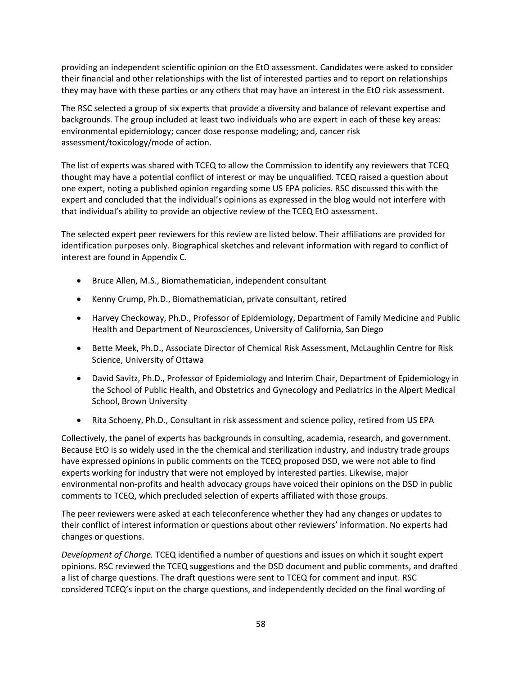providing an independent scientific opinion on the EtO assessment. Candidates were asked to consider their financial and other relationships with the list of interested parties and to report on relationships they may have with these parties or any others that may have an interest in the EtO risk assessment.

The RSC selected a group of six experts that provide a diversity and balance of relevant expertise and backgrounds. The group included at least two individuals who are expert in each of these key areas: environmental epidemiology; cancer dose response modeling; and, cancer risk assessment/toxicology/mode of action.

The list of experts was shared with TCEQ to allow the Commission to identify any reviewers that TCEQ thought may have a potential conflict of interest or may be unqualified. TCEQ raised a question about one expert, noting a published opinion regarding some US EPA policies. RSC discussed this with the expert and concluded that the individual's opinions as expressed in the blog would not interfere with that individual's ability to provide an objective review of the TCEQ EtO assessment.

The selected expert peer reviewers for this review are listed below. Their affiliations are provided for identification purposes only. Biographical sketches and relevant information with regard to conflict of interest are found in Appendix C.

- Bruce Allen, M.S., Biomathematician, independent consultant
- Kenny Crump, Ph.D., Biomathematician, private consultant, retired
- Harvey Checkoway, Ph.D., Professor of Epidemiology, Department of Family Medicine and Public Health and Department of Neurosciences, University of California, San Diego
- Bette Meek, Ph.D., Associate Director of Chemical Risk Assessment, McLaughlin Centre for Risk Science, University of Ottawa
- David Savitz, Ph.D., Professor of Epidemiology and Interim Chair, Department of Epidemiology in the School of Public Health, and Obstetrics and Gynecology and Pediatrics in the Alpert Medical School, Brown University
- Rita Schoeny, Ph.D., Consultant in risk assessment and science policy, retired from US EPA

Collectively, the panel of experts has backgrounds in consulting, academia, research, and government. Because EtO is so widely used in the the chemical and sterilization industry, and industry trade groups have expressed opinions in public comments on the TCEQ proposed DSD, we were not able to find experts working for industry that were not employed by interested parties. Likewise, major environmental non-profits and health advocacy groups have voiced their opinions on the DSD in public comments to TCEQ, which precluded selection of experts affiliated with those groups.

The peer reviewers were asked at each teleconference whether they had any changes or updates to their conflict of interest information or questions about other reviewers' information. No experts had changes or questions.

*Development of Charge.* TCEQ identified a number of questions and issues on which it sought expert opinions. RSC reviewed the TCEQ suggestions and the DSD document and public comments, and drafted a list of charge questions. The draft questions were sent to TCEQ for comment and input. RSC considered TCEQ's input on the charge questions, and independently decided on the final wording of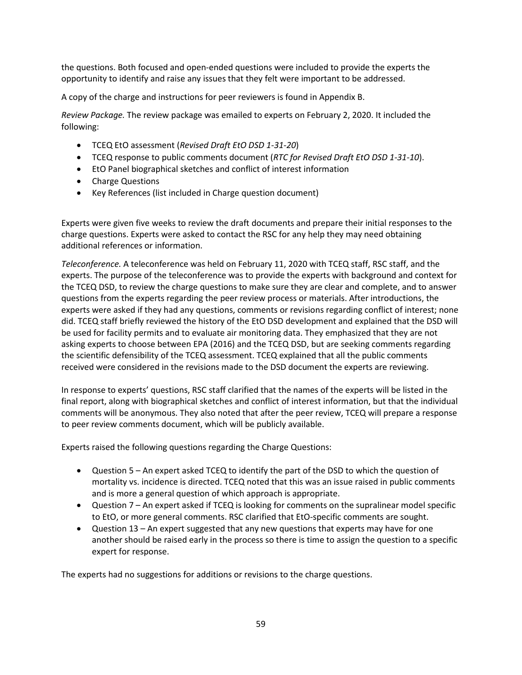the questions. Both focused and open-ended questions were included to provide the experts the opportunity to identify and raise any issues that they felt were important to be addressed.

A copy of the charge and instructions for peer reviewers is found in Appendix B.

*Review Package.* The review package was emailed to experts on February 2, 2020. It included the following:

- TCEQ EtO assessment (*Revised Draft EtO DSD 1-31-20*)
- TCEQ response to public comments document (*RTC for Revised Draft EtO DSD 1-31-10*).
- EtO Panel biographical sketches and conflict of interest information
- Charge Questions
- Key References (list included in Charge question document)

Experts were given five weeks to review the draft documents and prepare their initial responses to the charge questions. Experts were asked to contact the RSC for any help they may need obtaining additional references or information.

*Teleconference.* A teleconference was held on February 11, 2020 with TCEQ staff, RSC staff, and the experts. The purpose of the teleconference was to provide the experts with background and context for the TCEQ DSD, to review the charge questions to make sure they are clear and complete, and to answer questions from the experts regarding the peer review process or materials. After introductions, the experts were asked if they had any questions, comments or revisions regarding conflict of interest; none did. TCEQ staff briefly reviewed the history of the EtO DSD development and explained that the DSD will be used for facility permits and to evaluate air monitoring data. They emphasized that they are not asking experts to choose between EPA (2016) and the TCEQ DSD, but are seeking comments regarding the scientific defensibility of the TCEQ assessment. TCEQ explained that all the public comments received were considered in the revisions made to the DSD document the experts are reviewing.

In response to experts' questions, RSC staff clarified that the names of the experts will be listed in the final report, along with biographical sketches and conflict of interest information, but that the individual comments will be anonymous. They also noted that after the peer review, TCEQ will prepare a response to peer review comments document, which will be publicly available.

Experts raised the following questions regarding the Charge Questions:

- Question 5 An expert asked TCEQ to identify the part of the DSD to which the question of mortality vs. incidence is directed. TCEQ noted that this was an issue raised in public comments and is more a general question of which approach is appropriate.
- Question 7 An expert asked if TCEQ is looking for comments on the supralinear model specific to EtO, or more general comments. RSC clarified that EtO-specific comments are sought.
- Question 13 An expert suggested that any new questions that experts may have for one another should be raised early in the process so there is time to assign the question to a specific expert for response.

The experts had no suggestions for additions or revisions to the charge questions.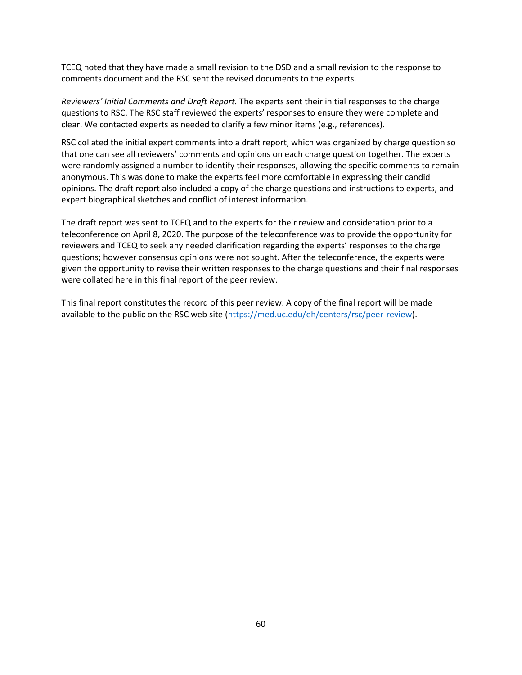TCEQ noted that they have made a small revision to the DSD and a small revision to the response to comments document and the RSC sent the revised documents to the experts.

*Reviewers' Initial Comments and Draft Report.* The experts sent their initial responses to the charge questions to RSC. The RSC staff reviewed the experts' responses to ensure they were complete and clear. We contacted experts as needed to clarify a few minor items (e.g., references).

RSC collated the initial expert comments into a draft report, which was organized by charge question so that one can see all reviewers' comments and opinions on each charge question together. The experts were randomly assigned a number to identify their responses, allowing the specific comments to remain anonymous. This was done to make the experts feel more comfortable in expressing their candid opinions. The draft report also included a copy of the charge questions and instructions to experts, and expert biographical sketches and conflict of interest information.

The draft report was sent to TCEQ and to the experts for their review and consideration prior to a teleconference on April 8, 2020. The purpose of the teleconference was to provide the opportunity for reviewers and TCEQ to seek any needed clarification regarding the experts' responses to the charge questions; however consensus opinions were not sought. After the teleconference, the experts were given the opportunity to revise their written responses to the charge questions and their final responses were collated here in this final report of the peer review.

This final report constitutes the record of this peer review. A copy of the final report will be made available to the public on the RSC web site [\(https://med.uc.edu/eh/centers/rsc/peer-review\)](https://med.uc.edu/eh/centers/rsc/peer-review).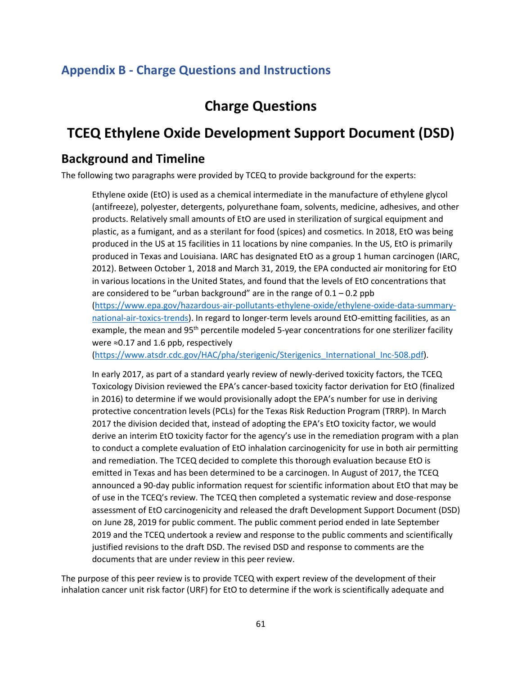## **Appendix B - Charge Questions and Instructions**

# **Charge Questions**

# **TCEQ Ethylene Oxide Development Support Document (DSD)**

## **Background and Timeline**

The following two paragraphs were provided by TCEQ to provide background for the experts:

Ethylene oxide (EtO) is used as a chemical intermediate in the manufacture of ethylene glycol (antifreeze), polyester, detergents, polyurethane foam, solvents, medicine, adhesives, and other products. Relatively small amounts of EtO are used in sterilization of surgical equipment and plastic, as a fumigant, and as a sterilant for food (spices) and cosmetics. In 2018, EtO was being produced in the US at 15 facilities in 11 locations by nine companies. In the US, EtO is primarily produced in Texas and Louisiana. IARC has designated EtO as a group 1 human carcinogen (IARC, 2012). Between October 1, 2018 and March 31, 2019, the EPA conducted air monitoring for EtO in various locations in the United States, and found that the levels of EtO concentrations that are considered to be "urban background" are in the range of  $0.1 - 0.2$  ppb [\(https://www.epa.gov/hazardous-air-pollutants-ethylene-oxide/ethylene-oxide-data-summary](https://www.epa.gov/hazardous-air-pollutants-ethylene-oxide/ethylene-oxide-data-summary-national-air-toxics-trends)[national-air-toxics-trends\)](https://www.epa.gov/hazardous-air-pollutants-ethylene-oxide/ethylene-oxide-data-summary-national-air-toxics-trends). In regard to longer-term levels around EtO-emitting facilities, as an example, the mean and 95<sup>th</sup> percentile modeled 5-year concentrations for one sterilizer facility were ≈0.17 and 1.6 ppb, respectively

[\(https://www.atsdr.cdc.gov/HAC/pha/sterigenic/Sterigenics\\_International\\_Inc-508.pdf\)](https://www.atsdr.cdc.gov/HAC/pha/sterigenic/Sterigenics_International_Inc-508.pdf).

In early 2017, as part of a standard yearly review of newly-derived toxicity factors, the TCEQ Toxicology Division reviewed the EPA's cancer-based toxicity factor derivation for EtO (finalized in 2016) to determine if we would provisionally adopt the EPA's number for use in deriving protective concentration levels (PCLs) for the Texas Risk Reduction Program (TRRP). In March 2017 the division decided that, instead of adopting the EPA's EtO toxicity factor, we would derive an interim EtO toxicity factor for the agency's use in the remediation program with a plan to conduct a complete evaluation of EtO inhalation carcinogenicity for use in both air permitting and remediation. The TCEQ decided to complete this thorough evaluation because EtO is emitted in Texas and has been determined to be a carcinogen. In August of 2017, the TCEQ announced a 90-day public information request for scientific information about EtO that may be of use in the TCEQ's review. The TCEQ then completed a systematic review and dose-response assessment of EtO carcinogenicity and released the draft Development Support Document (DSD) on June 28, 2019 for public comment. The public comment period ended in late September 2019 and the TCEQ undertook a review and response to the public comments and scientifically justified revisions to the draft DSD. The revised DSD and response to comments are the documents that are under review in this peer review.

The purpose of this peer review is to provide TCEQ with expert review of the development of their inhalation cancer unit risk factor (URF) for EtO to determine if the work is scientifically adequate and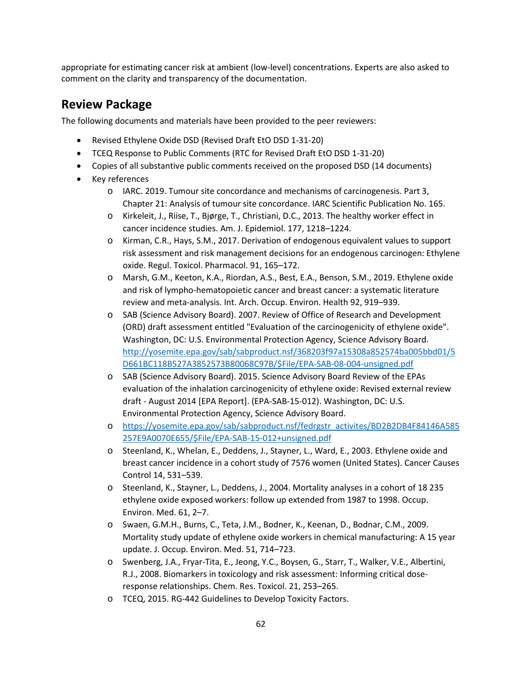appropriate for estimating cancer risk at ambient (low-level) concentrations. Experts are also asked to comment on the clarity and transparency of the documentation.

# **Review Package**

The following documents and materials have been provided to the peer reviewers:

- Revised Ethylene Oxide DSD (Revised Draft EtO DSD 1-31-20)
- TCEQ Response to Public Comments (RTC for Revised Draft EtO DSD 1-31-20)
- Copies of all substantive public comments received on the proposed DSD (14 documents)
- Key references
	- o IARC. 2019. Tumour site concordance and mechanisms of carcinogenesis. Part 3, Chapter 21: Analysis of tumour site concordance. IARC Scientific Publication No. 165.
	- o Kirkeleit, J., Riise, T., Bjørge, T., Christiani, D.C., 2013. The healthy worker effect in cancer incidence studies. Am. J. Epidemiol. 177, 1218–1224.
	- o Kirman, C.R., Hays, S.M., 2017. Derivation of endogenous equivalent values to support risk assessment and risk management decisions for an endogenous carcinogen: Ethylene oxide. Regul. Toxicol. Pharmacol. 91, 165–172.
	- o Marsh, G.M., Keeton, K.A., Riordan, A.S., Best, E.A., Benson, S.M., 2019. Ethylene oxide and risk of lympho-hematopoietic cancer and breast cancer: a systematic literature review and meta-analysis. Int. Arch. Occup. Environ. Health 92, 919–939.
	- o SAB (Science Advisory Board). 2007. Review of Office of Research and Development (ORD) draft assessment entitled "Evaluation of the carcinogenicity of ethylene oxide". Washington, DC: U.S. Environmental Protection Agency, Science Advisory Board. [http://yosemite.epa.gov/sab/sabproduct.nsf/368203f97a15308a852574ba005bbd01/5](http://yosemite.epa.gov/sab/sabproduct.nsf/368203f97a15308a852574ba005bbd01/5D661BC118B527A3852573B80068C97B/$File/EPA-SAB-08-004-unsigned.pdf) [D661BC118B527A3852573B80068C97B/\\$File/EPA](http://yosemite.epa.gov/sab/sabproduct.nsf/368203f97a15308a852574ba005bbd01/5D661BC118B527A3852573B80068C97B/$File/EPA-SAB-08-004-unsigned.pdf)-SAB-08-004-unsigned.pdf
	- o SAB (Science Advisory Board). 2015. Science Advisory Board Review of the EPAs evaluation of the inhalation carcinogenicity of ethylene oxide: Revised external review draft - August 2014 [EPA Report]. (EPA-SAB-15-012). Washington, DC: U.S. Environmental Protection Agency, Science Advisory Board.
	- o [https://yosemite.epa.gov/sab/sabproduct.nsf/fedrgstr\\_activites/BD2B2DB4F84146A585](https://yosemite.epa.gov/sab/sabproduct.nsf/fedrgstr_activites/BD2B2DB4F84146A585257E9A0070E655/$File/EPA-SAB-15-012+unsigned.pdf) 257E9A0070E655/\$File[/EPA-SAB-15-012+unsigned.pdf](https://yosemite.epa.gov/sab/sabproduct.nsf/fedrgstr_activites/BD2B2DB4F84146A585257E9A0070E655/$File/EPA-SAB-15-012+unsigned.pdf)
	- o Steenland, K., Whelan, E., Deddens, J., Stayner, L., Ward, E., 2003. Ethylene oxide and breast cancer incidence in a cohort study of 7576 women (United States). Cancer Causes Control 14, 531–539.
	- o Steenland, K., Stayner, L., Deddens, J., 2004. Mortality analyses in a cohort of 18 235 ethylene oxide exposed workers: follow up extended from 1987 to 1998. Occup. Environ. Med. 61, 2–7.
	- o Swaen, G.M.H., Burns, C., Teta, J.M., Bodner, K., Keenan, D., Bodnar, C.M., 2009. Mortality study update of ethylene oxide workers in chemical manufacturing: A 15 year update. J. Occup. Environ. Med. 51, 714–723.
	- o Swenberg, J.A., Fryar-Tita, E., Jeong, Y.C., Boysen, G., Starr, T., Walker, V.E., Albertini, R.J., 2008. Biomarkers in toxicology and risk assessment: Informing critical doseresponse relationships. Chem. Res. Toxicol. 21, 253–265.
	- o TCEQ, 2015. RG-442 Guidelines to Develop Toxicity Factors.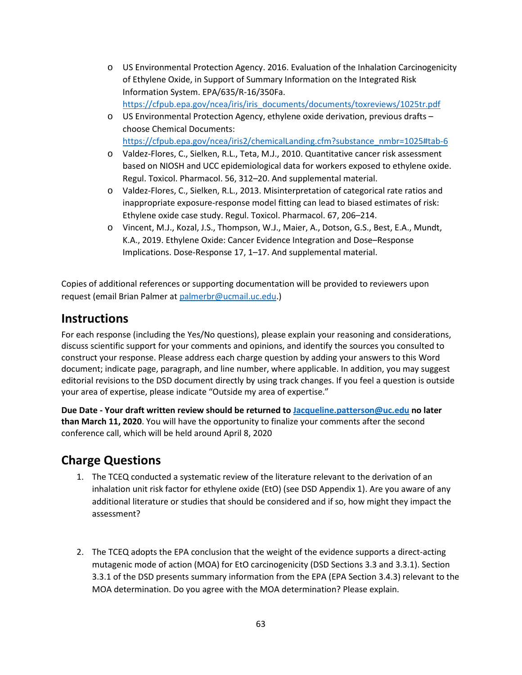- o US Environmental Protection Agency. 2016. Evaluation of the Inhalation Carcinogenicity of Ethylene Oxide, in Support of Summary Information on the Integrated Risk Information System. EPA/635/R-16/350Fa. [https://cfpub.epa.gov/ncea/iris/iris\\_documents/documents/toxreviews/1025tr.pdf](https://cfpub.epa.gov/ncea/iris/iris_documents/documents/toxreviews/1025tr.pdf)
- o US Environmental Protection Agency, ethylene oxide derivation, previous drafts choose Chemical Documents: [https://cfpub.epa.gov/ncea/iris2/chemicalLanding.cfm?substance\\_nmbr=1025#tab-6](https://cfpub.epa.gov/ncea/iris2/chemicalLanding.cfm?substance_nmbr=1025#tab-6)
- o Valdez-Flores, C., Sielken, R.L., Teta, M.J., 2010. Quantitative cancer risk assessment based on NIOSH and UCC epidemiological data for workers exposed to ethylene oxide. Regul. Toxicol. Pharmacol. 56, 312–20. And supplemental material.
- o Valdez-Flores, C., Sielken, R.L., 2013. Misinterpretation of categorical rate ratios and inappropriate exposure-response model fitting can lead to biased estimates of risk: Ethylene oxide case study. Regul. Toxicol. Pharmacol. 67, 206–214.
- o Vincent, M.J., Kozal, J.S., Thompson, W.J., Maier, A., Dotson, G.S., Best, E.A., Mundt, K.A., 2019. Ethylene Oxide: Cancer Evidence Integration and Dose–Response Implications. Dose-Response 17, 1–17. And supplemental material.

Copies of additional references or supporting documentation will be provided to reviewers upon request (email Brian Palmer a[t palmerbr@ucmail.uc.edu.](mailto:palmerbr@ucmail.uc.edu))

## **Instructions**

For each response (including the Yes/No questions), please explain your reasoning and considerations, discuss scientific support for your comments and opinions, and identify the sources you consulted to construct your response. Please address each charge question by adding your answers to this Word document; indicate page, paragraph, and line number, where applicable. In addition, you may suggest editorial revisions to the DSD document directly by using track changes. If you feel a question is outside your area of expertise, please indicate "Outside my area of expertise."

**Due Date - Your draft written review should be returned to [Jacqueline.patterson@uc.edu](mailto:Jacqueline.patterson@uc.edu) no later than March 11, 2020**. You will have the opportunity to finalize your comments after the second conference call, which will be held around April 8, 2020

# **Charge Questions**

- 1. The TCEQ conducted a systematic review of the literature relevant to the derivation of an inhalation unit risk factor for ethylene oxide (EtO) (see DSD Appendix 1). Are you aware of any additional literature or studies that should be considered and if so, how might they impact the assessment?
- 2. The TCEQ adopts the EPA conclusion that the weight of the evidence supports a direct-acting mutagenic mode of action (MOA) for EtO carcinogenicity (DSD Sections 3.3 and 3.3.1). Section 3.3.1 of the DSD presents summary information from the EPA (EPA Section 3.4.3) relevant to the MOA determination. Do you agree with the MOA determination? Please explain.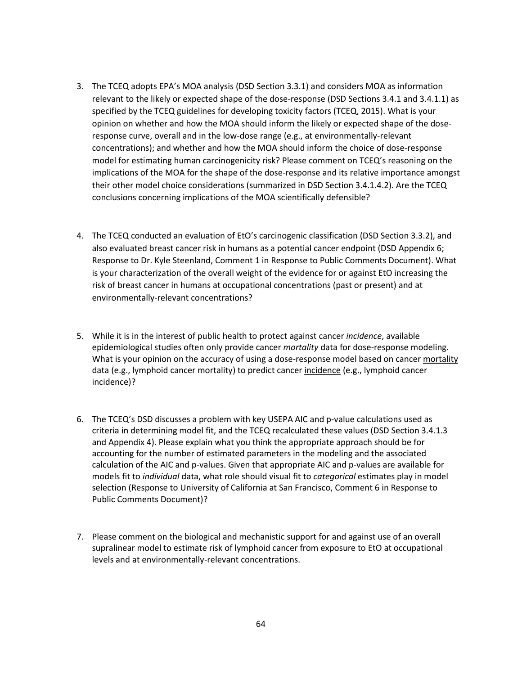- 3. The TCEQ adopts EPA's MOA analysis (DSD Section 3.3.1) and considers MOA as information relevant to the likely or expected shape of the dose-response (DSD Sections 3.4.1 and 3.4.1.1) as specified by the TCEQ guidelines for developing toxicity factors (TCEQ, 2015). What is your opinion on whether and how the MOA should inform the likely or expected shape of the doseresponse curve, overall and in the low-dose range (e.g., at environmentally-relevant concentrations); and whether and how the MOA should inform the choice of dose-response model for estimating human carcinogenicity risk? Please comment on TCEQ's reasoning on the implications of the MOA for the shape of the dose-response and its relative importance amongst their other model choice considerations (summarized in DSD Section 3.4.1.4.2). Are the TCEQ conclusions concerning implications of the MOA scientifically defensible?
- 4. The TCEQ conducted an evaluation of EtO's carcinogenic classification (DSD Section 3.3.2), and also evaluated breast cancer risk in humans as a potential cancer endpoint (DSD Appendix 6; Response to Dr. Kyle Steenland, Comment 1 in Response to Public Comments Document). What is your characterization of the overall weight of the evidence for or against EtO increasing the risk of breast cancer in humans at occupational concentrations (past or present) and at environmentally-relevant concentrations?
- 5. While it is in the interest of public health to protect against cancer *incidence*, available epidemiological studies often only provide cancer *mortality* data for dose-response modeling. What is your opinion on the accuracy of using a dose-response model based on cancer mortality data (e.g., lymphoid cancer mortality) to predict cancer incidence (e.g., lymphoid cancer incidence)?
- 6. The TCEQ's DSD discusses a problem with key USEPA AIC and p-value calculations used as criteria in determining model fit, and the TCEQ recalculated these values (DSD Section 3.4.1.3 and Appendix 4). Please explain what you think the appropriate approach should be for accounting for the number of estimated parameters in the modeling and the associated calculation of the AIC and p-values. Given that appropriate AIC and p-values are available for models fit to *individual* data, what role should visual fit to *categorical* estimates play in model selection (Response to University of California at San Francisco, Comment 6 in Response to Public Comments Document)?
- 7. Please comment on the biological and mechanistic support for and against use of an overall supralinear model to estimate risk of lymphoid cancer from exposure to EtO at occupational levels and at environmentally-relevant concentrations.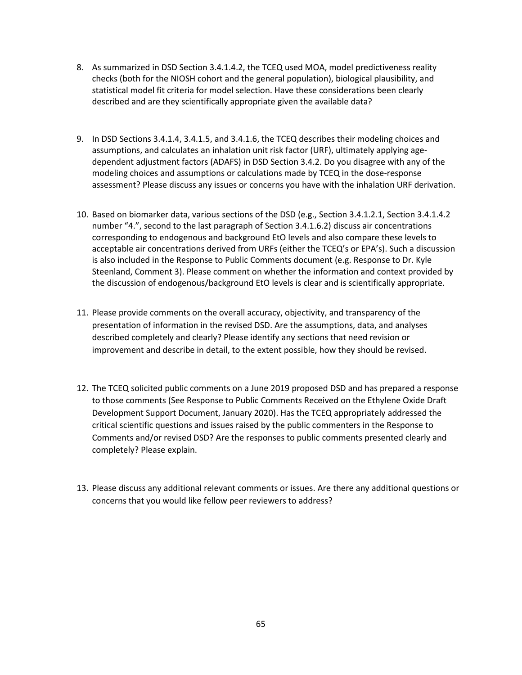- 8. As summarized in DSD Section 3.4.1.4.2, the TCEQ used MOA, model predictiveness reality checks (both for the NIOSH cohort and the general population), biological plausibility, and statistical model fit criteria for model selection. Have these considerations been clearly described and are they scientifically appropriate given the available data?
- 9. In DSD Sections 3.4.1.4, 3.4.1.5, and 3.4.1.6, the TCEQ describes their modeling choices and assumptions, and calculates an inhalation unit risk factor (URF), ultimately applying agedependent adjustment factors (ADAFS) in DSD Section 3.4.2. Do you disagree with any of the modeling choices and assumptions or calculations made by TCEQ in the dose-response assessment? Please discuss any issues or concerns you have with the inhalation URF derivation.
- 10. Based on biomarker data, various sections of the DSD (e.g., Section 3.4.1.2.1, Section 3.4.1.4.2 number "4.", second to the last paragraph of Section 3.4.1.6.2) discuss air concentrations corresponding to endogenous and background EtO levels and also compare these levels to acceptable air concentrations derived from URFs (either the TCEQ's or EPA's). Such a discussion is also included in the Response to Public Comments document (e.g. Response to Dr. Kyle Steenland, Comment 3). Please comment on whether the information and context provided by the discussion of endogenous/background EtO levels is clear and is scientifically appropriate.
- 11. Please provide comments on the overall accuracy, objectivity, and transparency of the presentation of information in the revised DSD. Are the assumptions, data, and analyses described completely and clearly? Please identify any sections that need revision or improvement and describe in detail, to the extent possible, how they should be revised.
- 12. The TCEQ solicited public comments on a June 2019 proposed DSD and has prepared a response to those comments (See Response to Public Comments Received on the Ethylene Oxide Draft Development Support Document, January 2020). Has the TCEQ appropriately addressed the critical scientific questions and issues raised by the public commenters in the Response to Comments and/or revised DSD? Are the responses to public comments presented clearly and completely? Please explain.
- 13. Please discuss any additional relevant comments or issues. Are there any additional questions or concerns that you would like fellow peer reviewers to address?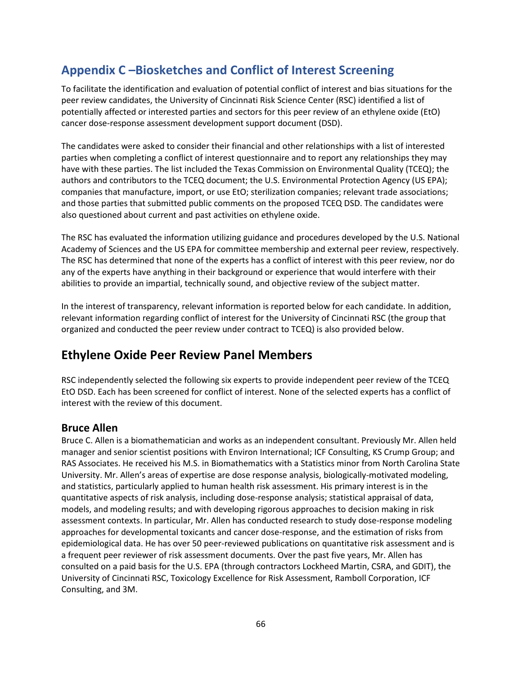# **Appendix C –Biosketches and Conflict of Interest Screening**

To facilitate the identification and evaluation of potential conflict of interest and bias situations for the peer review candidates, the University of Cincinnati Risk Science Center (RSC) identified a list of potentially affected or interested parties and sectors for this peer review of an ethylene oxide (EtO) cancer dose-response assessment development support document (DSD).

The candidates were asked to consider their financial and other relationships with a list of interested parties when completing a conflict of interest questionnaire and to report any relationships they may have with these parties. The list included the Texas Commission on Environmental Quality (TCEQ); the authors and contributors to the TCEQ document; the U.S. Environmental Protection Agency (US EPA); companies that manufacture, import, or use EtO; sterilization companies; relevant trade associations; and those parties that submitted public comments on the proposed TCEQ DSD. The candidates were also questioned about current and past activities on ethylene oxide.

The RSC has evaluated the information utilizing guidance and procedures developed by the U.S. National Academy of Sciences and the US EPA for committee membership and external peer review, respectively. The RSC has determined that none of the experts has a conflict of interest with this peer review, nor do any of the experts have anything in their background or experience that would interfere with their abilities to provide an impartial, technically sound, and objective review of the subject matter.

In the interest of transparency, relevant information is reported below for each candidate. In addition, relevant information regarding conflict of interest for the University of Cincinnati RSC (the group that organized and conducted the peer review under contract to TCEQ) is also provided below.

# **Ethylene Oxide Peer Review Panel Members**

RSC independently selected the following six experts to provide independent peer review of the TCEQ EtO DSD. Each has been screened for conflict of interest. None of the selected experts has a conflict of interest with the review of this document.

## **Bruce Allen**

Bruce C. Allen is a biomathematician and works as an independent consultant. Previously Mr. Allen held manager and senior scientist positions with Environ International; ICF Consulting, KS Crump Group; and RAS Associates. He received his M.S. in Biomathematics with a Statistics minor from North Carolina State University. Mr. Allen's areas of expertise are dose response analysis, biologically-motivated modeling, and statistics, particularly applied to human health risk assessment. His primary interest is in the quantitative aspects of risk analysis, including dose-response analysis; statistical appraisal of data, models, and modeling results; and with developing rigorous approaches to decision making in risk assessment contexts. In particular, Mr. Allen has conducted research to study dose-response modeling approaches for developmental toxicants and cancer dose-response, and the estimation of risks from epidemiological data. He has over 50 peer-reviewed publications on quantitative risk assessment and is a frequent peer reviewer of risk assessment documents. Over the past five years, Mr. Allen has consulted on a paid basis for the U.S. EPA (through contractors Lockheed Martin, CSRA, and GDIT), the University of Cincinnati RSC, Toxicology Excellence for Risk Assessment, Ramboll Corporation, ICF Consulting, and 3M.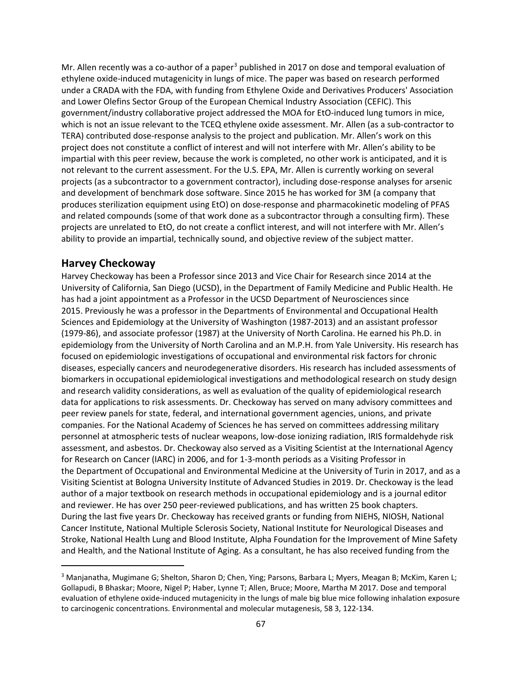Mr. Allen recently was a co-author of a paper<sup>[3](#page-66-0)</sup> published in 2017 on dose and temporal evaluation of ethylene oxide-induced mutagenicity in lungs of mice. The paper was based on research performed under a CRADA with the FDA, with funding from Ethylene Oxide and Derivatives Producers' Association and Lower Olefins Sector Group of the European Chemical Industry Association (CEFIC). This government/industry collaborative project addressed the MOA for EtO-induced lung tumors in mice, which is not an issue relevant to the TCEQ ethylene oxide assessment. Mr. Allen (as a sub-contractor to TERA) contributed dose-response analysis to the project and publication. Mr. Allen's work on this project does not constitute a conflict of interest and will not interfere with Mr. Allen's ability to be impartial with this peer review, because the work is completed, no other work is anticipated, and it is not relevant to the current assessment. For the U.S. EPA, Mr. Allen is currently working on several projects (as a subcontractor to a government contractor), including dose-response analyses for arsenic and development of benchmark dose software. Since 2015 he has worked for 3M (a company that produces sterilization equipment using EtO) on dose-response and pharmacokinetic modeling of PFAS and related compounds (some of that work done as a subcontractor through a consulting firm). These projects are unrelated to EtO, do not create a conflict interest, and will not interfere with Mr. Allen's ability to provide an impartial, technically sound, and objective review of the subject matter.

## **Harvey Checkoway**

l

Harvey Checkoway has been a Professor since 2013 and Vice Chair for Research since 2014 at the University of California, San Diego (UCSD), in the Department of Family Medicine and Public Health. He has had a joint appointment as a Professor in the UCSD Department of Neurosciences since 2015. Previously he was a professor in the Departments of Environmental and Occupational Health Sciences and Epidemiology at the University of Washington (1987-2013) and an assistant professor (1979-86), and associate professor (1987) at the University of North Carolina. He earned his Ph.D. in epidemiology from the University of North Carolina and an M.P.H. from Yale University. His research has focused on epidemiologic investigations of occupational and environmental risk factors for chronic diseases, especially cancers and neurodegenerative disorders. His research has included assessments of biomarkers in occupational epidemiological investigations and methodological research on study design and research validity considerations, as well as evaluation of the quality of epidemiological research data for applications to risk assessments. Dr. Checkoway has served on many advisory committees and peer review panels for state, federal, and international government agencies, unions, and private companies. For the National Academy of Sciences he has served on committees addressing military personnel at atmospheric tests of nuclear weapons, low-dose ionizing radiation, IRIS formaldehyde risk assessment, and asbestos. Dr. Checkoway also served as a Visiting Scientist at the International Agency for Research on Cancer (IARC) in 2006, and for 1-3-month periods as a Visiting Professor in the Department of Occupational and Environmental Medicine at the University of Turin in 2017, and as a Visiting Scientist at Bologna University Institute of Advanced Studies in 2019. Dr. Checkoway is the lead author of a major textbook on research methods in occupational epidemiology and is a journal editor and reviewer. He has over 250 peer-reviewed publications, and has written 25 book chapters. During the last five years Dr. Checkoway has received grants or funding from NIEHS, NIOSH, National Cancer Institute, National Multiple Sclerosis Society, National Institute for Neurological Diseases and Stroke, National Health Lung and Blood Institute, Alpha Foundation for the Improvement of Mine Safety and Health, and the National Institute of Aging. As a consultant, he has also received funding from the

<span id="page-66-0"></span><sup>3</sup> Manjanatha, Mugimane G; Shelton, Sharon D; Chen, Ying; Parsons, Barbara L; Myers, Meagan B; McKim, Karen L; Gollapudi, B Bhaskar; Moore, Nigel P; Haber, Lynne T; Allen, Bruce; Moore, Martha M 2017. Dose and temporal evaluation of ethylene oxide-induced mutagenicity in the lungs of male big blue mice following inhalation exposure to carcinogenic concentrations. Environmental and molecular mutagenesis, 58 3, 122-134.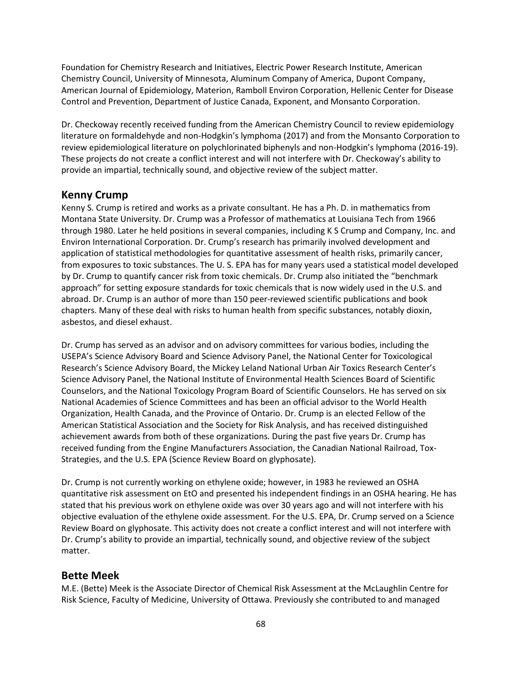Foundation for Chemistry Research and Initiatives, Electric Power Research Institute, American Chemistry Council, University of Minnesota, Aluminum Company of America, Dupont Company, American Journal of Epidemiology, Materion, Ramboll Environ Corporation, Hellenic Center for Disease Control and Prevention, Department of Justice Canada, Exponent, and Monsanto Corporation.

Dr. Checkoway recently received funding from the American Chemistry Council to review epidemiology literature on formaldehyde and non-Hodgkin's lymphoma (2017) and from the Monsanto Corporation to review epidemiological literature on polychlorinated biphenyls and non-Hodgkin's lymphoma (2016-19). These projects do not create a conflict interest and will not interfere with Dr. Checkoway's ability to provide an impartial, technically sound, and objective review of the subject matter.

## **Kenny Crump**

Kenny S. Crump is retired and works as a private consultant. He has a Ph. D. in mathematics from Montana State University. Dr. Crump was a Professor of mathematics at Louisiana Tech from 1966 through 1980. Later he held positions in several companies, including K S Crump and Company, Inc. and Environ International Corporation. Dr. Crump's research has primarily involved development and application of statistical methodologies for quantitative assessment of health risks, primarily cancer, from exposures to toxic substances. The U. S. EPA has for many years used a statistical model developed by Dr. Crump to quantify cancer risk from toxic chemicals. Dr. Crump also initiated the "benchmark approach" for setting exposure standards for toxic chemicals that is now widely used in the U.S. and abroad. Dr. Crump is an author of more than 150 peer-reviewed scientific publications and book chapters. Many of these deal with risks to human health from specific substances, notably dioxin, asbestos, and diesel exhaust.

Dr. Crump has served as an advisor and on advisory committees for various bodies, including the USEPA's Science Advisory Board and Science Advisory Panel, the National Center for Toxicological Research's Science Advisory Board, the Mickey Leland National Urban Air Toxics Research Center's Science Advisory Panel, the National Institute of Environmental Health Sciences Board of Scientific Counselors, and the National Toxicology Program Board of Scientific Counselors. He has served on six National Academies of Science Committees and has been an official advisor to the World Health Organization, Health Canada, and the Province of Ontario. Dr. Crump is an elected Fellow of the American Statistical Association and the Society for Risk Analysis, and has received distinguished achievement awards from both of these organizations. During the past five years Dr. Crump has received funding from the Engine Manufacturers Association, the Canadian National Railroad, Tox-Strategies, and the U.S. EPA (Science Review Board on glyphosate).

Dr. Crump is not currently working on ethylene oxide; however, in 1983 he reviewed an OSHA quantitative risk assessment on EtO and presented his independent findings in an OSHA hearing. He has stated that his previous work on ethylene oxide was over 30 years ago and will not interfere with his objective evaluation of the ethylene oxide assessment. For the U.S. EPA, Dr. Crump served on a Science Review Board on glyphosate. This activity does not create a conflict interest and will not interfere with Dr. Crump's ability to provide an impartial, technically sound, and objective review of the subject matter.

## **Bette Meek**

M.E. (Bette) Meek is the Associate Director of Chemical Risk Assessment at the McLaughlin Centre for Risk Science, Faculty of Medicine, University of Ottawa. Previously she contributed to and managed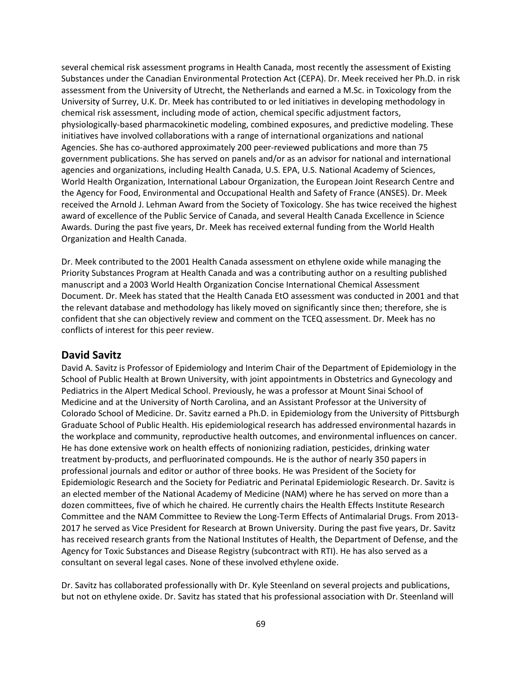several chemical risk assessment programs in Health Canada, most recently the assessment of Existing Substances under the Canadian Environmental Protection Act (CEPA). Dr. Meek received her Ph.D. in risk assessment from the University of Utrecht, the Netherlands and earned a M.Sc. in Toxicology from the University of Surrey, U.K. Dr. Meek has contributed to or led initiatives in developing methodology in chemical risk assessment, including mode of action, chemical specific adjustment factors, physiologically-based pharmacokinetic modeling, combined exposures, and predictive modeling. These initiatives have involved collaborations with a range of international organizations and national Agencies. She has co-authored approximately 200 peer-reviewed publications and more than 75 government publications. She has served on panels and/or as an advisor for national and international agencies and organizations, including Health Canada, U.S. EPA, U.S. National Academy of Sciences, World Health Organization, International Labour Organization, the European Joint Research Centre and the Agency for Food, Environmental and Occupational Health and Safety of France (ANSES). Dr. Meek received the Arnold J. Lehman Award from the Society of Toxicology. She has twice received the highest award of excellence of the Public Service of Canada, and several Health Canada Excellence in Science Awards. During the past five years, Dr. Meek has received external funding from the World Health Organization and Health Canada.

Dr. Meek contributed to the 2001 Health Canada assessment on ethylene oxide while managing the Priority Substances Program at Health Canada and was a contributing author on a resulting published manuscript and a 2003 World Health Organization Concise International Chemical Assessment Document. Dr. Meek has stated that the Health Canada EtO assessment was conducted in 2001 and that the relevant database and methodology has likely moved on significantly since then; therefore, she is confident that she can objectively review and comment on the TCEQ assessment. Dr. Meek has no conflicts of interest for this peer review.

#### **David Savitz**

David A. Savitz is Professor of Epidemiology and Interim Chair of the Department of Epidemiology in the School of Public Health at Brown University, with joint appointments in Obstetrics and Gynecology and Pediatrics in the Alpert Medical School. Previously, he was a professor at Mount Sinai School of Medicine and at the University of North Carolina, and an Assistant Professor at the University of Colorado School of Medicine. Dr. Savitz earned a Ph.D. in Epidemiology from the University of Pittsburgh Graduate School of Public Health. His epidemiological research has addressed environmental hazards in the workplace and community, reproductive health outcomes, and environmental influences on cancer. He has done extensive work on health effects of nonionizing radiation, pesticides, drinking water treatment by-products, and perfluorinated compounds. He is the author of nearly 350 papers in professional journals and editor or author of three books. He was President of the Society for Epidemiologic Research and the Society for Pediatric and Perinatal Epidemiologic Research. Dr. Savitz is an elected member of the National Academy of Medicine (NAM) where he has served on more than a dozen committees, five of which he chaired. He currently chairs the Health Effects Institute Research Committee and the NAM Committee to Review the Long-Term Effects of Antimalarial Drugs. From 2013- 2017 he served as Vice President for Research at Brown University. During the past five years, Dr. Savitz has received research grants from the National Institutes of Health, the Department of Defense, and the Agency for Toxic Substances and Disease Registry (subcontract with RTI). He has also served as a consultant on several legal cases. None of these involved ethylene oxide.

Dr. Savitz has collaborated professionally with Dr. Kyle Steenland on several projects and publications, but not on ethylene oxide. Dr. Savitz has stated that his professional association with Dr. Steenland will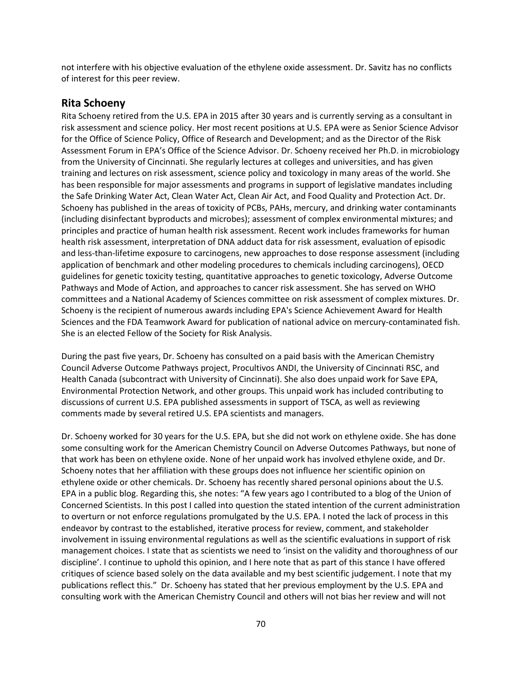not interfere with his objective evaluation of the ethylene oxide assessment. Dr. Savitz has no conflicts of interest for this peer review.

#### **Rita Schoeny**

Rita Schoeny retired from the U.S. EPA in 2015 after 30 years and is currently serving as a consultant in risk assessment and science policy. Her most recent positions at U.S. EPA were as Senior Science Advisor for the Office of Science Policy, Office of Research and Development; and as the Director of the Risk Assessment Forum in EPA's Office of the Science Advisor. Dr. Schoeny received her Ph.D. in microbiology from the University of Cincinnati. She regularly lectures at colleges and universities, and has given training and lectures on risk assessment, science policy and toxicology in many areas of the world. She has been responsible for major assessments and programs in support of legislative mandates including the Safe Drinking Water Act, Clean Water Act, Clean Air Act, and Food Quality and Protection Act. Dr. Schoeny has published in the areas of toxicity of PCBs, PAHs, mercury, and drinking water contaminants (including disinfectant byproducts and microbes); assessment of complex environmental mixtures; and principles and practice of human health risk assessment. Recent work includes frameworks for human health risk assessment, interpretation of DNA adduct data for risk assessment, evaluation of episodic and less-than-lifetime exposure to carcinogens, new approaches to dose response assessment (including application of benchmark and other modeling procedures to chemicals including carcinogens), OECD guidelines for genetic toxicity testing, quantitative approaches to genetic toxicology, Adverse Outcome Pathways and Mode of Action, and approaches to cancer risk assessment. She has served on WHO committees and a National Academy of Sciences committee on risk assessment of complex mixtures. Dr. Schoeny is the recipient of numerous awards including EPA's Science Achievement Award for Health Sciences and the FDA Teamwork Award for publication of national advice on mercury-contaminated fish. She is an elected Fellow of the Society for Risk Analysis.

During the past five years, Dr. Schoeny has consulted on a paid basis with the American Chemistry Council Adverse Outcome Pathways project, Procultivos ANDI, the University of Cincinnati RSC, and Health Canada (subcontract with University of Cincinnati). She also does unpaid work for Save EPA, Environmental Protection Network, and other groups. This unpaid work has included contributing to discussions of current U.S. EPA published assessments in support of TSCA, as well as reviewing comments made by several retired U.S. EPA scientists and managers.

Dr. Schoeny worked for 30 years for the U.S. EPA, but she did not work on ethylene oxide. She has done some consulting work for the American Chemistry Council on Adverse Outcomes Pathways, but none of that work has been on ethylene oxide. None of her unpaid work has involved ethylene oxide, and Dr. Schoeny notes that her affiliation with these groups does not influence her scientific opinion on ethylene oxide or other chemicals. Dr. Schoeny has recently shared personal opinions about the U.S. EPA in a public blog. Regarding this, she notes: "A few years ago I contributed to a blog of the Union of Concerned Scientists. In this post I called into question the stated intention of the current administration to overturn or not enforce regulations promulgated by the U.S. EPA. I noted the lack of process in this endeavor by contrast to the established, iterative process for review, comment, and stakeholder involvement in issuing environmental regulations as well as the scientific evaluations in support of risk management choices. I state that as scientists we need to 'insist on the validity and thoroughness of our discipline'. I continue to uphold this opinion, and I here note that as part of this stance I have offered critiques of science based solely on the data available and my best scientific judgement. I note that my publications reflect this." Dr. Schoeny has stated that her previous employment by the U.S. EPA and consulting work with the American Chemistry Council and others will not bias her review and will not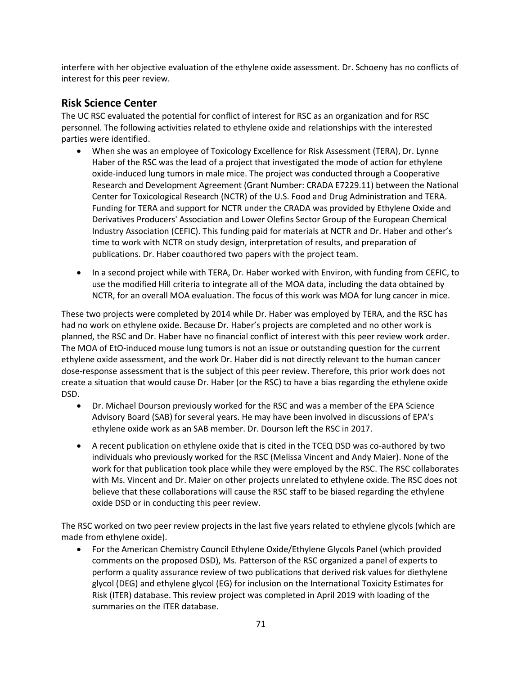interfere with her objective evaluation of the ethylene oxide assessment. Dr. Schoeny has no conflicts of interest for this peer review.

## **Risk Science Center**

The UC RSC evaluated the potential for conflict of interest for RSC as an organization and for RSC personnel. The following activities related to ethylene oxide and relationships with the interested parties were identified.

- When she was an employee of Toxicology Excellence for Risk Assessment (TERA), Dr. Lynne Haber of the RSC was the lead of a project that investigated the mode of action for ethylene oxide-induced lung tumors in male mice. The project was conducted through a Cooperative Research and Development Agreement (Grant Number: CRADA E7229.11) between the National Center for Toxicological Research (NCTR) of the U.S. Food and Drug Administration and TERA. Funding for TERA and support for NCTR under the CRADA was provided by Ethylene Oxide and Derivatives Producers' Association and Lower Olefins Sector Group of the European Chemical Industry Association (CEFIC). This funding paid for materials at NCTR and Dr. Haber and other's time to work with NCTR on study design, interpretation of results, and preparation of publications. Dr. Haber coauthored two papers with the project team.
- In a second project while with TERA, Dr. Haber worked with Environ, with funding from CEFIC, to use the modified Hill criteria to integrate all of the MOA data, including the data obtained by NCTR, for an overall MOA evaluation. The focus of this work was MOA for lung cancer in mice.

These two projects were completed by 2014 while Dr. Haber was employed by TERA, and the RSC has had no work on ethylene oxide. Because Dr. Haber's projects are completed and no other work is planned, the RSC and Dr. Haber have no financial conflict of interest with this peer review work order. The MOA of EtO-induced mouse lung tumors is not an issue or outstanding question for the current ethylene oxide assessment, and the work Dr. Haber did is not directly relevant to the human cancer dose-response assessment that is the subject of this peer review. Therefore, this prior work does not create a situation that would cause Dr. Haber (or the RSC) to have a bias regarding the ethylene oxide DSD.

- Dr. Michael Dourson previously worked for the RSC and was a member of the EPA Science Advisory Board (SAB) for several years. He may have been involved in discussions of EPA's ethylene oxide work as an SAB member. Dr. Dourson left the RSC in 2017.
- A recent publication on ethylene oxide that is cited in the TCEQ DSD was co-authored by two individuals who previously worked for the RSC (Melissa Vincent and Andy Maier). None of the work for that publication took place while they were employed by the RSC. The RSC collaborates with Ms. Vincent and Dr. Maier on other projects unrelated to ethylene oxide. The RSC does not believe that these collaborations will cause the RSC staff to be biased regarding the ethylene oxide DSD or in conducting this peer review.

The RSC worked on two peer review projects in the last five years related to ethylene glycols (which are made from ethylene oxide).

• For the American Chemistry Council Ethylene Oxide/Ethylene Glycols Panel (which provided comments on the proposed DSD), Ms. Patterson of the RSC organized a panel of experts to perform a quality assurance review of two publications that derived risk values for diethylene glycol (DEG) and ethylene glycol (EG) for inclusion on the International Toxicity Estimates for Risk (ITER) database. This review project was completed in April 2019 with loading of the summaries on the ITER database.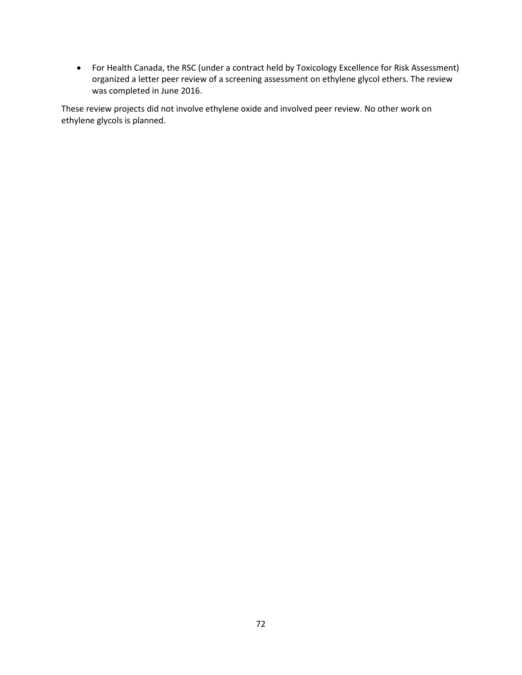• For Health Canada, the RSC (under a contract held by Toxicology Excellence for Risk Assessment) organized a letter peer review of a screening assessment on ethylene glycol ethers. The review was completed in June 2016.

These review projects did not involve ethylene oxide and involved peer review. No other work on ethylene glycols is planned.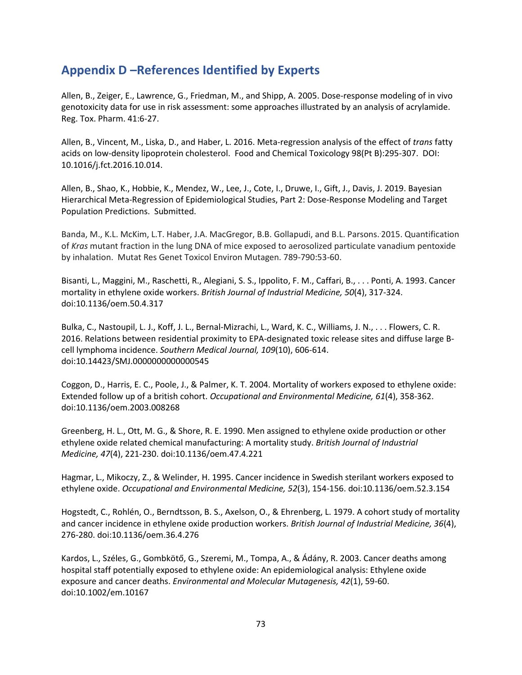## **Appendix D –References Identified by Experts**

Allen, B., Zeiger, E., Lawrence, G., Friedman, M., and Shipp, A. 2005. Dose-response modeling of in vivo genotoxicity data for use in risk assessment: some approaches illustrated by an analysis of acrylamide. Reg. Tox. Pharm. 41:6-27.

Allen, B., Vincent, M., Liska, D., and Haber, L. 2016. Meta-regression analysis of the effect of *trans* fatty acids on low-density lipoprotein cholesterol. Food and Chemical Toxicology 98(Pt B):295-307. DOI: 10.1016/j.fct.2016.10.014.

Allen, B., Shao, K., Hobbie, K., Mendez, W., Lee, J., Cote, I., Druwe, I., Gift, J., Davis, J. 2019. Bayesian Hierarchical Meta-Regression of Epidemiological Studies, Part 2: Dose-Response Modeling and Target Population Predictions. Submitted.

Banda, M., K.L. McKim, L.T. Haber, J.A. MacGregor, B.B. Gollapudi, and B.L. Parsons. 2015. Quantification of *Kras* mutant fraction in the lung DNA of mice exposed to aerosolized particulate vanadium pentoxide by inhalation. Mutat Res Genet Toxicol Environ Mutagen. 789-790:53-60.

Bisanti, L., Maggini, M., Raschetti, R., Alegiani, S. S., Ippolito, F. M., Caffari, B., . . . Ponti, A. 1993. Cancer mortality in ethylene oxide workers. *British Journal of Industrial Medicine, 50*(4), 317-324. doi:10.1136/oem.50.4.317

Bulka, C., Nastoupil, L. J., Koff, J. L., Bernal-Mizrachi, L., Ward, K. C., Williams, J. N., . . . Flowers, C. R. 2016. Relations between residential proximity to EPA-designated toxic release sites and diffuse large Bcell lymphoma incidence. *Southern Medical Journal, 109*(10), 606-614. doi:10.14423/SMJ.0000000000000545

Coggon, D., Harris, E. C., Poole, J., & Palmer, K. T. 2004. Mortality of workers exposed to ethylene oxide: Extended follow up of a british cohort. *Occupational and Environmental Medicine, 61*(4), 358-362. doi:10.1136/oem.2003.008268

Greenberg, H. L., Ott, M. G., & Shore, R. E. 1990. Men assigned to ethylene oxide production or other ethylene oxide related chemical manufacturing: A mortality study. *British Journal of Industrial Medicine, 47*(4), 221-230. doi:10.1136/oem.47.4.221

Hagmar, L., Mikoczy, Z., & Welinder, H. 1995. Cancer incidence in Swedish sterilant workers exposed to ethylene oxide. *Occupational and Environmental Medicine, 52*(3), 154-156. doi:10.1136/oem.52.3.154

Hogstedt, C., Rohlén, O., Berndtsson, B. S., Axelson, O., & Ehrenberg, L. 1979. A cohort study of mortality and cancer incidence in ethylene oxide production workers. *British Journal of Industrial Medicine, 36*(4), 276-280. doi:10.1136/oem.36.4.276

Kardos, L., Széles, G., Gombkötő, G., Szeremi, M., Tompa, A., & Ádány, R. 2003. Cancer deaths among hospital staff potentially exposed to ethylene oxide: An epidemiological analysis: Ethylene oxide exposure and cancer deaths. *Environmental and Molecular Mutagenesis, 42*(1), 59-60. doi:10.1002/em.10167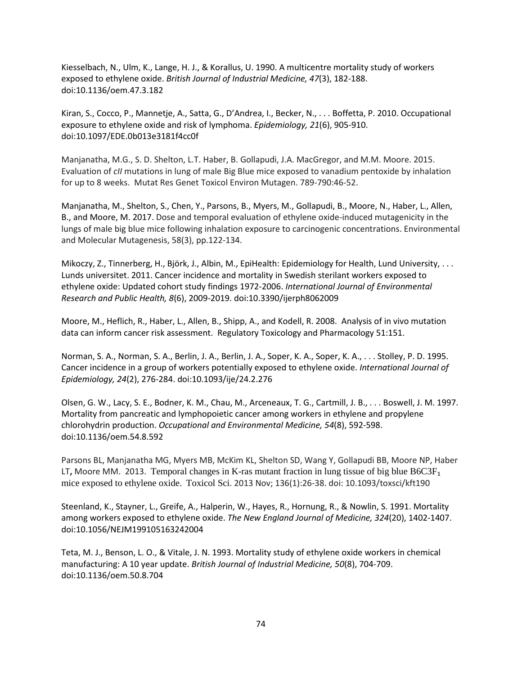Kiesselbach, N., Ulm, K., Lange, H. J., & Korallus, U. 1990. A multicentre mortality study of workers exposed to ethylene oxide. *British Journal of Industrial Medicine, 47*(3), 182-188. doi:10.1136/oem.47.3.182

Kiran, S., Cocco, P., Mannetje, A., Satta, G., D'Andrea, I., Becker, N., . . . Boffetta, P. 2010. Occupational exposure to ethylene oxide and risk of lymphoma. *Epidemiology, 21*(6), 905-910. doi:10.1097/EDE.0b013e3181f4cc0f

Manjanatha, M.G., S. D. Shelton, L.T. Haber, B. Gollapudi, J.A. MacGregor, and M.M. Moore. 2015. Evaluation of *cII* mutations in lung of male Big Blue mice exposed to vanadium pentoxide by inhalation for up to 8 weeks. Mutat Res Genet Toxicol Environ Mutagen. 789-790:46-52.

Manjanatha, M., Shelton, S., Chen, Y., Parsons, B., Myers, M., Gollapudi, B., Moore, N., Haber, L., Allen, B., and Moore, M. 2017. Dose and temporal evaluation of ethylene oxide-induced mutagenicity in the lungs of male big blue mice following inhalation exposure to carcinogenic concentrations. Environmental and Molecular Mutagenesis, 58(3), pp.122-134.

Mikoczy, Z., Tinnerberg, H., Björk, J., Albin, M., EpiHealth: Epidemiology for Health, Lund University, . . . Lunds universitet. 2011. Cancer incidence and mortality in Swedish sterilant workers exposed to ethylene oxide: Updated cohort study findings 1972-2006. *International Journal of Environmental Research and Public Health, 8*(6), 2009-2019. doi:10.3390/ijerph8062009

Moore, M., Heflich, R., Haber, L., Allen, B., Shipp, A., and Kodell, R. 2008. Analysis of in vivo mutation data can inform cancer risk assessment. Regulatory Toxicology and Pharmacology 51:151.

Norman, S. A., Norman, S. A., Berlin, J. A., Berlin, J. A., Soper, K. A., Soper, K. A., . . . Stolley, P. D. 1995. Cancer incidence in a group of workers potentially exposed to ethylene oxide. *International Journal of Epidemiology, 24*(2), 276-284. doi:10.1093/ije/24.2.276

Olsen, G. W., Lacy, S. E., Bodner, K. M., Chau, M., Arceneaux, T. G., Cartmill, J. B., . . . Boswell, J. M. 1997. Mortality from pancreatic and lymphopoietic cancer among workers in ethylene and propylene chlorohydrin production. *Occupational and Environmental Medicine, 54*(8), 592-598. doi:10.1136/oem.54.8.592

Parsons BL, Manjanatha MG, Myers MB, McKim KL, Shelton SD, Wang Y, Gollapudi BB, Moore NP, Haber LT**,** Moore MM. 2013. [Temporal](http://www.ncbi.nlm.nih.gov/pubmed/24029818) changes in K-ras mutant fraction in lung tissue of big blue B6C3F₁ mice exposed to [ethylene](http://www.ncbi.nlm.nih.gov/pubmed/24029818) oxide. Toxicol Sci. 2013 Nov; 136(1):26-38. doi: 10.1093/toxsci/kft190

Steenland, K., Stayner, L., Greife, A., Halperin, W., Hayes, R., Hornung, R., & Nowlin, S. 1991. Mortality among workers exposed to ethylene oxide. *The New England Journal of Medicine, 324*(20), 1402-1407. doi:10.1056/NEJM199105163242004

Teta, M. J., Benson, L. O., & Vitale, J. N. 1993. Mortality study of ethylene oxide workers in chemical manufacturing: A 10 year update. *British Journal of Industrial Medicine, 50*(8), 704-709. doi:10.1136/oem.50.8.704